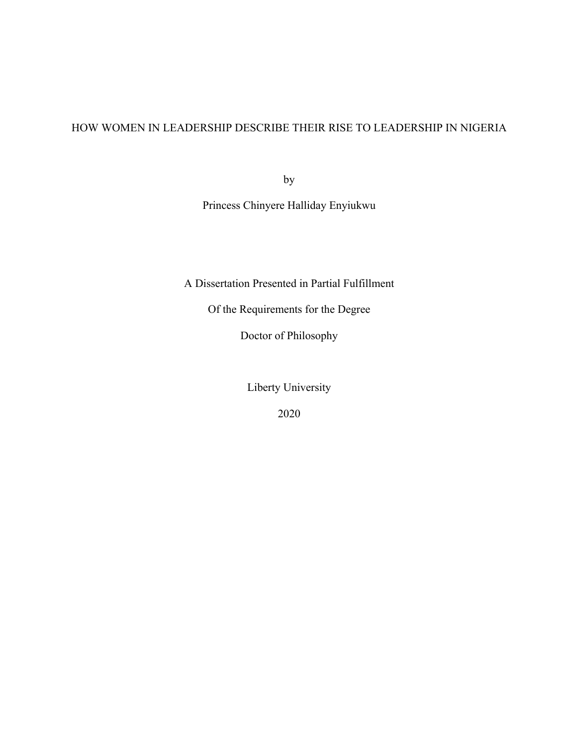# HOW WOMEN IN LEADERSHIP DESCRIBE THEIR RISE TO LEADERSHIP IN NIGERIA

by

Princess Chinyere Halliday Enyiukwu

A Dissertation Presented in Partial Fulfillment

Of the Requirements for the Degree

Doctor of Philosophy

Liberty University

2020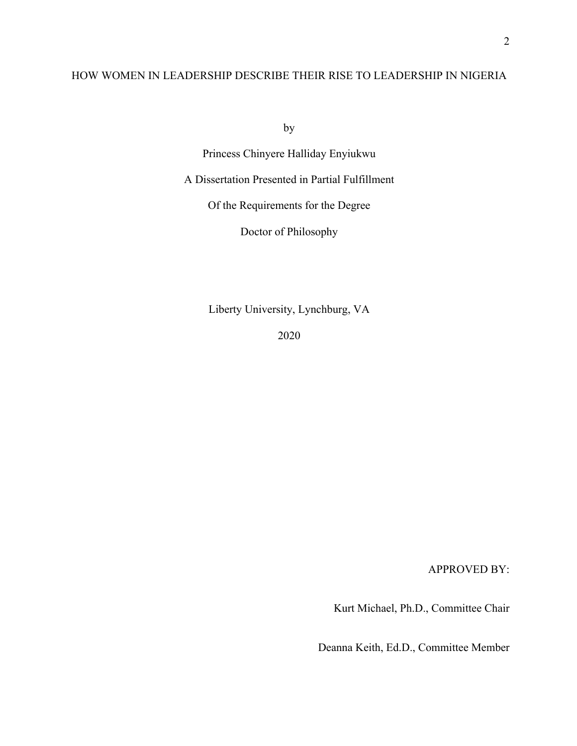# HOW WOMEN IN LEADERSHIP DESCRIBE THEIR RISE TO LEADERSHIP IN NIGERIA

by

Princess Chinyere Halliday Enyiukwu

A Dissertation Presented in Partial Fulfillment

Of the Requirements for the Degree

Doctor of Philosophy

Liberty University, Lynchburg, VA

2020

APPROVED BY:

Kurt Michael, Ph.D., Committee Chair

Deanna Keith, Ed.D., Committee Member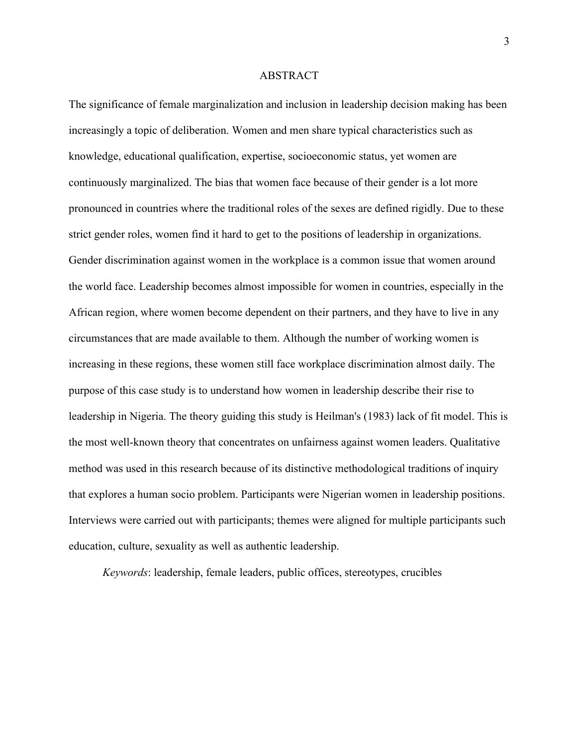#### ABSTRACT

The significance of female marginalization and inclusion in leadership decision making has been increasingly a topic of deliberation. Women and men share typical characteristics such as knowledge, educational qualification, expertise, socioeconomic status, yet women are continuously marginalized. The bias that women face because of their gender is a lot more pronounced in countries where the traditional roles of the sexes are defined rigidly. Due to these strict gender roles, women find it hard to get to the positions of leadership in organizations. Gender discrimination against women in the workplace is a common issue that women around the world face. Leadership becomes almost impossible for women in countries, especially in the African region, where women become dependent on their partners, and they have to live in any circumstances that are made available to them. Although the number of working women is increasing in these regions, these women still face workplace discrimination almost daily. The purpose of this case study is to understand how women in leadership describe their rise to leadership in Nigeria. The theory guiding this study is Heilman's (1983) lack of fit model. This is the most well-known theory that concentrates on unfairness against women leaders. Qualitative method was used in this research because of its distinctive methodological traditions of inquiry that explores a human socio problem. Participants were Nigerian women in leadership positions. Interviews were carried out with participants; themes were aligned for multiple participants such education, culture, sexuality as well as authentic leadership.

*Keywords*: leadership, female leaders, public offices, stereotypes, crucibles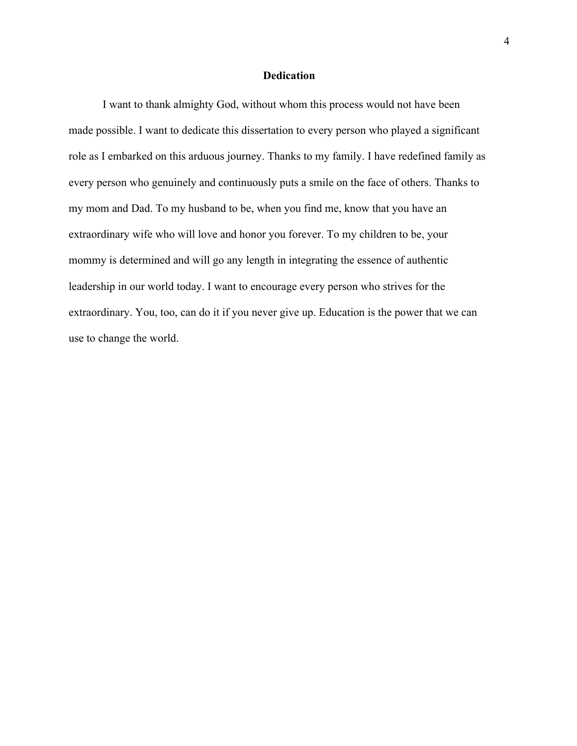## **Dedication**

I want to thank almighty God, without whom this process would not have been made possible. I want to dedicate this dissertation to every person who played a significant role as I embarked on this arduous journey. Thanks to my family. I have redefined family as every person who genuinely and continuously puts a smile on the face of others. Thanks to my mom and Dad. To my husband to be, when you find me, know that you have an extraordinary wife who will love and honor you forever. To my children to be, your mommy is determined and will go any length in integrating the essence of authentic leadership in our world today. I want to encourage every person who strives for the extraordinary. You, too, can do it if you never give up. Education is the power that we can use to change the world.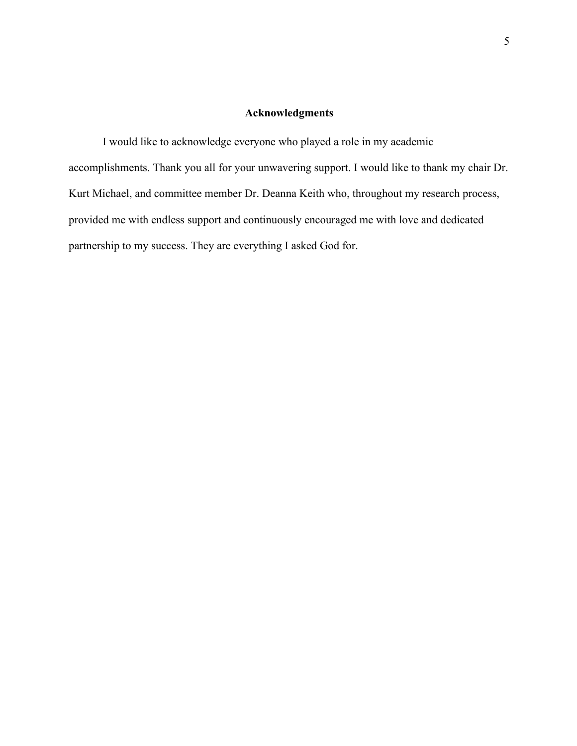## **Acknowledgments**

I would like to acknowledge everyone who played a role in my academic accomplishments. Thank you all for your unwavering support. I would like to thank my chair Dr. Kurt Michael, and committee member Dr. Deanna Keith who, throughout my research process, provided me with endless support and continuously encouraged me with love and dedicated partnership to my success. They are everything I asked God for.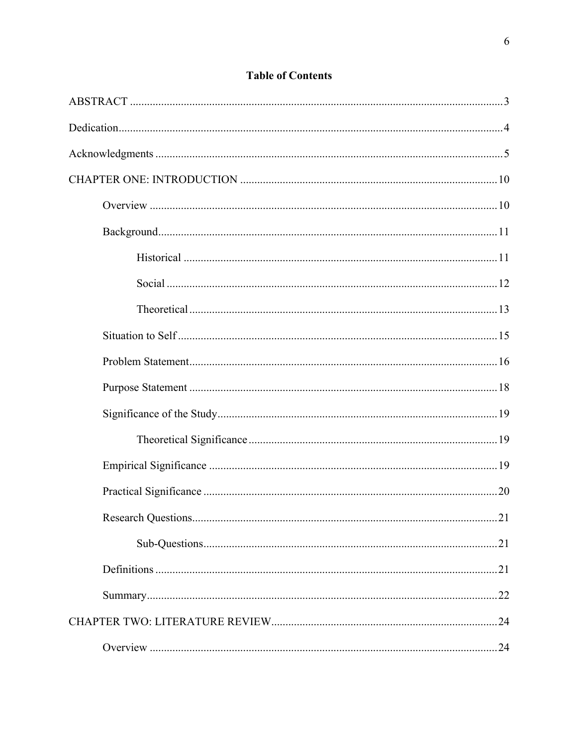| .21 |
|-----|
|     |
|     |
|     |
|     |
|     |

# **Table of Contents**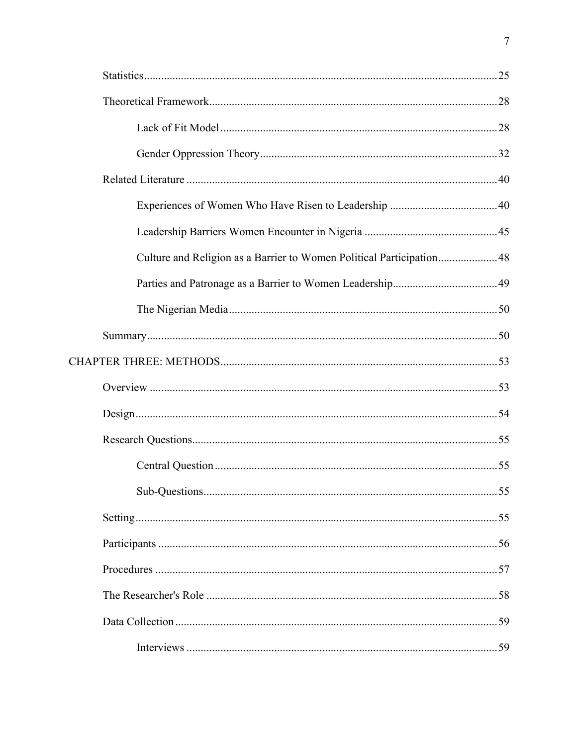| Culture and Religion as a Barrier to Women Political Participation48 |  |
|----------------------------------------------------------------------|--|
|                                                                      |  |
|                                                                      |  |
|                                                                      |  |
|                                                                      |  |
|                                                                      |  |
|                                                                      |  |
|                                                                      |  |
|                                                                      |  |
|                                                                      |  |
|                                                                      |  |
|                                                                      |  |
|                                                                      |  |
|                                                                      |  |
|                                                                      |  |
|                                                                      |  |

 $\overline{7}$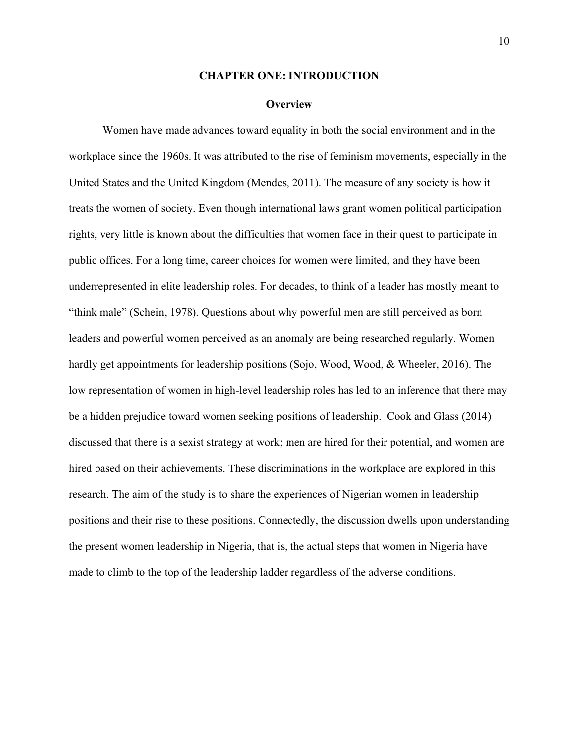#### **CHAPTER ONE: INTRODUCTION**

#### **Overview**

Women have made advances toward equality in both the social environment and in the workplace since the 1960s. It was attributed to the rise of feminism movements, especially in the United States and the United Kingdom (Mendes, 2011). The measure of any society is how it treats the women of society. Even though international laws grant women political participation rights, very little is known about the difficulties that women face in their quest to participate in public offices. For a long time, career choices for women were limited, and they have been underrepresented in elite leadership roles. For decades, to think of a leader has mostly meant to "think male" (Schein, 1978). Questions about why powerful men are still perceived as born leaders and powerful women perceived as an anomaly are being researched regularly. Women hardly get appointments for leadership positions (Sojo, Wood, Wood, & Wheeler, 2016). The low representation of women in high-level leadership roles has led to an inference that there may be a hidden prejudice toward women seeking positions of leadership. Cook and Glass (2014) discussed that there is a sexist strategy at work; men are hired for their potential, and women are hired based on their achievements. These discriminations in the workplace are explored in this research. The aim of the study is to share the experiences of Nigerian women in leadership positions and their rise to these positions. Connectedly, the discussion dwells upon understanding the present women leadership in Nigeria, that is, the actual steps that women in Nigeria have made to climb to the top of the leadership ladder regardless of the adverse conditions.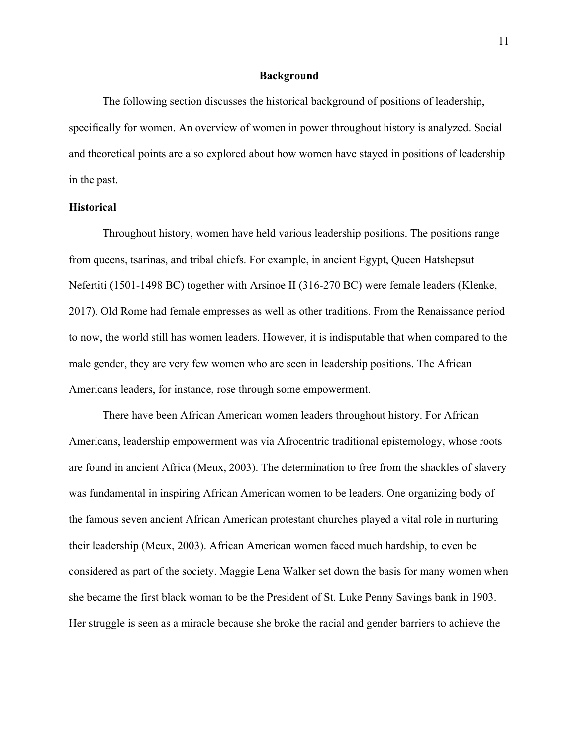## **Background**

The following section discusses the historical background of positions of leadership, specifically for women. An overview of women in power throughout history is analyzed. Social and theoretical points are also explored about how women have stayed in positions of leadership in the past.

## **Historical**

Throughout history, women have held various leadership positions. The positions range from queens, tsarinas, and tribal chiefs. For example, in ancient Egypt, Queen Hatshepsut Nefertiti (1501-1498 BC) together with Arsinoe II (316-270 BC) were female leaders (Klenke, 2017). Old Rome had female empresses as well as other traditions. From the Renaissance period to now, the world still has women leaders. However, it is indisputable that when compared to the male gender, they are very few women who are seen in leadership positions. The African Americans leaders, for instance, rose through some empowerment.

There have been African American women leaders throughout history. For African Americans, leadership empowerment was via Afrocentric traditional epistemology, whose roots are found in ancient Africa (Meux, 2003). The determination to free from the shackles of slavery was fundamental in inspiring African American women to be leaders. One organizing body of the famous seven ancient African American protestant churches played a vital role in nurturing their leadership (Meux, 2003). African American women faced much hardship, to even be considered as part of the society. Maggie Lena Walker set down the basis for many women when she became the first black woman to be the President of St. Luke Penny Savings bank in 1903. Her struggle is seen as a miracle because she broke the racial and gender barriers to achieve the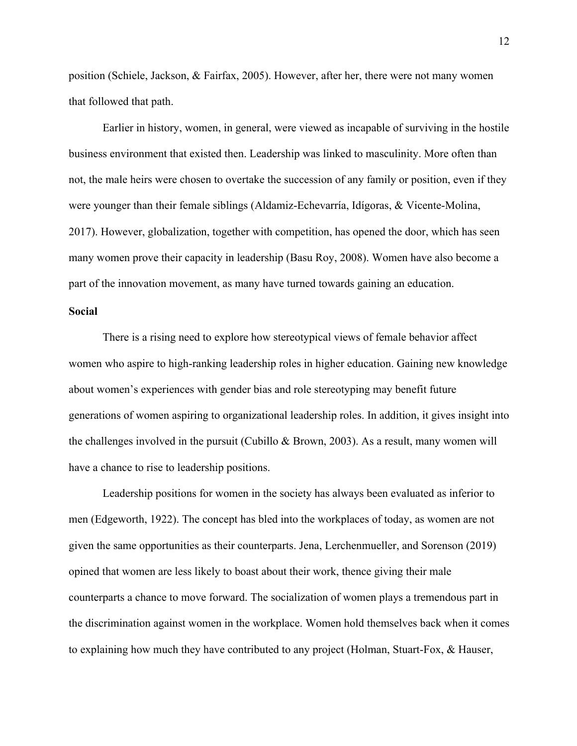position (Schiele, Jackson, & Fairfax, 2005). However, after her, there were not many women that followed that path.

Earlier in history, women, in general, were viewed as incapable of surviving in the hostile business environment that existed then. Leadership was linked to masculinity. More often than not, the male heirs were chosen to overtake the succession of any family or position, even if they were younger than their female siblings (Aldamiz-Echevarría, Idígoras, & Vicente-Molina, 2017). However, globalization, together with competition, has opened the door, which has seen many women prove their capacity in leadership (Basu Roy, 2008). Women have also become a part of the innovation movement, as many have turned towards gaining an education.

# **Social**

There is a rising need to explore how stereotypical views of female behavior affect women who aspire to high-ranking leadership roles in higher education. Gaining new knowledge about women's experiences with gender bias and role stereotyping may benefit future generations of women aspiring to organizational leadership roles. In addition, it gives insight into the challenges involved in the pursuit (Cubillo & Brown, 2003). As a result, many women will have a chance to rise to leadership positions.

Leadership positions for women in the society has always been evaluated as inferior to men (Edgeworth, 1922). The concept has bled into the workplaces of today, as women are not given the same opportunities as their counterparts. Jena, Lerchenmueller, and Sorenson (2019) opined that women are less likely to boast about their work, thence giving their male counterparts a chance to move forward. The socialization of women plays a tremendous part in the discrimination against women in the workplace. Women hold themselves back when it comes to explaining how much they have contributed to any project (Holman, Stuart-Fox, & Hauser,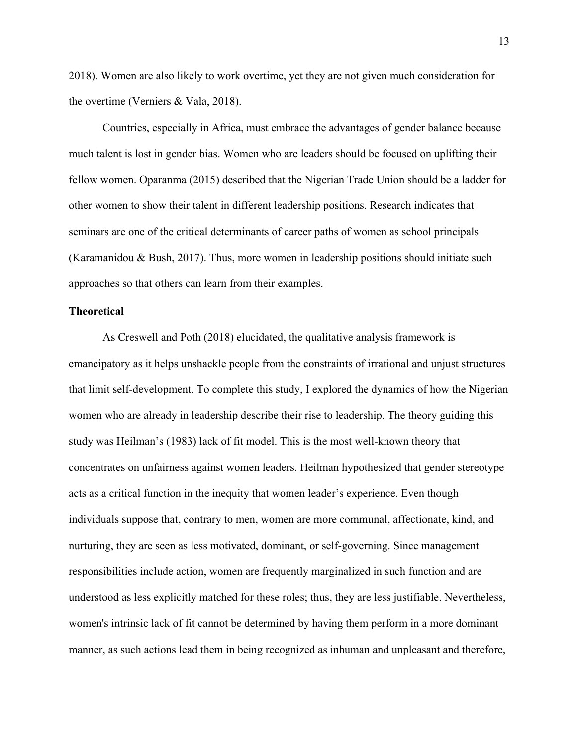2018). Women are also likely to work overtime, yet they are not given much consideration for the overtime (Verniers & Vala, 2018).

Countries, especially in Africa, must embrace the advantages of gender balance because much talent is lost in gender bias. Women who are leaders should be focused on uplifting their fellow women. Oparanma (2015) described that the Nigerian Trade Union should be a ladder for other women to show their talent in different leadership positions. Research indicates that seminars are one of the critical determinants of career paths of women as school principals (Karamanidou & Bush, 2017). Thus, more women in leadership positions should initiate such approaches so that others can learn from their examples.

# **Theoretical**

As Creswell and Poth (2018) elucidated, the qualitative analysis framework is emancipatory as it helps unshackle people from the constraints of irrational and unjust structures that limit self-development. To complete this study, I explored the dynamics of how the Nigerian women who are already in leadership describe their rise to leadership. The theory guiding this study was Heilman's (1983) lack of fit model. This is the most well-known theory that concentrates on unfairness against women leaders. Heilman hypothesized that gender stereotype acts as a critical function in the inequity that women leader's experience. Even though individuals suppose that, contrary to men, women are more communal, affectionate, kind, and nurturing, they are seen as less motivated, dominant, or self-governing. Since management responsibilities include action, women are frequently marginalized in such function and are understood as less explicitly matched for these roles; thus, they are less justifiable. Nevertheless, women's intrinsic lack of fit cannot be determined by having them perform in a more dominant manner, as such actions lead them in being recognized as inhuman and unpleasant and therefore,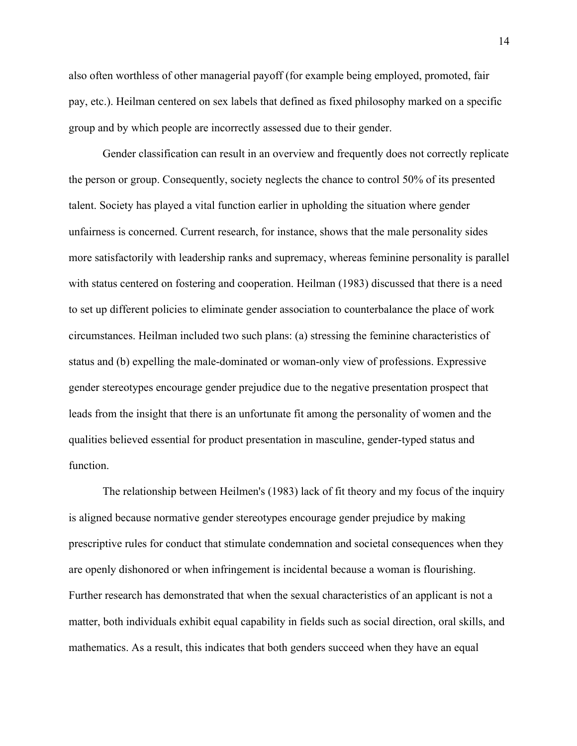also often worthless of other managerial payoff (for example being employed, promoted, fair pay, etc.). Heilman centered on sex labels that defined as fixed philosophy marked on a specific group and by which people are incorrectly assessed due to their gender.

Gender classification can result in an overview and frequently does not correctly replicate the person or group. Consequently, society neglects the chance to control 50% of its presented talent. Society has played a vital function earlier in upholding the situation where gender unfairness is concerned. Current research, for instance, shows that the male personality sides more satisfactorily with leadership ranks and supremacy, whereas feminine personality is parallel with status centered on fostering and cooperation. Heilman (1983) discussed that there is a need to set up different policies to eliminate gender association to counterbalance the place of work circumstances. Heilman included two such plans: (a) stressing the feminine characteristics of status and (b) expelling the male-dominated or woman-only view of professions. Expressive gender stereotypes encourage gender prejudice due to the negative presentation prospect that leads from the insight that there is an unfortunate fit among the personality of women and the qualities believed essential for product presentation in masculine, gender-typed status and function.

The relationship between Heilmen's (1983) lack of fit theory and my focus of the inquiry is aligned because normative gender stereotypes encourage gender prejudice by making prescriptive rules for conduct that stimulate condemnation and societal consequences when they are openly dishonored or when infringement is incidental because a woman is flourishing. Further research has demonstrated that when the sexual characteristics of an applicant is not a matter, both individuals exhibit equal capability in fields such as social direction, oral skills, and mathematics. As a result, this indicates that both genders succeed when they have an equal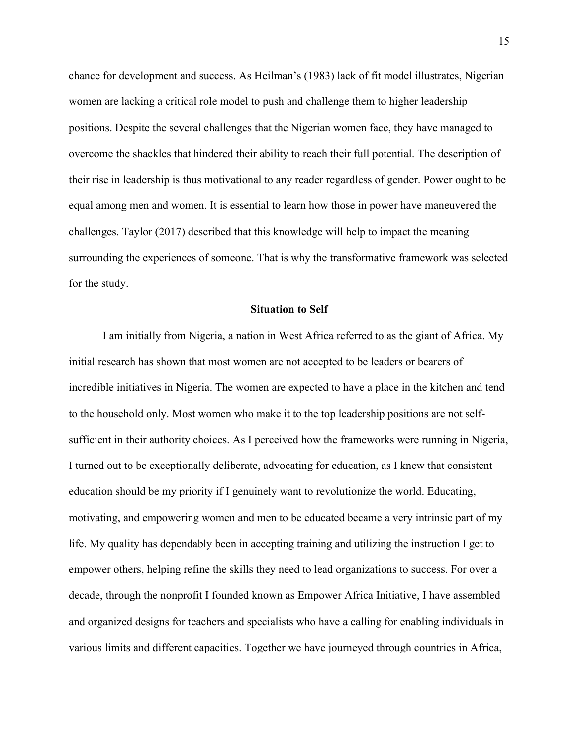chance for development and success. As Heilman's (1983) lack of fit model illustrates, Nigerian women are lacking a critical role model to push and challenge them to higher leadership positions. Despite the several challenges that the Nigerian women face, they have managed to overcome the shackles that hindered their ability to reach their full potential. The description of their rise in leadership is thus motivational to any reader regardless of gender. Power ought to be equal among men and women. It is essential to learn how those in power have maneuvered the challenges. Taylor (2017) described that this knowledge will help to impact the meaning surrounding the experiences of someone. That is why the transformative framework was selected for the study.

#### **Situation to Self**

I am initially from Nigeria, a nation in West Africa referred to as the giant of Africa. My initial research has shown that most women are not accepted to be leaders or bearers of incredible initiatives in Nigeria. The women are expected to have a place in the kitchen and tend to the household only. Most women who make it to the top leadership positions are not selfsufficient in their authority choices. As I perceived how the frameworks were running in Nigeria, I turned out to be exceptionally deliberate, advocating for education, as I knew that consistent education should be my priority if I genuinely want to revolutionize the world. Educating, motivating, and empowering women and men to be educated became a very intrinsic part of my life. My quality has dependably been in accepting training and utilizing the instruction I get to empower others, helping refine the skills they need to lead organizations to success. For over a decade, through the nonprofit I founded known as Empower Africa Initiative, I have assembled and organized designs for teachers and specialists who have a calling for enabling individuals in various limits and different capacities. Together we have journeyed through countries in Africa,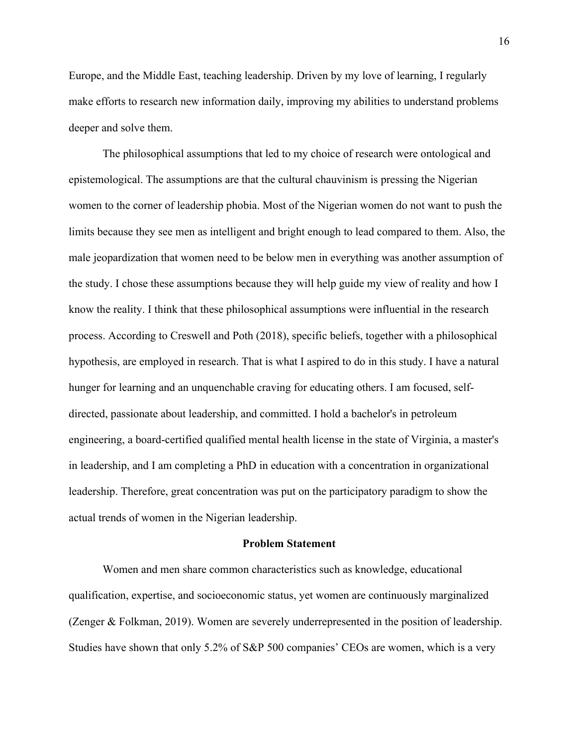Europe, and the Middle East, teaching leadership. Driven by my love of learning, I regularly make efforts to research new information daily, improving my abilities to understand problems deeper and solve them.

The philosophical assumptions that led to my choice of research were ontological and epistemological. The assumptions are that the cultural chauvinism is pressing the Nigerian women to the corner of leadership phobia. Most of the Nigerian women do not want to push the limits because they see men as intelligent and bright enough to lead compared to them. Also, the male jeopardization that women need to be below men in everything was another assumption of the study. I chose these assumptions because they will help guide my view of reality and how I know the reality. I think that these philosophical assumptions were influential in the research process. According to Creswell and Poth (2018), specific beliefs, together with a philosophical hypothesis, are employed in research. That is what I aspired to do in this study. I have a natural hunger for learning and an unquenchable craving for educating others. I am focused, selfdirected, passionate about leadership, and committed. I hold a bachelor's in petroleum engineering, a board-certified qualified mental health license in the state of Virginia, a master's in leadership, and I am completing a PhD in education with a concentration in organizational leadership. Therefore, great concentration was put on the participatory paradigm to show the actual trends of women in the Nigerian leadership.

## **Problem Statement**

Women and men share common characteristics such as knowledge, educational qualification, expertise, and socioeconomic status, yet women are continuously marginalized (Zenger & Folkman, 2019). Women are severely underrepresented in the position of leadership. Studies have shown that only 5.2% of S&P 500 companies' CEOs are women, which is a very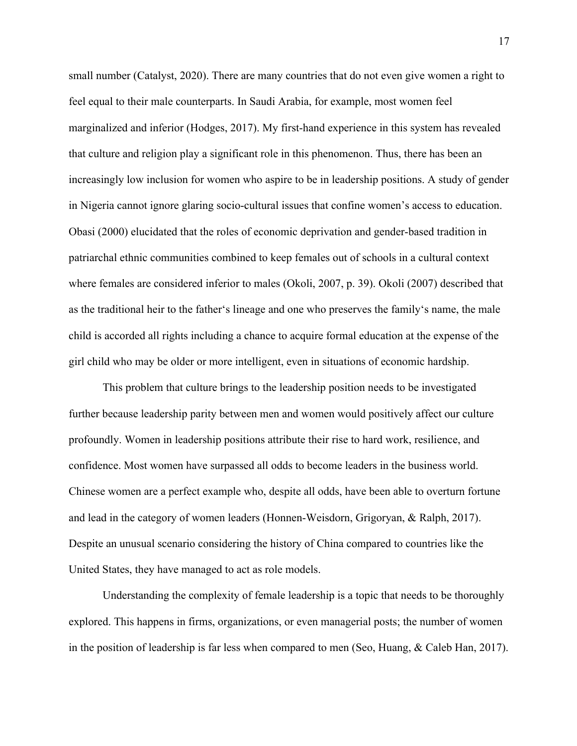small number (Catalyst, 2020). There are many countries that do not even give women a right to feel equal to their male counterparts. In Saudi Arabia, for example, most women feel marginalized and inferior (Hodges, 2017). My first-hand experience in this system has revealed that culture and religion play a significant role in this phenomenon. Thus, there has been an increasingly low inclusion for women who aspire to be in leadership positions. A study of gender in Nigeria cannot ignore glaring socio-cultural issues that confine women's access to education. Obasi (2000) elucidated that the roles of economic deprivation and gender-based tradition in patriarchal ethnic communities combined to keep females out of schools in a cultural context where females are considered inferior to males (Okoli, 2007, p. 39). Okoli (2007) described that as the traditional heir to the father's lineage and one who preserves the family's name, the male child is accorded all rights including a chance to acquire formal education at the expense of the girl child who may be older or more intelligent, even in situations of economic hardship.

This problem that culture brings to the leadership position needs to be investigated further because leadership parity between men and women would positively affect our culture profoundly. Women in leadership positions attribute their rise to hard work, resilience, and confidence. Most women have surpassed all odds to become leaders in the business world. Chinese women are a perfect example who, despite all odds, have been able to overturn fortune and lead in the category of women leaders (Honnen-Weisdorn, Grigoryan, & Ralph, 2017). Despite an unusual scenario considering the history of China compared to countries like the United States, they have managed to act as role models.

Understanding the complexity of female leadership is a topic that needs to be thoroughly explored. This happens in firms, organizations, or even managerial posts; the number of women in the position of leadership is far less when compared to men (Seo, Huang, & Caleb Han, 2017).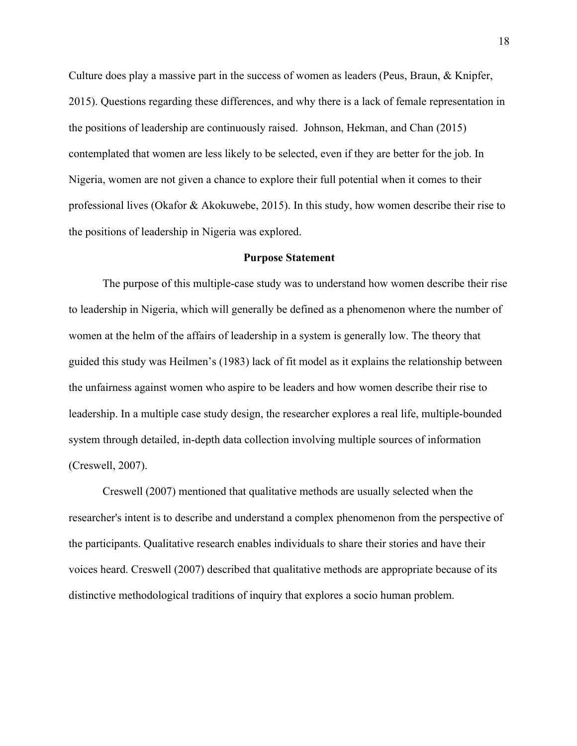Culture does play a massive part in the success of women as leaders (Peus, Braun, & Knipfer, 2015). Questions regarding these differences, and why there is a lack of female representation in the positions of leadership are continuously raised. Johnson, Hekman, and Chan (2015) contemplated that women are less likely to be selected, even if they are better for the job. In Nigeria, women are not given a chance to explore their full potential when it comes to their professional lives (Okafor & Akokuwebe, 2015). In this study, how women describe their rise to the positions of leadership in Nigeria was explored.

#### **Purpose Statement**

The purpose of this multiple-case study was to understand how women describe their rise to leadership in Nigeria, which will generally be defined as a phenomenon where the number of women at the helm of the affairs of leadership in a system is generally low. The theory that guided this study was Heilmen's (1983) lack of fit model as it explains the relationship between the unfairness against women who aspire to be leaders and how women describe their rise to leadership. In a multiple case study design, the researcher explores a real life, multiple-bounded system through detailed, in-depth data collection involving multiple sources of information (Creswell, 2007).

Creswell (2007) mentioned that qualitative methods are usually selected when the researcher's intent is to describe and understand a complex phenomenon from the perspective of the participants. Qualitative research enables individuals to share their stories and have their voices heard. Creswell (2007) described that qualitative methods are appropriate because of its distinctive methodological traditions of inquiry that explores a socio human problem.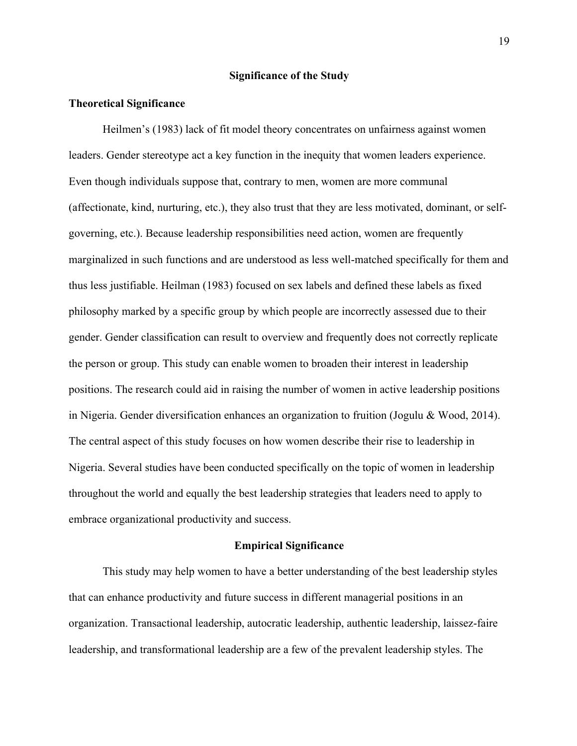## **Significance of the Study**

# **Theoretical Significance**

Heilmen's (1983) lack of fit model theory concentrates on unfairness against women leaders. Gender stereotype act a key function in the inequity that women leaders experience. Even though individuals suppose that, contrary to men, women are more communal (affectionate, kind, nurturing, etc.), they also trust that they are less motivated, dominant, or selfgoverning, etc.). Because leadership responsibilities need action, women are frequently marginalized in such functions and are understood as less well-matched specifically for them and thus less justifiable. Heilman (1983) focused on sex labels and defined these labels as fixed philosophy marked by a specific group by which people are incorrectly assessed due to their gender. Gender classification can result to overview and frequently does not correctly replicate the person or group. This study can enable women to broaden their interest in leadership positions. The research could aid in raising the number of women in active leadership positions in Nigeria. Gender diversification enhances an organization to fruition (Jogulu & Wood, 2014). The central aspect of this study focuses on how women describe their rise to leadership in Nigeria. Several studies have been conducted specifically on the topic of women in leadership throughout the world and equally the best leadership strategies that leaders need to apply to embrace organizational productivity and success.

### **Empirical Significance**

This study may help women to have a better understanding of the best leadership styles that can enhance productivity and future success in different managerial positions in an organization. Transactional leadership, autocratic leadership, authentic leadership, laissez-faire leadership, and transformational leadership are a few of the prevalent leadership styles. The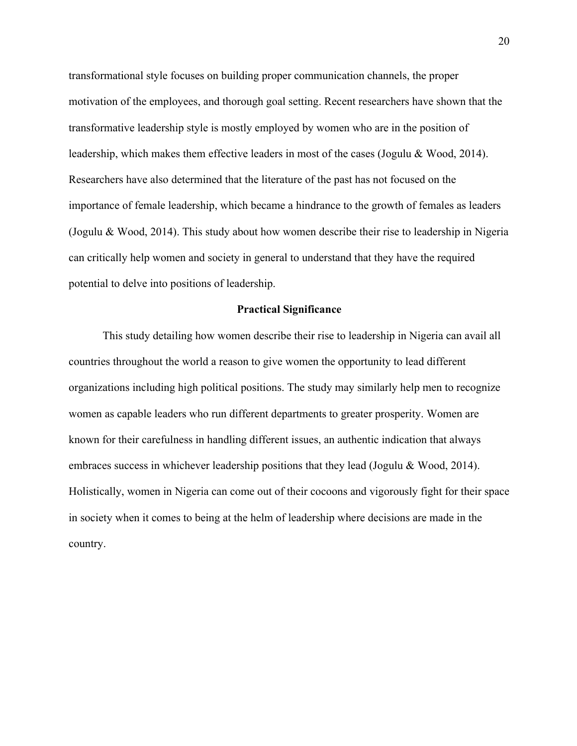transformational style focuses on building proper communication channels, the proper motivation of the employees, and thorough goal setting. Recent researchers have shown that the transformative leadership style is mostly employed by women who are in the position of leadership, which makes them effective leaders in most of the cases (Jogulu & Wood, 2014). Researchers have also determined that the literature of the past has not focused on the importance of female leadership, which became a hindrance to the growth of females as leaders (Jogulu & Wood, 2014). This study about how women describe their rise to leadership in Nigeria can critically help women and society in general to understand that they have the required potential to delve into positions of leadership.

## **Practical Significance**

This study detailing how women describe their rise to leadership in Nigeria can avail all countries throughout the world a reason to give women the opportunity to lead different organizations including high political positions. The study may similarly help men to recognize women as capable leaders who run different departments to greater prosperity. Women are known for their carefulness in handling different issues, an authentic indication that always embraces success in whichever leadership positions that they lead (Jogulu & Wood, 2014). Holistically, women in Nigeria can come out of their cocoons and vigorously fight for their space in society when it comes to being at the helm of leadership where decisions are made in the country.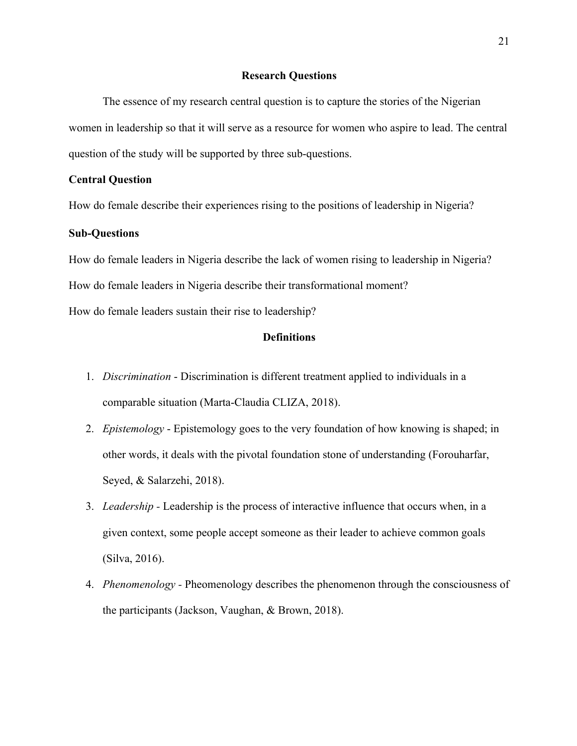## **Research Questions**

The essence of my research central question is to capture the stories of the Nigerian women in leadership so that it will serve as a resource for women who aspire to lead. The central question of the study will be supported by three sub-questions.

# **Central Question**

How do female describe their experiences rising to the positions of leadership in Nigeria?

# **Sub-Questions**

How do female leaders in Nigeria describe the lack of women rising to leadership in Nigeria? How do female leaders in Nigeria describe their transformational moment? How do female leaders sustain their rise to leadership?

## **Definitions**

- 1. *Discrimination* Discrimination is different treatment applied to individuals in a comparable situation (Marta-Claudia CLIZA, 2018).
- 2. *Epistemology* Epistemology goes to the very foundation of how knowing is shaped; in other words, it deals with the pivotal foundation stone of understanding (Forouharfar, Seyed, & Salarzehi, 2018).
- 3. *Leadership -* Leadership is the process of interactive influence that occurs when, in a given context, some people accept someone as their leader to achieve common goals (Silva, 2016).
- 4. *Phenomenology -* Pheomenology describes the phenomenon through the consciousness of the participants (Jackson, Vaughan, & Brown, 2018).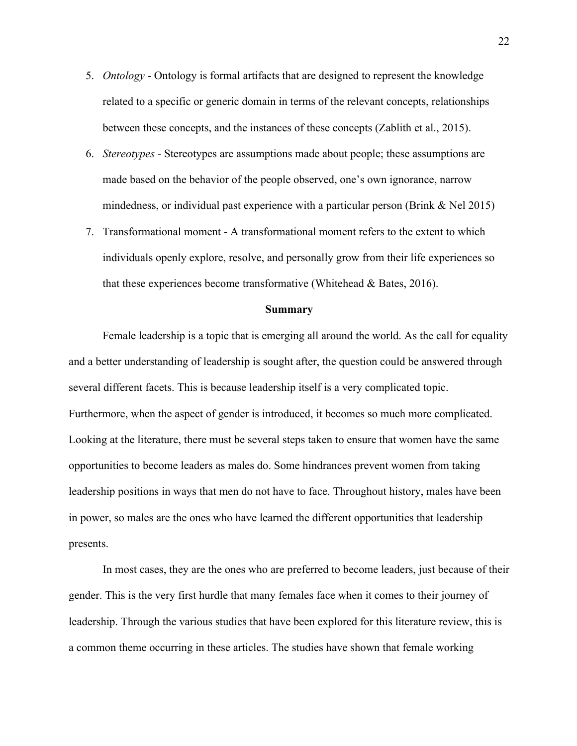- 5. *Ontology* Ontology is formal artifacts that are designed to represent the knowledge related to a specific or generic domain in terms of the relevant concepts, relationships between these concepts, and the instances of these concepts (Zablith et al., 2015).
- 6. *Stereotypes -* Stereotypes are assumptions made about people; these assumptions are made based on the behavior of the people observed, one's own ignorance, narrow mindedness, or individual past experience with a particular person (Brink & Nel 2015)
- 7. Transformational moment A transformational moment refers to the extent to which individuals openly explore, resolve, and personally grow from their life experiences so that these experiences become transformative (Whitehead & Bates, 2016).

### **Summary**

Female leadership is a topic that is emerging all around the world. As the call for equality and a better understanding of leadership is sought after, the question could be answered through several different facets. This is because leadership itself is a very complicated topic. Furthermore, when the aspect of gender is introduced, it becomes so much more complicated. Looking at the literature, there must be several steps taken to ensure that women have the same opportunities to become leaders as males do. Some hindrances prevent women from taking leadership positions in ways that men do not have to face. Throughout history, males have been in power, so males are the ones who have learned the different opportunities that leadership presents.

In most cases, they are the ones who are preferred to become leaders, just because of their gender. This is the very first hurdle that many females face when it comes to their journey of leadership. Through the various studies that have been explored for this literature review, this is a common theme occurring in these articles. The studies have shown that female working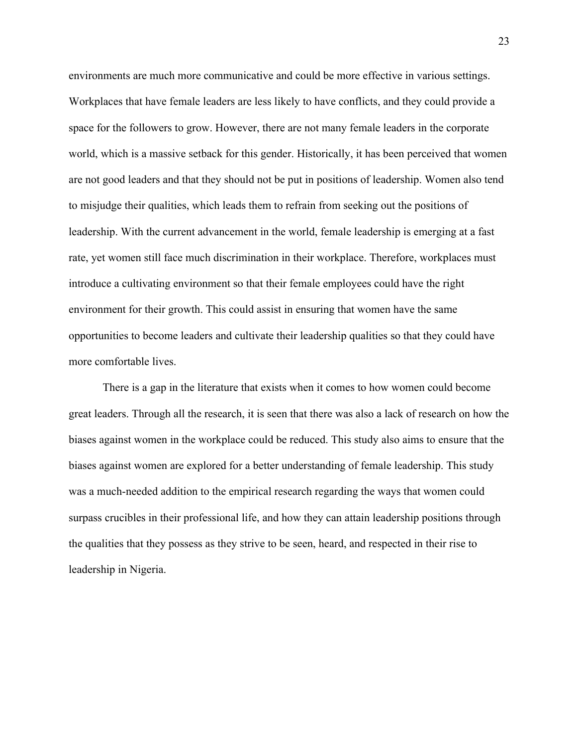environments are much more communicative and could be more effective in various settings. Workplaces that have female leaders are less likely to have conflicts, and they could provide a space for the followers to grow. However, there are not many female leaders in the corporate world, which is a massive setback for this gender. Historically, it has been perceived that women are not good leaders and that they should not be put in positions of leadership. Women also tend to misjudge their qualities, which leads them to refrain from seeking out the positions of leadership. With the current advancement in the world, female leadership is emerging at a fast rate, yet women still face much discrimination in their workplace. Therefore, workplaces must introduce a cultivating environment so that their female employees could have the right environment for their growth. This could assist in ensuring that women have the same opportunities to become leaders and cultivate their leadership qualities so that they could have more comfortable lives.

There is a gap in the literature that exists when it comes to how women could become great leaders. Through all the research, it is seen that there was also a lack of research on how the biases against women in the workplace could be reduced. This study also aims to ensure that the biases against women are explored for a better understanding of female leadership. This study was a much-needed addition to the empirical research regarding the ways that women could surpass crucibles in their professional life, and how they can attain leadership positions through the qualities that they possess as they strive to be seen, heard, and respected in their rise to leadership in Nigeria.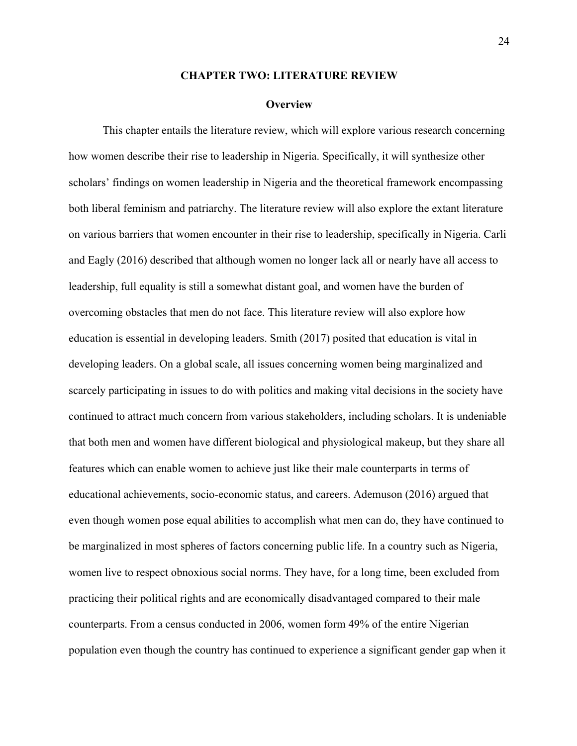#### **CHAPTER TWO: LITERATURE REVIEW**

#### **Overview**

This chapter entails the literature review, which will explore various research concerning how women describe their rise to leadership in Nigeria. Specifically, it will synthesize other scholars' findings on women leadership in Nigeria and the theoretical framework encompassing both liberal feminism and patriarchy. The literature review will also explore the extant literature on various barriers that women encounter in their rise to leadership, specifically in Nigeria. Carli and Eagly (2016) described that although women no longer lack all or nearly have all access to leadership, full equality is still a somewhat distant goal, and women have the burden of overcoming obstacles that men do not face. This literature review will also explore how education is essential in developing leaders. Smith (2017) posited that education is vital in developing leaders. On a global scale, all issues concerning women being marginalized and scarcely participating in issues to do with politics and making vital decisions in the society have continued to attract much concern from various stakeholders, including scholars. It is undeniable that both men and women have different biological and physiological makeup, but they share all features which can enable women to achieve just like their male counterparts in terms of educational achievements, socio-economic status, and careers. Ademuson (2016) argued that even though women pose equal abilities to accomplish what men can do, they have continued to be marginalized in most spheres of factors concerning public life. In a country such as Nigeria, women live to respect obnoxious social norms. They have, for a long time, been excluded from practicing their political rights and are economically disadvantaged compared to their male counterparts. From a census conducted in 2006, women form 49% of the entire Nigerian population even though the country has continued to experience a significant gender gap when it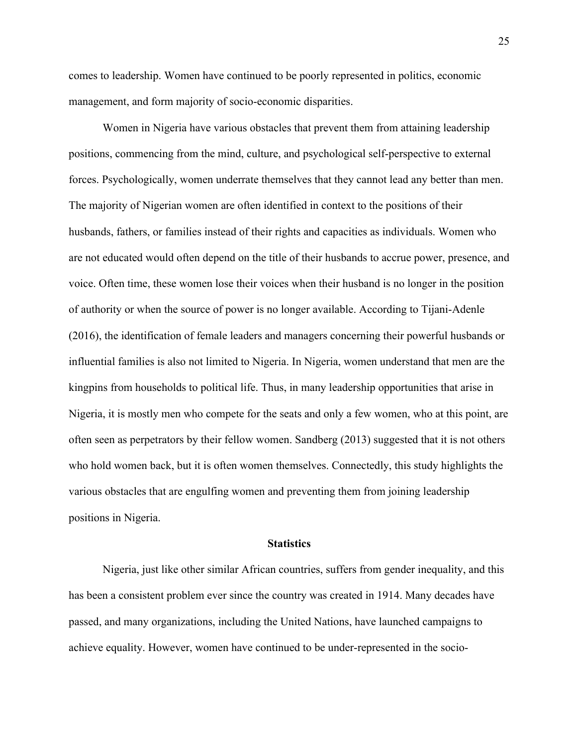comes to leadership. Women have continued to be poorly represented in politics, economic management, and form majority of socio-economic disparities.

Women in Nigeria have various obstacles that prevent them from attaining leadership positions, commencing from the mind, culture, and psychological self-perspective to external forces. Psychologically, women underrate themselves that they cannot lead any better than men. The majority of Nigerian women are often identified in context to the positions of their husbands, fathers, or families instead of their rights and capacities as individuals. Women who are not educated would often depend on the title of their husbands to accrue power, presence, and voice. Often time, these women lose their voices when their husband is no longer in the position of authority or when the source of power is no longer available. According to Tijani-Adenle (2016), the identification of female leaders and managers concerning their powerful husbands or influential families is also not limited to Nigeria. In Nigeria, women understand that men are the kingpins from households to political life. Thus, in many leadership opportunities that arise in Nigeria, it is mostly men who compete for the seats and only a few women, who at this point, are often seen as perpetrators by their fellow women. Sandberg (2013) suggested that it is not others who hold women back, but it is often women themselves. Connectedly, this study highlights the various obstacles that are engulfing women and preventing them from joining leadership positions in Nigeria.

## **Statistics**

Nigeria, just like other similar African countries, suffers from gender inequality, and this has been a consistent problem ever since the country was created in 1914. Many decades have passed, and many organizations, including the United Nations, have launched campaigns to achieve equality. However, women have continued to be under-represented in the socio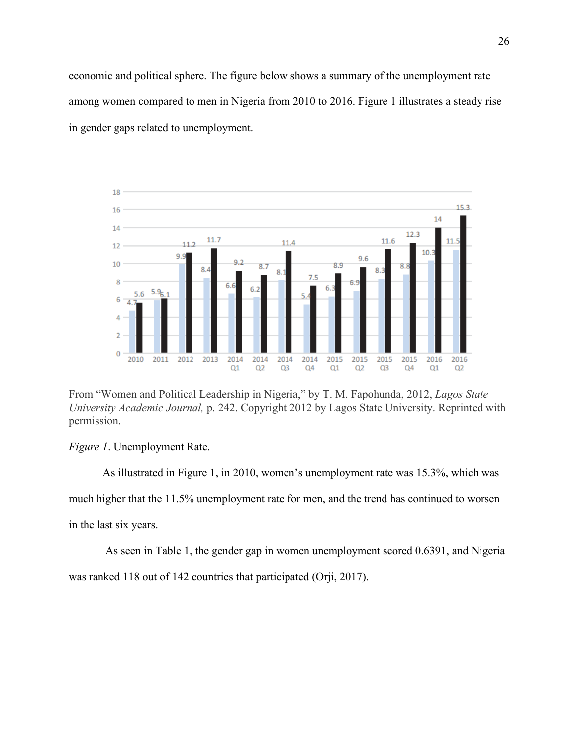economic and political sphere. The figure below shows a summary of the unemployment rate among women compared to men in Nigeria from 2010 to 2016. Figure 1 illustrates a steady rise in gender gaps related to unemployment.



From "Women and Political Leadership in Nigeria," by T. M. Fapohunda, 2012, *Lagos State University Academic Journal,* p. 242. Copyright 2012 by Lagos State University. Reprinted with permission.

*Figure 1*. Unemployment Rate.

As illustrated in Figure 1, in 2010, women's unemployment rate was 15.3%, which was much higher that the 11.5% unemployment rate for men, and the trend has continued to worsen in the last six years.

As seen in Table 1, the gender gap in women unemployment scored 0.6391, and Nigeria was ranked 118 out of 142 countries that participated (Orji, 2017).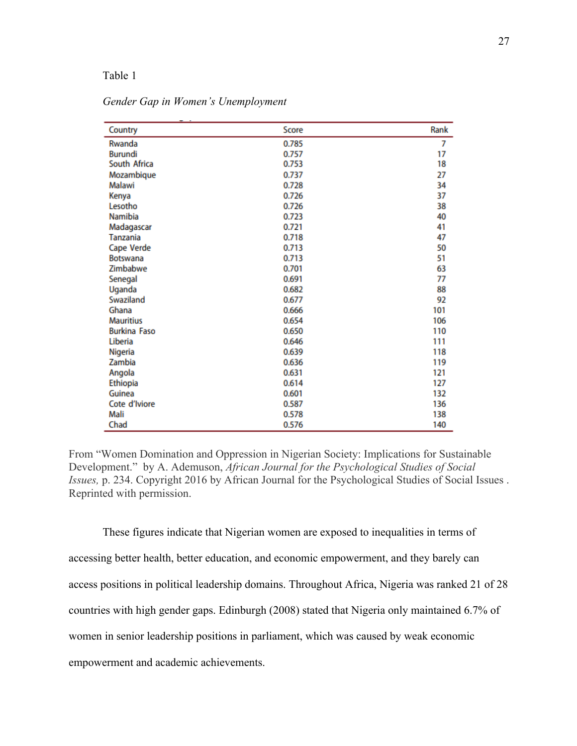### Table 1

| Country             | Score | Rank |
|---------------------|-------|------|
| Rwanda              | 0.785 | 7    |
| <b>Burundi</b>      | 0.757 | 17   |
| South Africa        | 0.753 | 18   |
| Mozambique          | 0.737 | 27   |
| Malawi              | 0.728 | 34   |
| Kenya               | 0.726 | 37   |
| Lesotho             | 0.726 | 38   |
| Namibia             | 0.723 | 40   |
| Madagascar          | 0.721 | 41   |
| Tanzania            | 0.718 | 47   |
| Cape Verde          | 0.713 | 50   |
| <b>Botswana</b>     | 0.713 | 51   |
| Zimbabwe            | 0.701 | 63   |
| Senegal             | 0.691 | 77   |
| Uganda              | 0.682 | 88   |
| Swaziland           | 0.677 | 92   |
| Ghana               | 0.666 | 101  |
| <b>Mauritius</b>    | 0.654 | 106  |
| <b>Burkina Faso</b> | 0.650 | 110  |
| Liberia             | 0.646 | 111  |
| Nigeria             | 0.639 | 118  |
| Zambia              | 0.636 | 119  |
| Angola              | 0.631 | 121  |
| Ethiopia            | 0.614 | 127  |
| Guinea              | 0.601 | 132  |
| Cote d'Iviore       | 0.587 | 136  |
| Mali                | 0.578 | 138  |
| Chad                | 0.576 | 140  |

*Gender Gap in Women's Unemployment*

From "Women Domination and Oppression in Nigerian Society: Implications for Sustainable Development." by A. Ademuson, *African Journal for the Psychological Studies of Social Issues,* p. 234. Copyright 2016 by African Journal for the Psychological Studies of Social Issues . Reprinted with permission.

These figures indicate that Nigerian women are exposed to inequalities in terms of accessing better health, better education, and economic empowerment, and they barely can access positions in political leadership domains. Throughout Africa, Nigeria was ranked 21 of 28 countries with high gender gaps. Edinburgh (2008) stated that Nigeria only maintained 6.7% of women in senior leadership positions in parliament, which was caused by weak economic empowerment and academic achievements.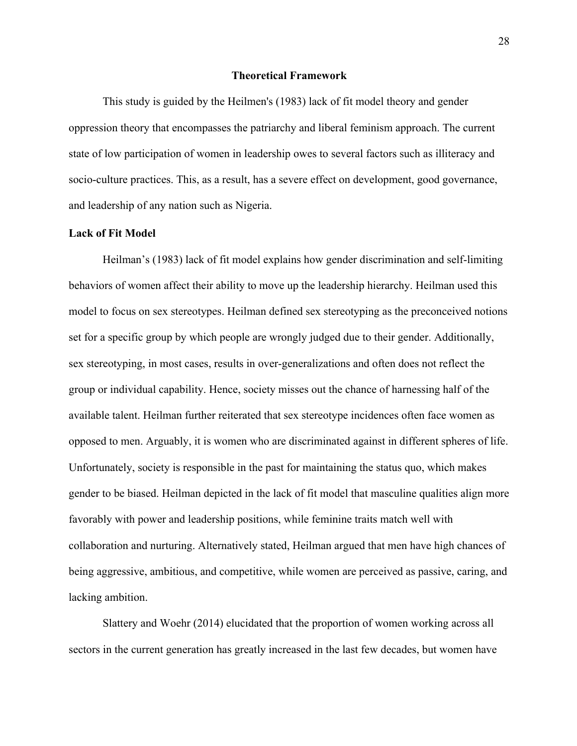### **Theoretical Framework**

This study is guided by the Heilmen's (1983) lack of fit model theory and gender oppression theory that encompasses the patriarchy and liberal feminism approach. The current state of low participation of women in leadership owes to several factors such as illiteracy and socio-culture practices. This, as a result, has a severe effect on development, good governance, and leadership of any nation such as Nigeria.

# **Lack of Fit Model**

Heilman's (1983) lack of fit model explains how gender discrimination and self-limiting behaviors of women affect their ability to move up the leadership hierarchy. Heilman used this model to focus on sex stereotypes. Heilman defined sex stereotyping as the preconceived notions set for a specific group by which people are wrongly judged due to their gender. Additionally, sex stereotyping, in most cases, results in over-generalizations and often does not reflect the group or individual capability. Hence, society misses out the chance of harnessing half of the available talent. Heilman further reiterated that sex stereotype incidences often face women as opposed to men. Arguably, it is women who are discriminated against in different spheres of life. Unfortunately, society is responsible in the past for maintaining the status quo, which makes gender to be biased. Heilman depicted in the lack of fit model that masculine qualities align more favorably with power and leadership positions, while feminine traits match well with collaboration and nurturing. Alternatively stated, Heilman argued that men have high chances of being aggressive, ambitious, and competitive, while women are perceived as passive, caring, and lacking ambition.

Slattery and Woehr (2014) elucidated that the proportion of women working across all sectors in the current generation has greatly increased in the last few decades, but women have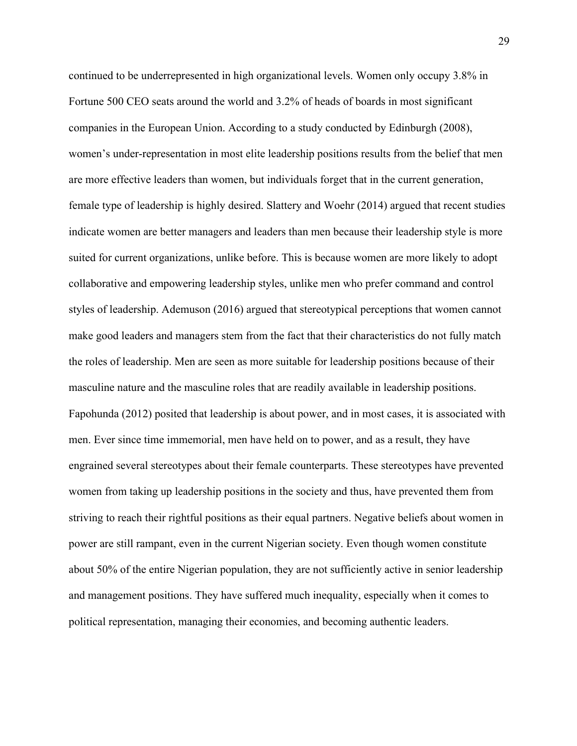continued to be underrepresented in high organizational levels. Women only occupy 3.8% in Fortune 500 CEO seats around the world and 3.2% of heads of boards in most significant companies in the European Union. According to a study conducted by Edinburgh (2008), women's under-representation in most elite leadership positions results from the belief that men are more effective leaders than women, but individuals forget that in the current generation, female type of leadership is highly desired. Slattery and Woehr (2014) argued that recent studies indicate women are better managers and leaders than men because their leadership style is more suited for current organizations, unlike before. This is because women are more likely to adopt collaborative and empowering leadership styles, unlike men who prefer command and control styles of leadership. Ademuson (2016) argued that stereotypical perceptions that women cannot make good leaders and managers stem from the fact that their characteristics do not fully match the roles of leadership. Men are seen as more suitable for leadership positions because of their masculine nature and the masculine roles that are readily available in leadership positions. Fapohunda (2012) posited that leadership is about power, and in most cases, it is associated with men. Ever since time immemorial, men have held on to power, and as a result, they have engrained several stereotypes about their female counterparts. These stereotypes have prevented women from taking up leadership positions in the society and thus, have prevented them from striving to reach their rightful positions as their equal partners. Negative beliefs about women in power are still rampant, even in the current Nigerian society. Even though women constitute about 50% of the entire Nigerian population, they are not sufficiently active in senior leadership and management positions. They have suffered much inequality, especially when it comes to political representation, managing their economies, and becoming authentic leaders.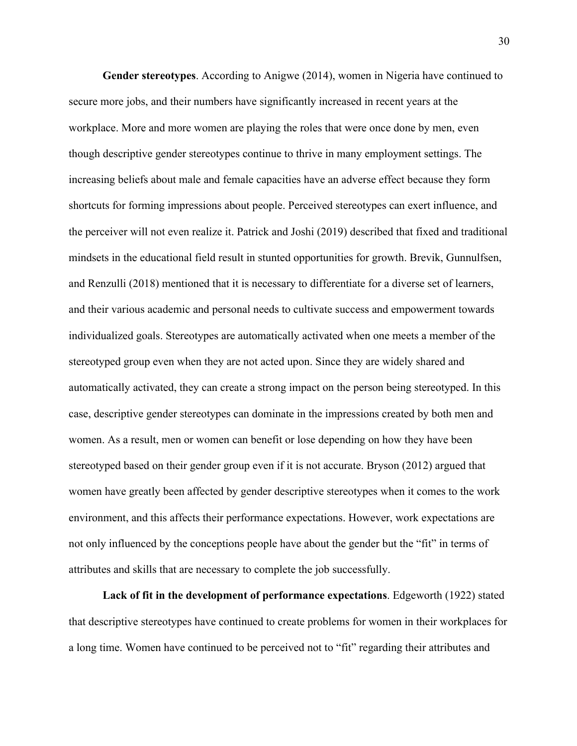**Gender stereotypes**. According to Anigwe (2014), women in Nigeria have continued to secure more jobs, and their numbers have significantly increased in recent years at the workplace. More and more women are playing the roles that were once done by men, even though descriptive gender stereotypes continue to thrive in many employment settings. The increasing beliefs about male and female capacities have an adverse effect because they form shortcuts for forming impressions about people. Perceived stereotypes can exert influence, and the perceiver will not even realize it. Patrick and Joshi (2019) described that fixed and traditional mindsets in the educational field result in stunted opportunities for growth. Brevik, Gunnulfsen, and Renzulli (2018) mentioned that it is necessary to differentiate for a diverse set of learners, and their various academic and personal needs to cultivate success and empowerment towards individualized goals. Stereotypes are automatically activated when one meets a member of the stereotyped group even when they are not acted upon. Since they are widely shared and automatically activated, they can create a strong impact on the person being stereotyped. In this case, descriptive gender stereotypes can dominate in the impressions created by both men and women. As a result, men or women can benefit or lose depending on how they have been stereotyped based on their gender group even if it is not accurate. Bryson (2012) argued that women have greatly been affected by gender descriptive stereotypes when it comes to the work environment, and this affects their performance expectations. However, work expectations are not only influenced by the conceptions people have about the gender but the "fit" in terms of attributes and skills that are necessary to complete the job successfully.

**Lack of fit in the development of performance expectations**. Edgeworth (1922) stated that descriptive stereotypes have continued to create problems for women in their workplaces for a long time. Women have continued to be perceived not to "fit" regarding their attributes and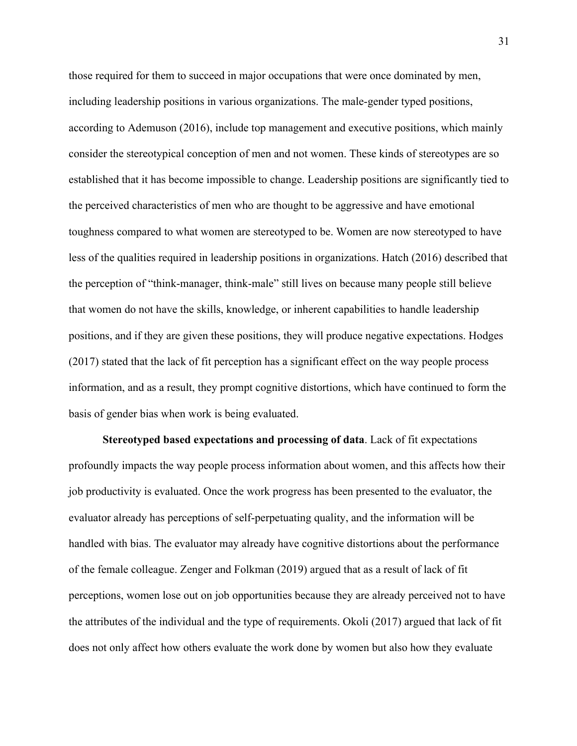those required for them to succeed in major occupations that were once dominated by men, including leadership positions in various organizations. The male-gender typed positions, according to Ademuson (2016), include top management and executive positions, which mainly consider the stereotypical conception of men and not women. These kinds of stereotypes are so established that it has become impossible to change. Leadership positions are significantly tied to the perceived characteristics of men who are thought to be aggressive and have emotional toughness compared to what women are stereotyped to be. Women are now stereotyped to have less of the qualities required in leadership positions in organizations. Hatch (2016) described that the perception of "think-manager, think-male" still lives on because many people still believe that women do not have the skills, knowledge, or inherent capabilities to handle leadership positions, and if they are given these positions, they will produce negative expectations. Hodges (2017) stated that the lack of fit perception has a significant effect on the way people process information, and as a result, they prompt cognitive distortions, which have continued to form the basis of gender bias when work is being evaluated.

**Stereotyped based expectations and processing of data**. Lack of fit expectations profoundly impacts the way people process information about women, and this affects how their job productivity is evaluated. Once the work progress has been presented to the evaluator, the evaluator already has perceptions of self-perpetuating quality, and the information will be handled with bias. The evaluator may already have cognitive distortions about the performance of the female colleague. Zenger and Folkman (2019) argued that as a result of lack of fit perceptions, women lose out on job opportunities because they are already perceived not to have the attributes of the individual and the type of requirements. Okoli (2017) argued that lack of fit does not only affect how others evaluate the work done by women but also how they evaluate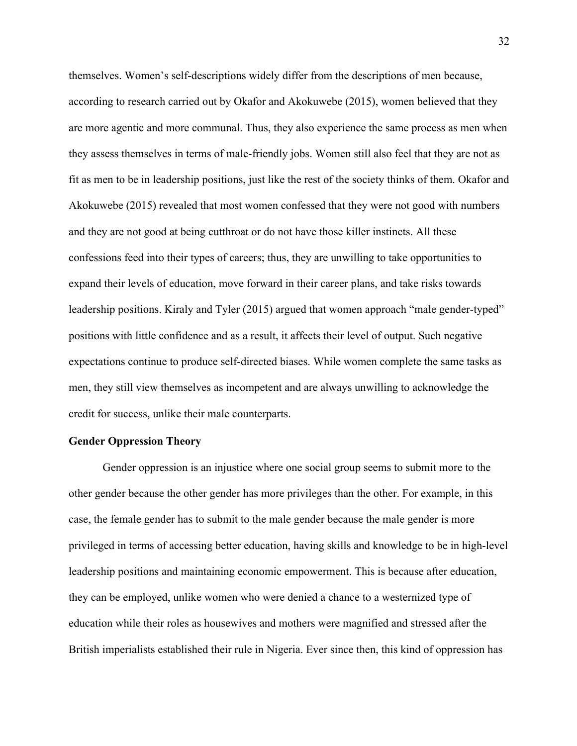themselves. Women's self-descriptions widely differ from the descriptions of men because, according to research carried out by Okafor and Akokuwebe (2015), women believed that they are more agentic and more communal. Thus, they also experience the same process as men when they assess themselves in terms of male-friendly jobs. Women still also feel that they are not as fit as men to be in leadership positions, just like the rest of the society thinks of them. Okafor and Akokuwebe (2015) revealed that most women confessed that they were not good with numbers and they are not good at being cutthroat or do not have those killer instincts. All these confessions feed into their types of careers; thus, they are unwilling to take opportunities to expand their levels of education, move forward in their career plans, and take risks towards leadership positions. Kiraly and Tyler (2015) argued that women approach "male gender-typed" positions with little confidence and as a result, it affects their level of output. Such negative expectations continue to produce self-directed biases. While women complete the same tasks as men, they still view themselves as incompetent and are always unwilling to acknowledge the credit for success, unlike their male counterparts.

### **Gender Oppression Theory**

Gender oppression is an injustice where one social group seems to submit more to the other gender because the other gender has more privileges than the other. For example, in this case, the female gender has to submit to the male gender because the male gender is more privileged in terms of accessing better education, having skills and knowledge to be in high-level leadership positions and maintaining economic empowerment. This is because after education, they can be employed, unlike women who were denied a chance to a westernized type of education while their roles as housewives and mothers were magnified and stressed after the British imperialists established their rule in Nigeria. Ever since then, this kind of oppression has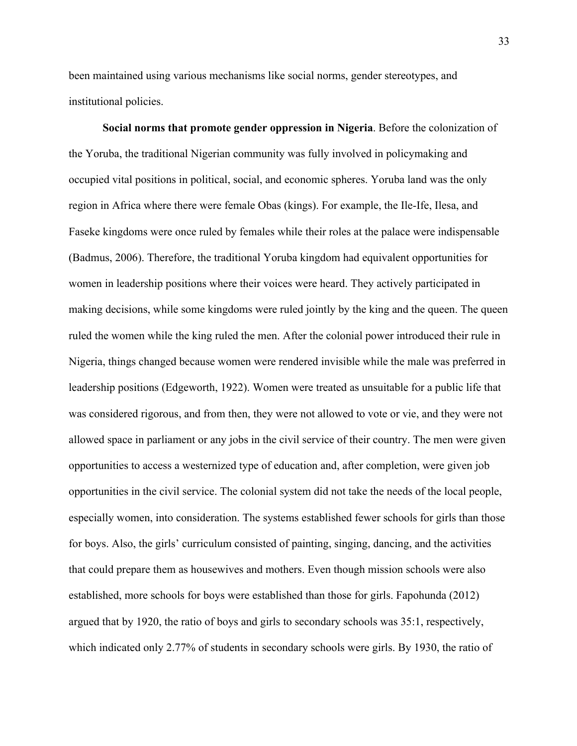been maintained using various mechanisms like social norms, gender stereotypes, and institutional policies.

**Social norms that promote gender oppression in Nigeria**. Before the colonization of the Yoruba, the traditional Nigerian community was fully involved in policymaking and occupied vital positions in political, social, and economic spheres. Yoruba land was the only region in Africa where there were female Obas (kings). For example, the Ile-Ife, Ilesa, and Faseke kingdoms were once ruled by females while their roles at the palace were indispensable (Badmus, 2006). Therefore, the traditional Yoruba kingdom had equivalent opportunities for women in leadership positions where their voices were heard. They actively participated in making decisions, while some kingdoms were ruled jointly by the king and the queen. The queen ruled the women while the king ruled the men. After the colonial power introduced their rule in Nigeria, things changed because women were rendered invisible while the male was preferred in leadership positions (Edgeworth, 1922). Women were treated as unsuitable for a public life that was considered rigorous, and from then, they were not allowed to vote or vie, and they were not allowed space in parliament or any jobs in the civil service of their country. The men were given opportunities to access a westernized type of education and, after completion, were given job opportunities in the civil service. The colonial system did not take the needs of the local people, especially women, into consideration. The systems established fewer schools for girls than those for boys. Also, the girls' curriculum consisted of painting, singing, dancing, and the activities that could prepare them as housewives and mothers. Even though mission schools were also established, more schools for boys were established than those for girls. Fapohunda (2012) argued that by 1920, the ratio of boys and girls to secondary schools was 35:1, respectively, which indicated only 2.77% of students in secondary schools were girls. By 1930, the ratio of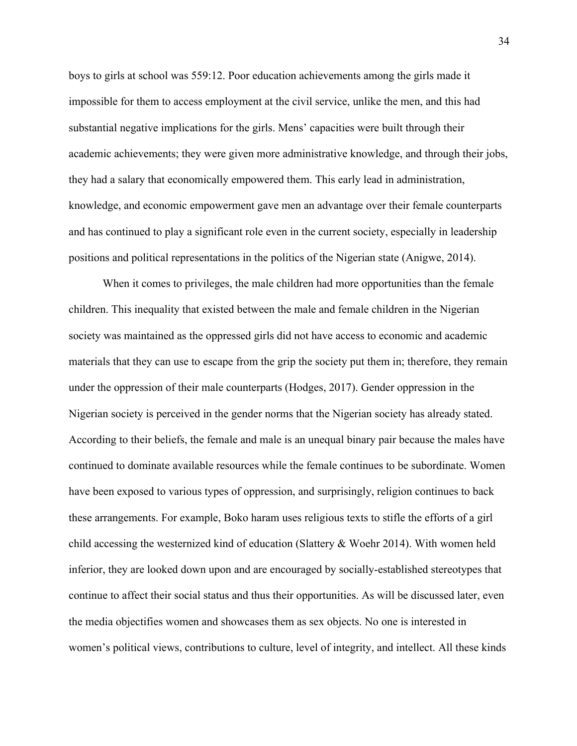boys to girls at school was 559:12. Poor education achievements among the girls made it impossible for them to access employment at the civil service, unlike the men, and this had substantial negative implications for the girls. Mens' capacities were built through their academic achievements; they were given more administrative knowledge, and through their jobs, they had a salary that economically empowered them. This early lead in administration, knowledge, and economic empowerment gave men an advantage over their female counterparts and has continued to play a significant role even in the current society, especially in leadership positions and political representations in the politics of the Nigerian state (Anigwe, 2014).

When it comes to privileges, the male children had more opportunities than the female children. This inequality that existed between the male and female children in the Nigerian society was maintained as the oppressed girls did not have access to economic and academic materials that they can use to escape from the grip the society put them in; therefore, they remain under the oppression of their male counterparts (Hodges, 2017). Gender oppression in the Nigerian society is perceived in the gender norms that the Nigerian society has already stated. According to their beliefs, the female and male is an unequal binary pair because the males have continued to dominate available resources while the female continues to be subordinate. Women have been exposed to various types of oppression, and surprisingly, religion continues to back these arrangements. For example, Boko haram uses religious texts to stifle the efforts of a girl child accessing the westernized kind of education (Slattery & Woehr 2014). With women held inferior, they are looked down upon and are encouraged by socially-established stereotypes that continue to affect their social status and thus their opportunities. As will be discussed later, even the media objectifies women and showcases them as sex objects. No one is interested in women's political views, contributions to culture, level of integrity, and intellect. All these kinds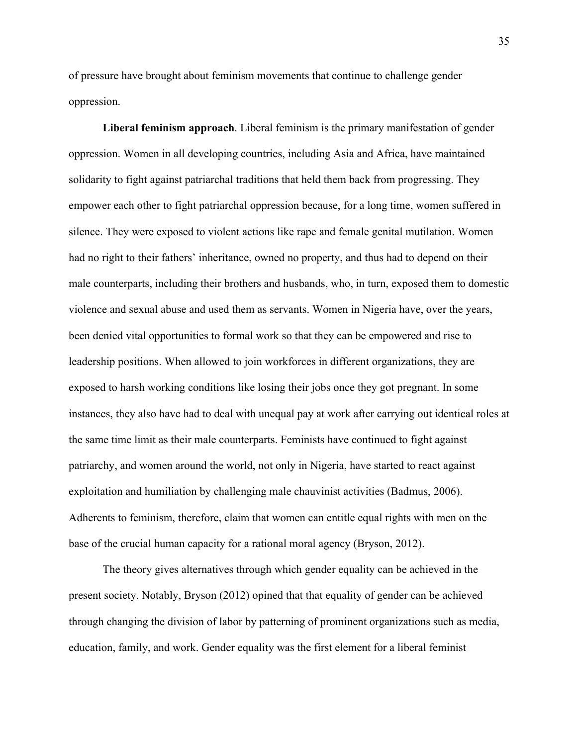of pressure have brought about feminism movements that continue to challenge gender oppression.

**Liberal feminism approach**. Liberal feminism is the primary manifestation of gender oppression. Women in all developing countries, including Asia and Africa, have maintained solidarity to fight against patriarchal traditions that held them back from progressing. They empower each other to fight patriarchal oppression because, for a long time, women suffered in silence. They were exposed to violent actions like rape and female genital mutilation. Women had no right to their fathers' inheritance, owned no property, and thus had to depend on their male counterparts, including their brothers and husbands, who, in turn, exposed them to domestic violence and sexual abuse and used them as servants. Women in Nigeria have, over the years, been denied vital opportunities to formal work so that they can be empowered and rise to leadership positions. When allowed to join workforces in different organizations, they are exposed to harsh working conditions like losing their jobs once they got pregnant. In some instances, they also have had to deal with unequal pay at work after carrying out identical roles at the same time limit as their male counterparts. Feminists have continued to fight against patriarchy, and women around the world, not only in Nigeria, have started to react against exploitation and humiliation by challenging male chauvinist activities (Badmus, 2006). Adherents to feminism, therefore, claim that women can entitle equal rights with men on the base of the crucial human capacity for a rational moral agency (Bryson, 2012).

The theory gives alternatives through which gender equality can be achieved in the present society. Notably, Bryson (2012) opined that that equality of gender can be achieved through changing the division of labor by patterning of prominent organizations such as media, education, family, and work. Gender equality was the first element for a liberal feminist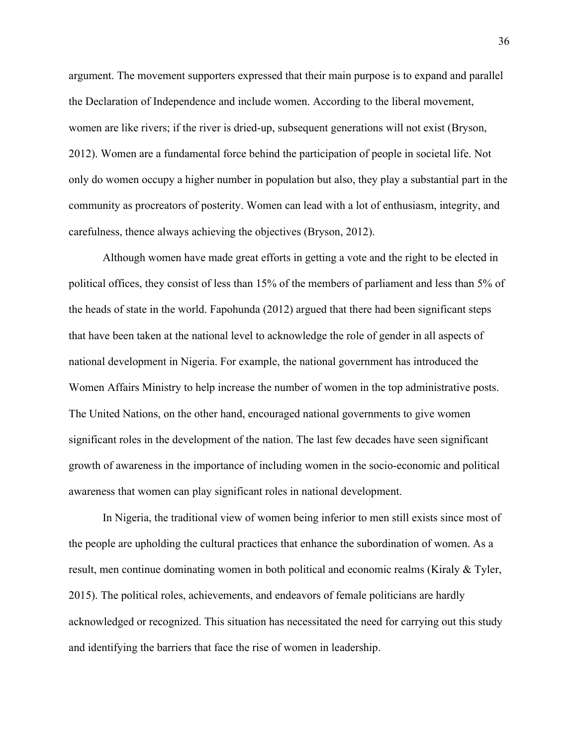argument. The movement supporters expressed that their main purpose is to expand and parallel the Declaration of Independence and include women. According to the liberal movement, women are like rivers; if the river is dried-up, subsequent generations will not exist (Bryson, 2012). Women are a fundamental force behind the participation of people in societal life. Not only do women occupy a higher number in population but also, they play a substantial part in the community as procreators of posterity. Women can lead with a lot of enthusiasm, integrity, and carefulness, thence always achieving the objectives (Bryson, 2012).

Although women have made great efforts in getting a vote and the right to be elected in political offices, they consist of less than 15% of the members of parliament and less than 5% of the heads of state in the world. Fapohunda (2012) argued that there had been significant steps that have been taken at the national level to acknowledge the role of gender in all aspects of national development in Nigeria. For example, the national government has introduced the Women Affairs Ministry to help increase the number of women in the top administrative posts. The United Nations, on the other hand, encouraged national governments to give women significant roles in the development of the nation. The last few decades have seen significant growth of awareness in the importance of including women in the socio-economic and political awareness that women can play significant roles in national development.

In Nigeria, the traditional view of women being inferior to men still exists since most of the people are upholding the cultural practices that enhance the subordination of women. As a result, men continue dominating women in both political and economic realms (Kiraly & Tyler, 2015). The political roles, achievements, and endeavors of female politicians are hardly acknowledged or recognized. This situation has necessitated the need for carrying out this study and identifying the barriers that face the rise of women in leadership.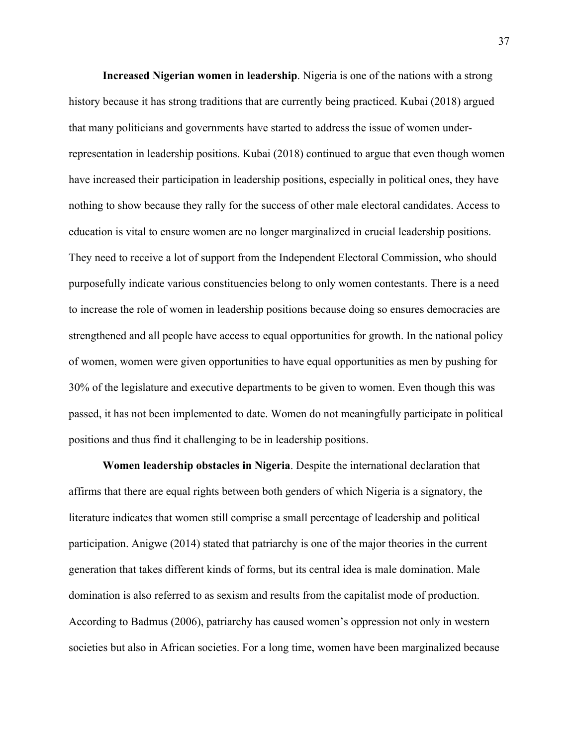**Increased Nigerian women in leadership**. Nigeria is one of the nations with a strong history because it has strong traditions that are currently being practiced. Kubai (2018) argued that many politicians and governments have started to address the issue of women underrepresentation in leadership positions. Kubai (2018) continued to argue that even though women have increased their participation in leadership positions, especially in political ones, they have nothing to show because they rally for the success of other male electoral candidates. Access to education is vital to ensure women are no longer marginalized in crucial leadership positions. They need to receive a lot of support from the Independent Electoral Commission, who should purposefully indicate various constituencies belong to only women contestants. There is a need to increase the role of women in leadership positions because doing so ensures democracies are strengthened and all people have access to equal opportunities for growth. In the national policy of women, women were given opportunities to have equal opportunities as men by pushing for 30% of the legislature and executive departments to be given to women. Even though this was passed, it has not been implemented to date. Women do not meaningfully participate in political positions and thus find it challenging to be in leadership positions.

**Women leadership obstacles in Nigeria**. Despite the international declaration that affirms that there are equal rights between both genders of which Nigeria is a signatory, the literature indicates that women still comprise a small percentage of leadership and political participation. Anigwe (2014) stated that patriarchy is one of the major theories in the current generation that takes different kinds of forms, but its central idea is male domination. Male domination is also referred to as sexism and results from the capitalist mode of production. According to Badmus (2006), patriarchy has caused women's oppression not only in western societies but also in African societies. For a long time, women have been marginalized because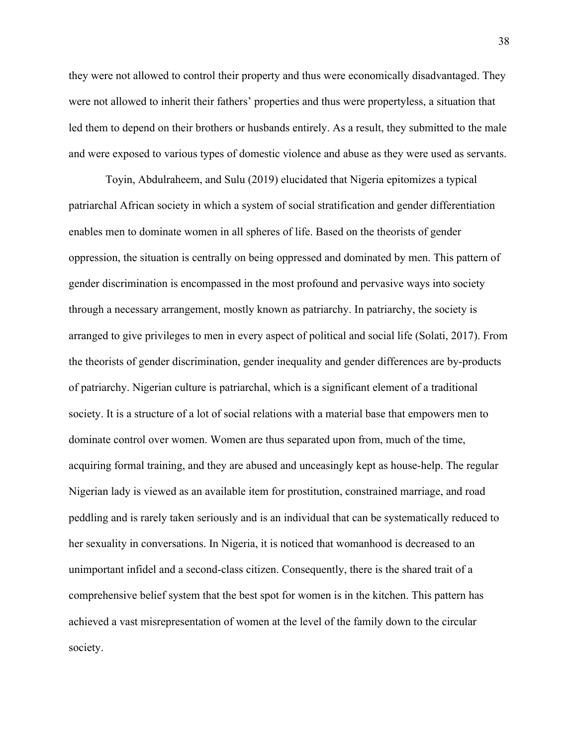they were not allowed to control their property and thus were economically disadvantaged. They were not allowed to inherit their fathers' properties and thus were propertyless, a situation that led them to depend on their brothers or husbands entirely. As a result, they submitted to the male and were exposed to various types of domestic violence and abuse as they were used as servants.

Toyin, Abdulraheem, and Sulu (2019) elucidated that Nigeria epitomizes a typical patriarchal African society in which a system of social stratification and gender differentiation enables men to dominate women in all spheres of life. Based on the theorists of gender oppression, the situation is centrally on being oppressed and dominated by men. This pattern of gender discrimination is encompassed in the most profound and pervasive ways into society through a necessary arrangement, mostly known as patriarchy. In patriarchy, the society is arranged to give privileges to men in every aspect of political and social life (Solati, 2017). From the theorists of gender discrimination, gender inequality and gender differences are by-products of patriarchy. Nigerian culture is patriarchal, which is a significant element of a traditional society. It is a structure of a lot of social relations with a material base that empowers men to dominate control over women. Women are thus separated upon from, much of the time, acquiring formal training, and they are abused and unceasingly kept as house-help. The regular Nigerian lady is viewed as an available item for prostitution, constrained marriage, and road peddling and is rarely taken seriously and is an individual that can be systematically reduced to her sexuality in conversations. In Nigeria, it is noticed that womanhood is decreased to an unimportant infidel and a second-class citizen. Consequently, there is the shared trait of a comprehensive belief system that the best spot for women is in the kitchen. This pattern has achieved a vast misrepresentation of women at the level of the family down to the circular society.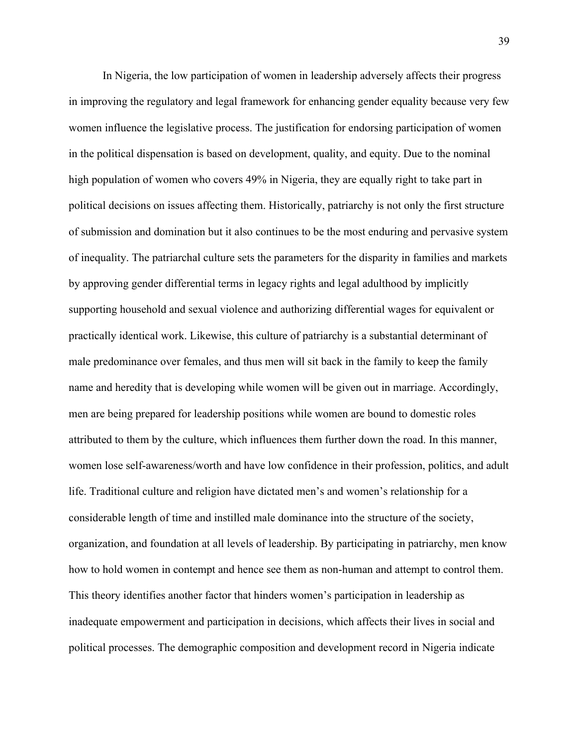In Nigeria, the low participation of women in leadership adversely affects their progress in improving the regulatory and legal framework for enhancing gender equality because very few women influence the legislative process. The justification for endorsing participation of women in the political dispensation is based on development, quality, and equity. Due to the nominal high population of women who covers 49% in Nigeria, they are equally right to take part in political decisions on issues affecting them. Historically, patriarchy is not only the first structure of submission and domination but it also continues to be the most enduring and pervasive system of inequality. The patriarchal culture sets the parameters for the disparity in families and markets by approving gender differential terms in legacy rights and legal adulthood by implicitly supporting household and sexual violence and authorizing differential wages for equivalent or practically identical work. Likewise, this culture of patriarchy is a substantial determinant of male predominance over females, and thus men will sit back in the family to keep the family name and heredity that is developing while women will be given out in marriage. Accordingly, men are being prepared for leadership positions while women are bound to domestic roles attributed to them by the culture, which influences them further down the road. In this manner, women lose self-awareness/worth and have low confidence in their profession, politics, and adult life. Traditional culture and religion have dictated men's and women's relationship for a considerable length of time and instilled male dominance into the structure of the society, organization, and foundation at all levels of leadership. By participating in patriarchy, men know how to hold women in contempt and hence see them as non-human and attempt to control them. This theory identifies another factor that hinders women's participation in leadership as inadequate empowerment and participation in decisions, which affects their lives in social and political processes. The demographic composition and development record in Nigeria indicate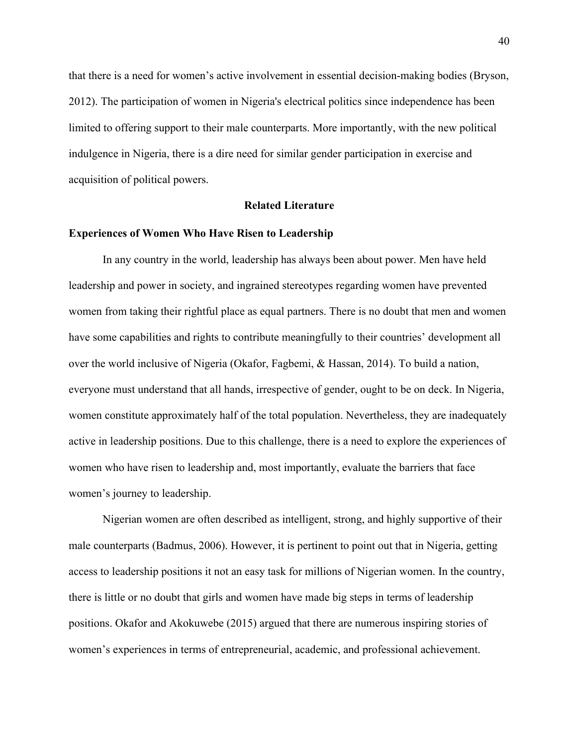that there is a need for women's active involvement in essential decision-making bodies (Bryson, 2012). The participation of women in Nigeria's electrical politics since independence has been limited to offering support to their male counterparts. More importantly, with the new political indulgence in Nigeria, there is a dire need for similar gender participation in exercise and acquisition of political powers.

## **Related Literature**

## **Experiences of Women Who Have Risen to Leadership**

In any country in the world, leadership has always been about power. Men have held leadership and power in society, and ingrained stereotypes regarding women have prevented women from taking their rightful place as equal partners. There is no doubt that men and women have some capabilities and rights to contribute meaningfully to their countries' development all over the world inclusive of Nigeria (Okafor, Fagbemi, & Hassan, 2014). To build a nation, everyone must understand that all hands, irrespective of gender, ought to be on deck. In Nigeria, women constitute approximately half of the total population. Nevertheless, they are inadequately active in leadership positions. Due to this challenge, there is a need to explore the experiences of women who have risen to leadership and, most importantly, evaluate the barriers that face women's journey to leadership.

Nigerian women are often described as intelligent, strong, and highly supportive of their male counterparts (Badmus, 2006). However, it is pertinent to point out that in Nigeria, getting access to leadership positions it not an easy task for millions of Nigerian women. In the country, there is little or no doubt that girls and women have made big steps in terms of leadership positions. Okafor and Akokuwebe (2015) argued that there are numerous inspiring stories of women's experiences in terms of entrepreneurial, academic, and professional achievement.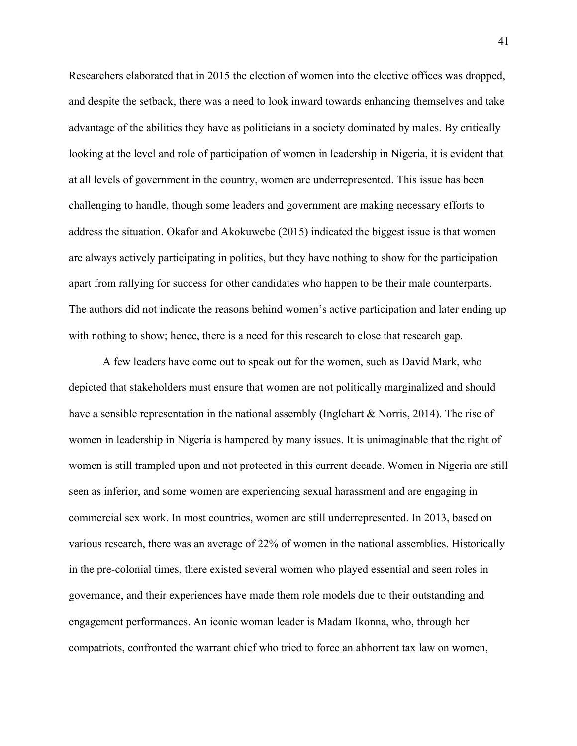Researchers elaborated that in 2015 the election of women into the elective offices was dropped, and despite the setback, there was a need to look inward towards enhancing themselves and take advantage of the abilities they have as politicians in a society dominated by males. By critically looking at the level and role of participation of women in leadership in Nigeria, it is evident that at all levels of government in the country, women are underrepresented. This issue has been challenging to handle, though some leaders and government are making necessary efforts to address the situation. Okafor and Akokuwebe (2015) indicated the biggest issue is that women are always actively participating in politics, but they have nothing to show for the participation apart from rallying for success for other candidates who happen to be their male counterparts. The authors did not indicate the reasons behind women's active participation and later ending up with nothing to show; hence, there is a need for this research to close that research gap.

A few leaders have come out to speak out for the women, such as David Mark, who depicted that stakeholders must ensure that women are not politically marginalized and should have a sensible representation in the national assembly (Inglehart & Norris, 2014). The rise of women in leadership in Nigeria is hampered by many issues. It is unimaginable that the right of women is still trampled upon and not protected in this current decade. Women in Nigeria are still seen as inferior, and some women are experiencing sexual harassment and are engaging in commercial sex work. In most countries, women are still underrepresented. In 2013, based on various research, there was an average of 22% of women in the national assemblies. Historically in the pre-colonial times, there existed several women who played essential and seen roles in governance, and their experiences have made them role models due to their outstanding and engagement performances. An iconic woman leader is Madam Ikonna, who, through her compatriots, confronted the warrant chief who tried to force an abhorrent tax law on women,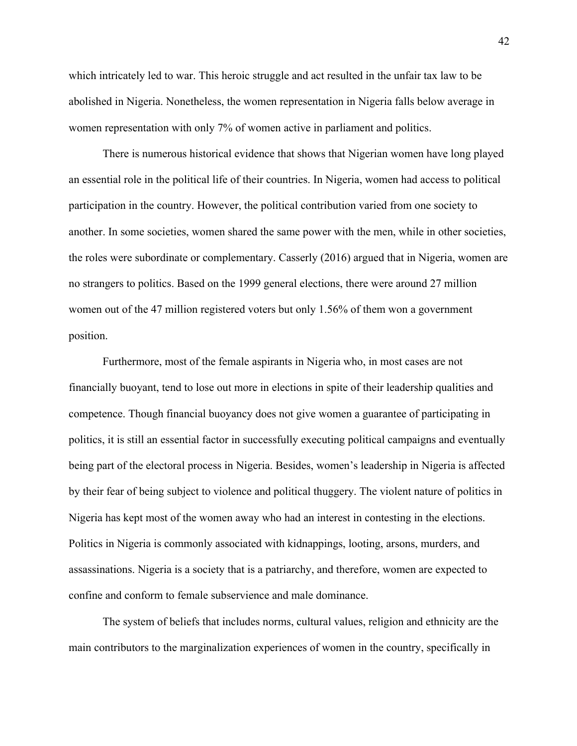which intricately led to war. This heroic struggle and act resulted in the unfair tax law to be abolished in Nigeria. Nonetheless, the women representation in Nigeria falls below average in women representation with only 7% of women active in parliament and politics.

There is numerous historical evidence that shows that Nigerian women have long played an essential role in the political life of their countries. In Nigeria, women had access to political participation in the country. However, the political contribution varied from one society to another. In some societies, women shared the same power with the men, while in other societies, the roles were subordinate or complementary. Casserly (2016) argued that in Nigeria, women are no strangers to politics. Based on the 1999 general elections, there were around 27 million women out of the 47 million registered voters but only 1.56% of them won a government position.

Furthermore, most of the female aspirants in Nigeria who, in most cases are not financially buoyant, tend to lose out more in elections in spite of their leadership qualities and competence. Though financial buoyancy does not give women a guarantee of participating in politics, it is still an essential factor in successfully executing political campaigns and eventually being part of the electoral process in Nigeria. Besides, women's leadership in Nigeria is affected by their fear of being subject to violence and political thuggery. The violent nature of politics in Nigeria has kept most of the women away who had an interest in contesting in the elections. Politics in Nigeria is commonly associated with kidnappings, looting, arsons, murders, and assassinations. Nigeria is a society that is a patriarchy, and therefore, women are expected to confine and conform to female subservience and male dominance.

The system of beliefs that includes norms, cultural values, religion and ethnicity are the main contributors to the marginalization experiences of women in the country, specifically in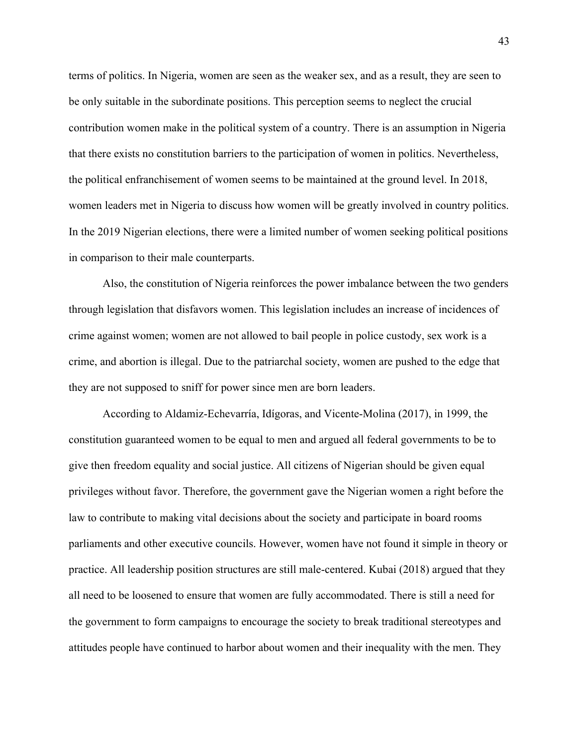terms of politics. In Nigeria, women are seen as the weaker sex, and as a result, they are seen to be only suitable in the subordinate positions. This perception seems to neglect the crucial contribution women make in the political system of a country. There is an assumption in Nigeria that there exists no constitution barriers to the participation of women in politics. Nevertheless, the political enfranchisement of women seems to be maintained at the ground level. In 2018, women leaders met in Nigeria to discuss how women will be greatly involved in country politics. In the 2019 Nigerian elections, there were a limited number of women seeking political positions in comparison to their male counterparts.

Also, the constitution of Nigeria reinforces the power imbalance between the two genders through legislation that disfavors women. This legislation includes an increase of incidences of crime against women; women are not allowed to bail people in police custody, sex work is a crime, and abortion is illegal. Due to the patriarchal society, women are pushed to the edge that they are not supposed to sniff for power since men are born leaders.

According to Aldamiz-Echevarría, Idígoras, and Vicente-Molina (2017), in 1999, the constitution guaranteed women to be equal to men and argued all federal governments to be to give then freedom equality and social justice. All citizens of Nigerian should be given equal privileges without favor. Therefore, the government gave the Nigerian women a right before the law to contribute to making vital decisions about the society and participate in board rooms parliaments and other executive councils. However, women have not found it simple in theory or practice. All leadership position structures are still male-centered. Kubai (2018) argued that they all need to be loosened to ensure that women are fully accommodated. There is still a need for the government to form campaigns to encourage the society to break traditional stereotypes and attitudes people have continued to harbor about women and their inequality with the men. They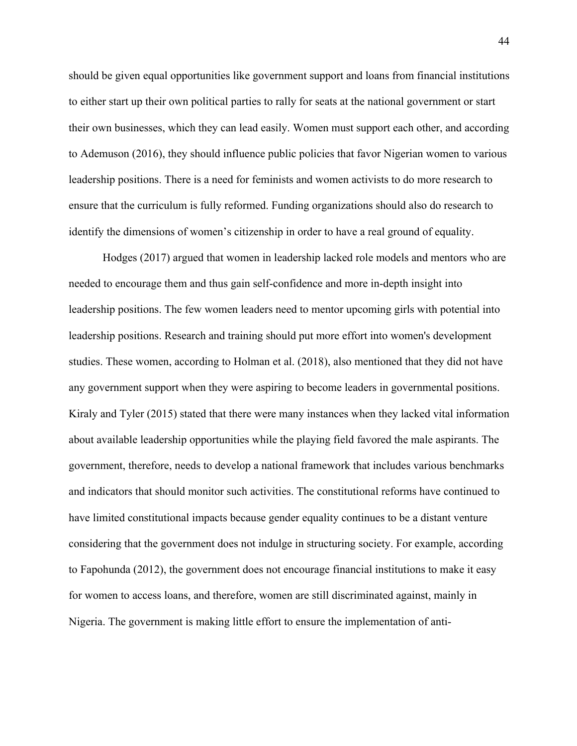should be given equal opportunities like government support and loans from financial institutions to either start up their own political parties to rally for seats at the national government or start their own businesses, which they can lead easily. Women must support each other, and according to Ademuson (2016), they should influence public policies that favor Nigerian women to various leadership positions. There is a need for feminists and women activists to do more research to ensure that the curriculum is fully reformed. Funding organizations should also do research to identify the dimensions of women's citizenship in order to have a real ground of equality.

Hodges (2017) argued that women in leadership lacked role models and mentors who are needed to encourage them and thus gain self-confidence and more in-depth insight into leadership positions. The few women leaders need to mentor upcoming girls with potential into leadership positions. Research and training should put more effort into women's development studies. These women, according to Holman et al. (2018), also mentioned that they did not have any government support when they were aspiring to become leaders in governmental positions. Kiraly and Tyler (2015) stated that there were many instances when they lacked vital information about available leadership opportunities while the playing field favored the male aspirants. The government, therefore, needs to develop a national framework that includes various benchmarks and indicators that should monitor such activities. The constitutional reforms have continued to have limited constitutional impacts because gender equality continues to be a distant venture considering that the government does not indulge in structuring society. For example, according to Fapohunda (2012), the government does not encourage financial institutions to make it easy for women to access loans, and therefore, women are still discriminated against, mainly in Nigeria. The government is making little effort to ensure the implementation of anti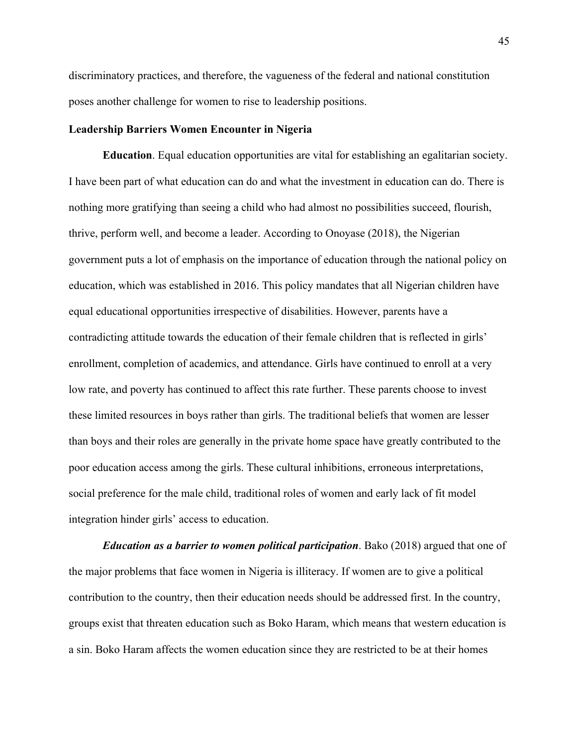discriminatory practices, and therefore, the vagueness of the federal and national constitution poses another challenge for women to rise to leadership positions.

## **Leadership Barriers Women Encounter in Nigeria**

**Education**. Equal education opportunities are vital for establishing an egalitarian society. I have been part of what education can do and what the investment in education can do. There is nothing more gratifying than seeing a child who had almost no possibilities succeed, flourish, thrive, perform well, and become a leader. According to Onoyase (2018), the Nigerian government puts a lot of emphasis on the importance of education through the national policy on education, which was established in 2016. This policy mandates that all Nigerian children have equal educational opportunities irrespective of disabilities. However, parents have a contradicting attitude towards the education of their female children that is reflected in girls' enrollment, completion of academics, and attendance. Girls have continued to enroll at a very low rate, and poverty has continued to affect this rate further. These parents choose to invest these limited resources in boys rather than girls. The traditional beliefs that women are lesser than boys and their roles are generally in the private home space have greatly contributed to the poor education access among the girls. These cultural inhibitions, erroneous interpretations, social preference for the male child, traditional roles of women and early lack of fit model integration hinder girls' access to education.

*Education as a barrier to women political participation*. Bako (2018) argued that one of the major problems that face women in Nigeria is illiteracy. If women are to give a political contribution to the country, then their education needs should be addressed first. In the country, groups exist that threaten education such as Boko Haram, which means that western education is a sin. Boko Haram affects the women education since they are restricted to be at their homes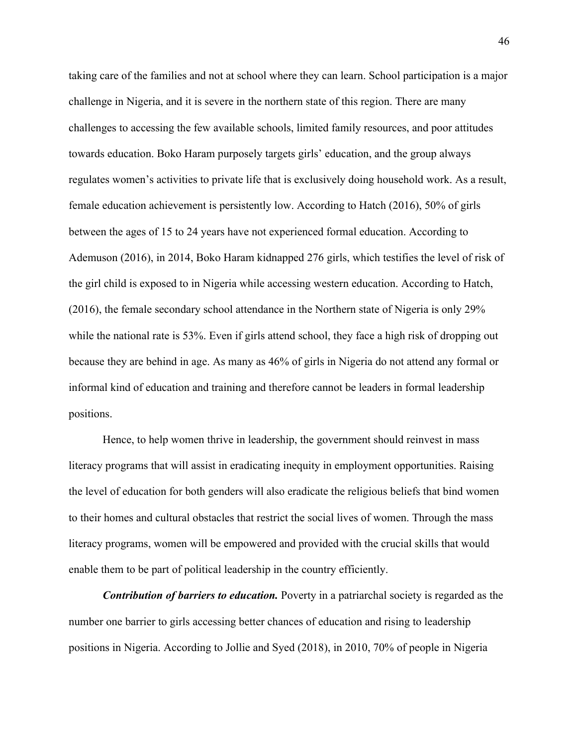taking care of the families and not at school where they can learn. School participation is a major challenge in Nigeria, and it is severe in the northern state of this region. There are many challenges to accessing the few available schools, limited family resources, and poor attitudes towards education. Boko Haram purposely targets girls' education, and the group always regulates women's activities to private life that is exclusively doing household work. As a result, female education achievement is persistently low. According to Hatch (2016), 50% of girls between the ages of 15 to 24 years have not experienced formal education. According to Ademuson (2016), in 2014, Boko Haram kidnapped 276 girls, which testifies the level of risk of the girl child is exposed to in Nigeria while accessing western education. According to Hatch, (2016), the female secondary school attendance in the Northern state of Nigeria is only 29% while the national rate is 53%. Even if girls attend school, they face a high risk of dropping out because they are behind in age. As many as 46% of girls in Nigeria do not attend any formal or informal kind of education and training and therefore cannot be leaders in formal leadership positions.

Hence, to help women thrive in leadership, the government should reinvest in mass literacy programs that will assist in eradicating inequity in employment opportunities. Raising the level of education for both genders will also eradicate the religious beliefs that bind women to their homes and cultural obstacles that restrict the social lives of women. Through the mass literacy programs, women will be empowered and provided with the crucial skills that would enable them to be part of political leadership in the country efficiently.

*Contribution of barriers to education.* Poverty in a patriarchal society is regarded as the number one barrier to girls accessing better chances of education and rising to leadership positions in Nigeria. According to Jollie and Syed (2018), in 2010, 70% of people in Nigeria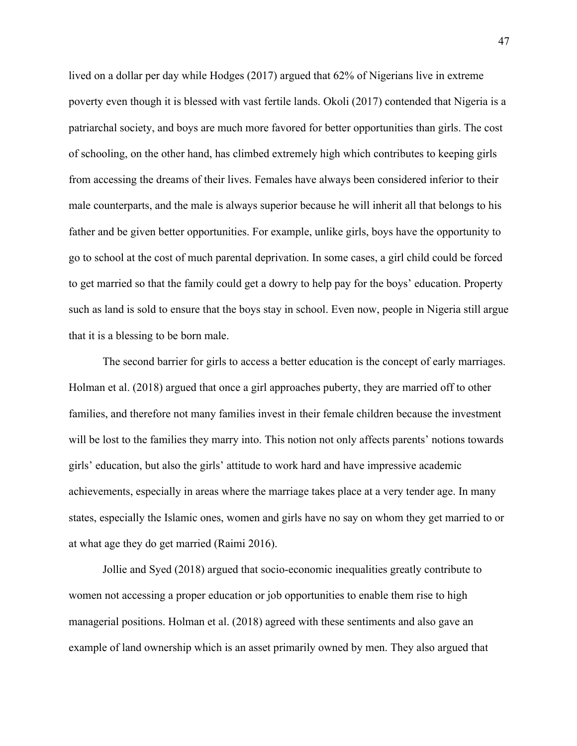lived on a dollar per day while Hodges (2017) argued that 62% of Nigerians live in extreme poverty even though it is blessed with vast fertile lands. Okoli (2017) contended that Nigeria is a patriarchal society, and boys are much more favored for better opportunities than girls. The cost of schooling, on the other hand, has climbed extremely high which contributes to keeping girls from accessing the dreams of their lives. Females have always been considered inferior to their male counterparts, and the male is always superior because he will inherit all that belongs to his father and be given better opportunities. For example, unlike girls, boys have the opportunity to go to school at the cost of much parental deprivation. In some cases, a girl child could be forced to get married so that the family could get a dowry to help pay for the boys' education. Property such as land is sold to ensure that the boys stay in school. Even now, people in Nigeria still argue that it is a blessing to be born male.

The second barrier for girls to access a better education is the concept of early marriages. Holman et al. (2018) argued that once a girl approaches puberty, they are married off to other families, and therefore not many families invest in their female children because the investment will be lost to the families they marry into. This notion not only affects parents' notions towards girls' education, but also the girls' attitude to work hard and have impressive academic achievements, especially in areas where the marriage takes place at a very tender age. In many states, especially the Islamic ones, women and girls have no say on whom they get married to or at what age they do get married (Raimi 2016).

Jollie and Syed (2018) argued that socio-economic inequalities greatly contribute to women not accessing a proper education or job opportunities to enable them rise to high managerial positions. Holman et al. (2018) agreed with these sentiments and also gave an example of land ownership which is an asset primarily owned by men. They also argued that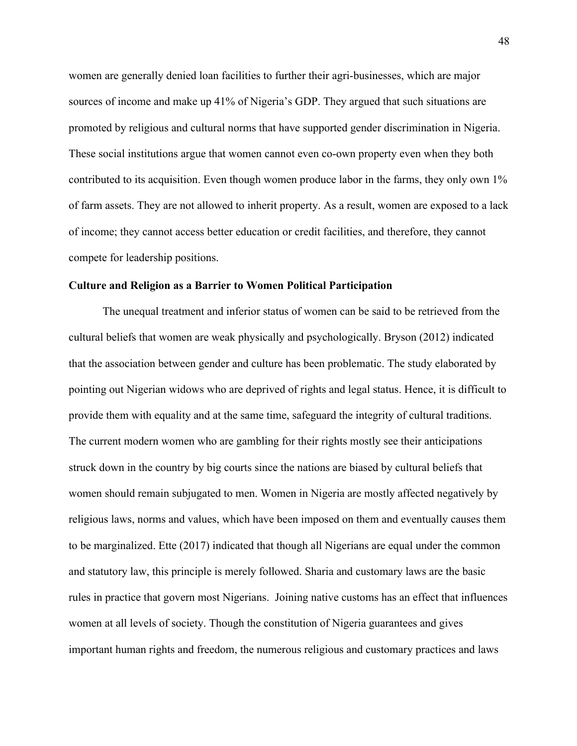women are generally denied loan facilities to further their agri-businesses, which are major sources of income and make up 41% of Nigeria's GDP. They argued that such situations are promoted by religious and cultural norms that have supported gender discrimination in Nigeria. These social institutions argue that women cannot even co-own property even when they both contributed to its acquisition. Even though women produce labor in the farms, they only own 1% of farm assets. They are not allowed to inherit property. As a result, women are exposed to a lack of income; they cannot access better education or credit facilities, and therefore, they cannot compete for leadership positions.

## **Culture and Religion as a Barrier to Women Political Participation**

The unequal treatment and inferior status of women can be said to be retrieved from the cultural beliefs that women are weak physically and psychologically. Bryson (2012) indicated that the association between gender and culture has been problematic. The study elaborated by pointing out Nigerian widows who are deprived of rights and legal status. Hence, it is difficult to provide them with equality and at the same time, safeguard the integrity of cultural traditions. The current modern women who are gambling for their rights mostly see their anticipations struck down in the country by big courts since the nations are biased by cultural beliefs that women should remain subjugated to men. Women in Nigeria are mostly affected negatively by religious laws, norms and values, which have been imposed on them and eventually causes them to be marginalized. Ette (2017) indicated that though all Nigerians are equal under the common and statutory law, this principle is merely followed. Sharia and customary laws are the basic rules in practice that govern most Nigerians. Joining native customs has an effect that influences women at all levels of society. Though the constitution of Nigeria guarantees and gives important human rights and freedom, the numerous religious and customary practices and laws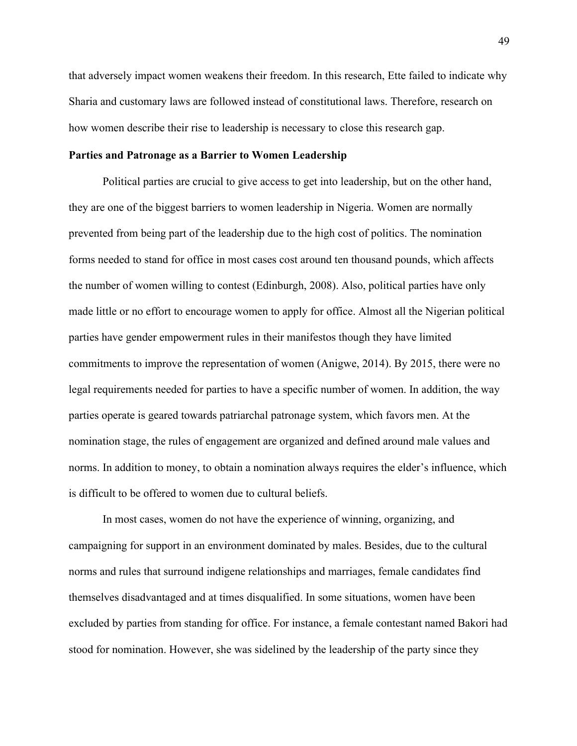that adversely impact women weakens their freedom. In this research, Ette failed to indicate why Sharia and customary laws are followed instead of constitutional laws. Therefore, research on how women describe their rise to leadership is necessary to close this research gap.

## **Parties and Patronage as a Barrier to Women Leadership**

Political parties are crucial to give access to get into leadership, but on the other hand, they are one of the biggest barriers to women leadership in Nigeria. Women are normally prevented from being part of the leadership due to the high cost of politics. The nomination forms needed to stand for office in most cases cost around ten thousand pounds, which affects the number of women willing to contest (Edinburgh, 2008). Also, political parties have only made little or no effort to encourage women to apply for office. Almost all the Nigerian political parties have gender empowerment rules in their manifestos though they have limited commitments to improve the representation of women (Anigwe, 2014). By 2015, there were no legal requirements needed for parties to have a specific number of women. In addition, the way parties operate is geared towards patriarchal patronage system, which favors men. At the nomination stage, the rules of engagement are organized and defined around male values and norms. In addition to money, to obtain a nomination always requires the elder's influence, which is difficult to be offered to women due to cultural beliefs.

In most cases, women do not have the experience of winning, organizing, and campaigning for support in an environment dominated by males. Besides, due to the cultural norms and rules that surround indigene relationships and marriages, female candidates find themselves disadvantaged and at times disqualified. In some situations, women have been excluded by parties from standing for office. For instance, a female contestant named Bakori had stood for nomination. However, she was sidelined by the leadership of the party since they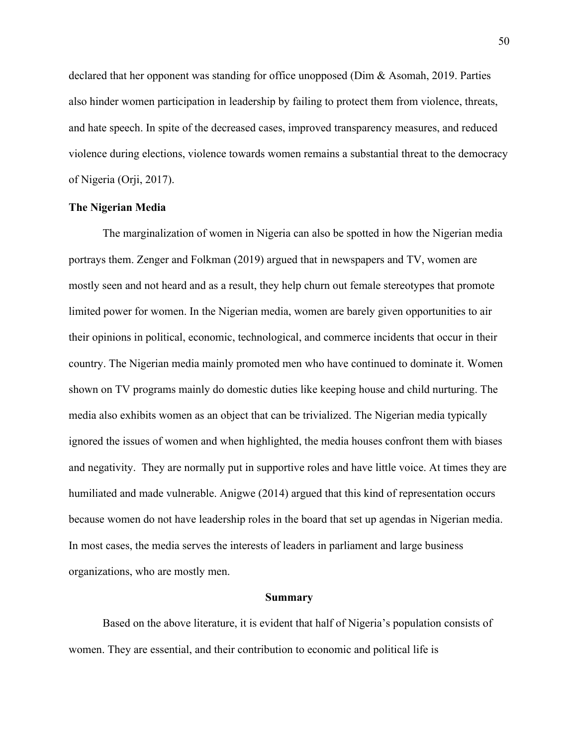declared that her opponent was standing for office unopposed (Dim & Asomah, 2019. Parties also hinder women participation in leadership by failing to protect them from violence, threats, and hate speech. In spite of the decreased cases, improved transparency measures, and reduced violence during elections, violence towards women remains a substantial threat to the democracy of Nigeria (Orji, 2017).

## **The Nigerian Media**

The marginalization of women in Nigeria can also be spotted in how the Nigerian media portrays them. Zenger and Folkman (2019) argued that in newspapers and TV, women are mostly seen and not heard and as a result, they help churn out female stereotypes that promote limited power for women. In the Nigerian media, women are barely given opportunities to air their opinions in political, economic, technological, and commerce incidents that occur in their country. The Nigerian media mainly promoted men who have continued to dominate it. Women shown on TV programs mainly do domestic duties like keeping house and child nurturing. The media also exhibits women as an object that can be trivialized. The Nigerian media typically ignored the issues of women and when highlighted, the media houses confront them with biases and negativity. They are normally put in supportive roles and have little voice. At times they are humiliated and made vulnerable. Anigwe (2014) argued that this kind of representation occurs because women do not have leadership roles in the board that set up agendas in Nigerian media. In most cases, the media serves the interests of leaders in parliament and large business organizations, who are mostly men.

#### **Summary**

Based on the above literature, it is evident that half of Nigeria's population consists of women. They are essential, and their contribution to economic and political life is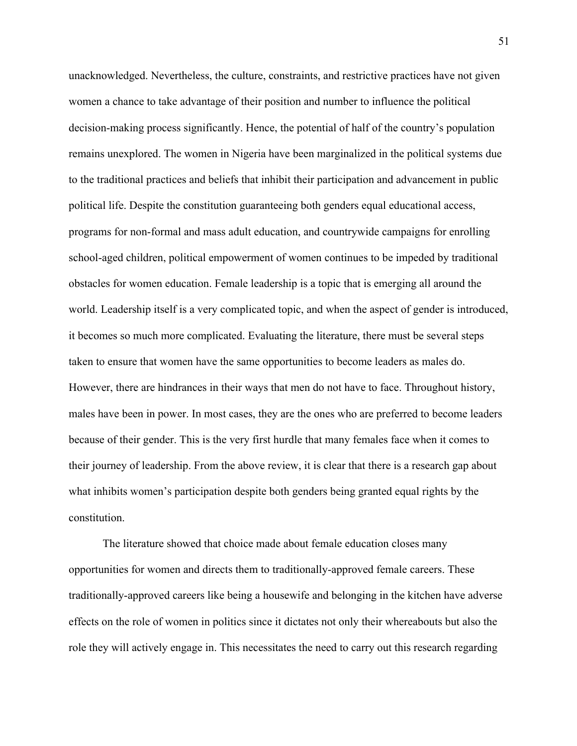unacknowledged. Nevertheless, the culture, constraints, and restrictive practices have not given women a chance to take advantage of their position and number to influence the political decision-making process significantly. Hence, the potential of half of the country's population remains unexplored. The women in Nigeria have been marginalized in the political systems due to the traditional practices and beliefs that inhibit their participation and advancement in public political life. Despite the constitution guaranteeing both genders equal educational access, programs for non-formal and mass adult education, and countrywide campaigns for enrolling school-aged children, political empowerment of women continues to be impeded by traditional obstacles for women education. Female leadership is a topic that is emerging all around the world. Leadership itself is a very complicated topic, and when the aspect of gender is introduced, it becomes so much more complicated. Evaluating the literature, there must be several steps taken to ensure that women have the same opportunities to become leaders as males do. However, there are hindrances in their ways that men do not have to face. Throughout history, males have been in power. In most cases, they are the ones who are preferred to become leaders because of their gender. This is the very first hurdle that many females face when it comes to their journey of leadership. From the above review, it is clear that there is a research gap about what inhibits women's participation despite both genders being granted equal rights by the constitution.

The literature showed that choice made about female education closes many opportunities for women and directs them to traditionally-approved female careers. These traditionally-approved careers like being a housewife and belonging in the kitchen have adverse effects on the role of women in politics since it dictates not only their whereabouts but also the role they will actively engage in. This necessitates the need to carry out this research regarding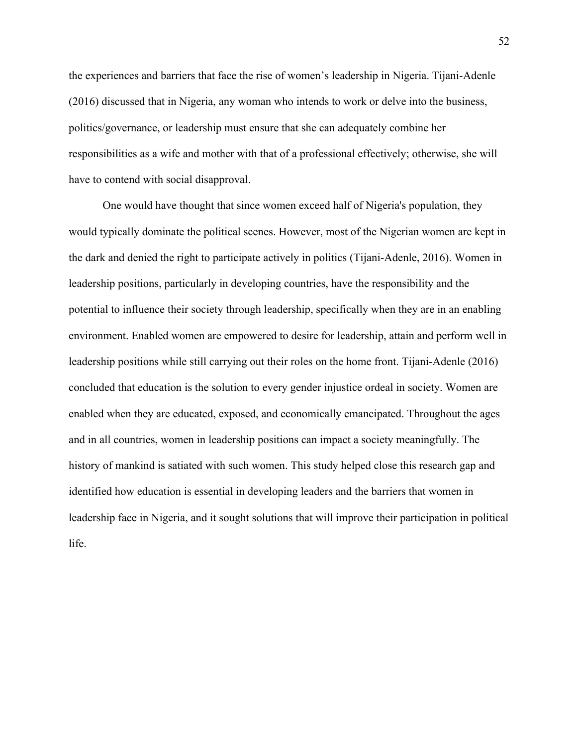the experiences and barriers that face the rise of women's leadership in Nigeria. Tijani-Adenle (2016) discussed that in Nigeria, any woman who intends to work or delve into the business, politics/governance, or leadership must ensure that she can adequately combine her responsibilities as a wife and mother with that of a professional effectively; otherwise, she will have to contend with social disapproval.

One would have thought that since women exceed half of Nigeria's population, they would typically dominate the political scenes. However, most of the Nigerian women are kept in the dark and denied the right to participate actively in politics (Tijani-Adenle, 2016). Women in leadership positions, particularly in developing countries, have the responsibility and the potential to influence their society through leadership, specifically when they are in an enabling environment. Enabled women are empowered to desire for leadership, attain and perform well in leadership positions while still carrying out their roles on the home front. Tijani-Adenle (2016) concluded that education is the solution to every gender injustice ordeal in society. Women are enabled when they are educated, exposed, and economically emancipated. Throughout the ages and in all countries, women in leadership positions can impact a society meaningfully. The history of mankind is satiated with such women. This study helped close this research gap and identified how education is essential in developing leaders and the barriers that women in leadership face in Nigeria, and it sought solutions that will improve their participation in political life.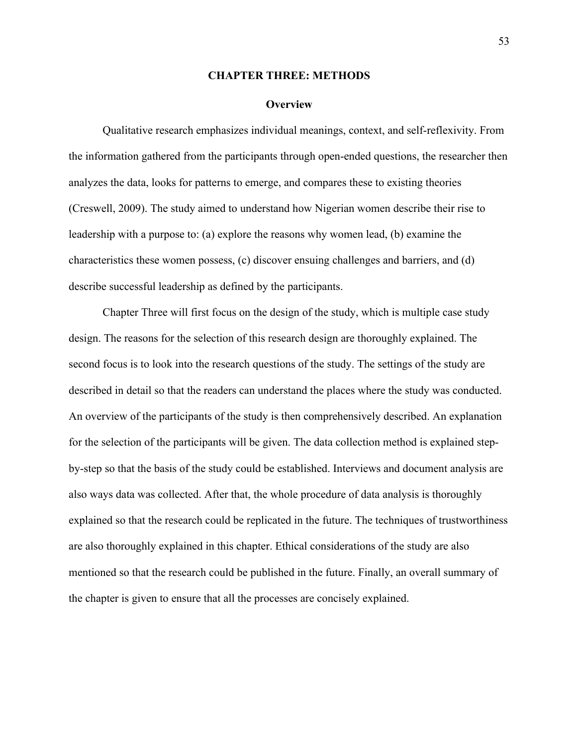#### **CHAPTER THREE: METHODS**

## **Overview**

Qualitative research emphasizes individual meanings, context, and self-reflexivity. From the information gathered from the participants through open-ended questions, the researcher then analyzes the data, looks for patterns to emerge, and compares these to existing theories (Creswell, 2009). The study aimed to understand how Nigerian women describe their rise to leadership with a purpose to: (a) explore the reasons why women lead, (b) examine the characteristics these women possess, (c) discover ensuing challenges and barriers, and (d) describe successful leadership as defined by the participants.

Chapter Three will first focus on the design of the study, which is multiple case study design. The reasons for the selection of this research design are thoroughly explained. The second focus is to look into the research questions of the study. The settings of the study are described in detail so that the readers can understand the places where the study was conducted. An overview of the participants of the study is then comprehensively described. An explanation for the selection of the participants will be given. The data collection method is explained stepby-step so that the basis of the study could be established. Interviews and document analysis are also ways data was collected. After that, the whole procedure of data analysis is thoroughly explained so that the research could be replicated in the future. The techniques of trustworthiness are also thoroughly explained in this chapter. Ethical considerations of the study are also mentioned so that the research could be published in the future. Finally, an overall summary of the chapter is given to ensure that all the processes are concisely explained.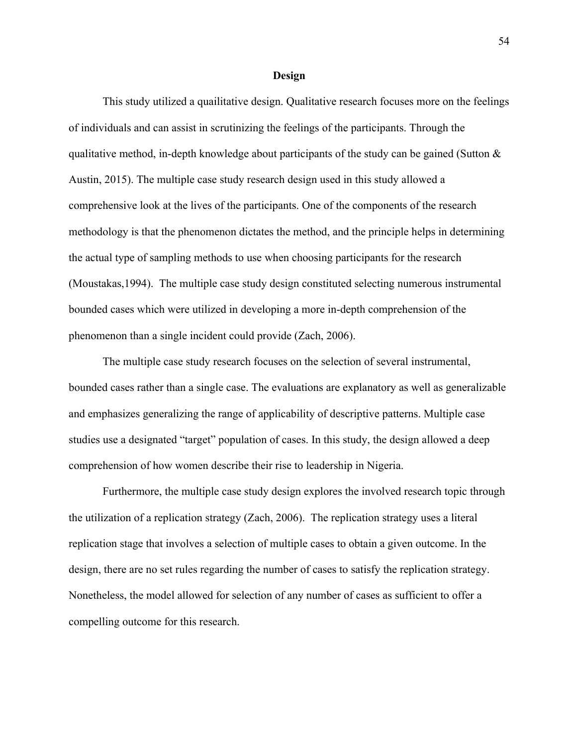#### **Design**

This study utilized a quailitative design. Qualitative research focuses more on the feelings of individuals and can assist in scrutinizing the feelings of the participants. Through the qualitative method, in-depth knowledge about participants of the study can be gained (Sutton  $\&$ Austin, 2015). The multiple case study research design used in this study allowed a comprehensive look at the lives of the participants. One of the components of the research methodology is that the phenomenon dictates the method, and the principle helps in determining the actual type of sampling methods to use when choosing participants for the research (Moustakas,1994). The multiple case study design constituted selecting numerous instrumental bounded cases which were utilized in developing a more in-depth comprehension of the phenomenon than a single incident could provide (Zach, 2006).

The multiple case study research focuses on the selection of several instrumental, bounded cases rather than a single case. The evaluations are explanatory as well as generalizable and emphasizes generalizing the range of applicability of descriptive patterns. Multiple case studies use a designated "target" population of cases. In this study, the design allowed a deep comprehension of how women describe their rise to leadership in Nigeria.

Furthermore, the multiple case study design explores the involved research topic through the utilization of a replication strategy (Zach, 2006). The replication strategy uses a literal replication stage that involves a selection of multiple cases to obtain a given outcome. In the design, there are no set rules regarding the number of cases to satisfy the replication strategy. Nonetheless, the model allowed for selection of any number of cases as sufficient to offer a compelling outcome for this research.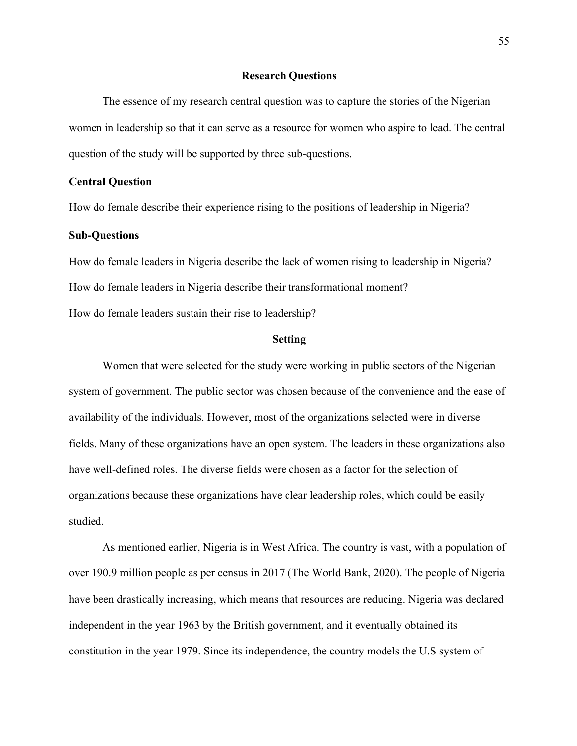## **Research Questions**

The essence of my research central question was to capture the stories of the Nigerian women in leadership so that it can serve as a resource for women who aspire to lead. The central question of the study will be supported by three sub-questions.

## **Central Question**

How do female describe their experience rising to the positions of leadership in Nigeria?

## **Sub-Questions**

How do female leaders in Nigeria describe the lack of women rising to leadership in Nigeria? How do female leaders in Nigeria describe their transformational moment? How do female leaders sustain their rise to leadership?

#### **Setting**

Women that were selected for the study were working in public sectors of the Nigerian system of government. The public sector was chosen because of the convenience and the ease of availability of the individuals. However, most of the organizations selected were in diverse fields. Many of these organizations have an open system. The leaders in these organizations also have well-defined roles. The diverse fields were chosen as a factor for the selection of organizations because these organizations have clear leadership roles, which could be easily studied.

As mentioned earlier, Nigeria is in West Africa. The country is vast, with a population of over 190.9 million people as per census in 2017 (The World Bank, 2020). The people of Nigeria have been drastically increasing, which means that resources are reducing. Nigeria was declared independent in the year 1963 by the British government, and it eventually obtained its constitution in the year 1979. Since its independence, the country models the U.S system of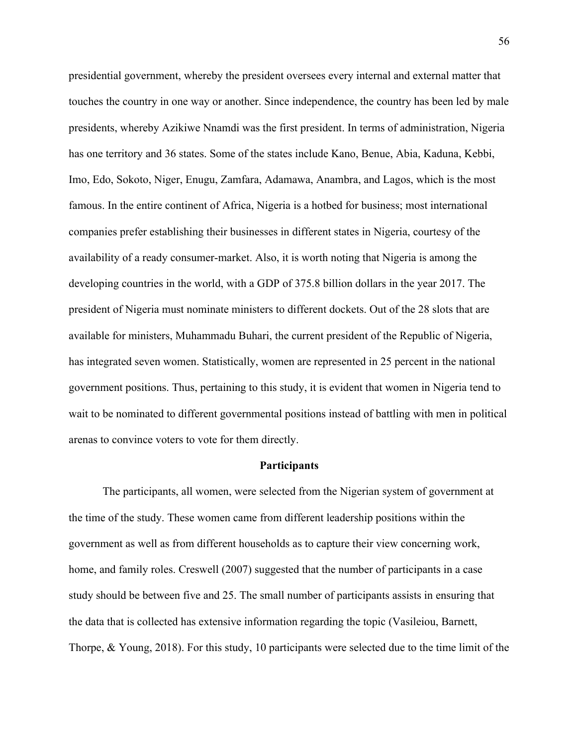presidential government, whereby the president oversees every internal and external matter that touches the country in one way or another. Since independence, the country has been led by male presidents, whereby Azikiwe Nnamdi was the first president. In terms of administration, Nigeria has one territory and 36 states. Some of the states include Kano, Benue, Abia, Kaduna, Kebbi, Imo, Edo, Sokoto, Niger, Enugu, Zamfara, Adamawa, Anambra, and Lagos, which is the most famous. In the entire continent of Africa, Nigeria is a hotbed for business; most international companies prefer establishing their businesses in different states in Nigeria, courtesy of the availability of a ready consumer-market. Also, it is worth noting that Nigeria is among the developing countries in the world, with a GDP of 375.8 billion dollars in the year 2017. The president of Nigeria must nominate ministers to different dockets. Out of the 28 slots that are available for ministers, Muhammadu Buhari, the current president of the Republic of Nigeria, has integrated seven women. Statistically, women are represented in 25 percent in the national government positions. Thus, pertaining to this study, it is evident that women in Nigeria tend to wait to be nominated to different governmental positions instead of battling with men in political arenas to convince voters to vote for them directly.

## **Participants**

The participants, all women, were selected from the Nigerian system of government at the time of the study. These women came from different leadership positions within the government as well as from different households as to capture their view concerning work, home, and family roles. Creswell (2007) suggested that the number of participants in a case study should be between five and 25. The small number of participants assists in ensuring that the data that is collected has extensive information regarding the topic (Vasileiou, Barnett, Thorpe, & Young, 2018). For this study, 10 participants were selected due to the time limit of the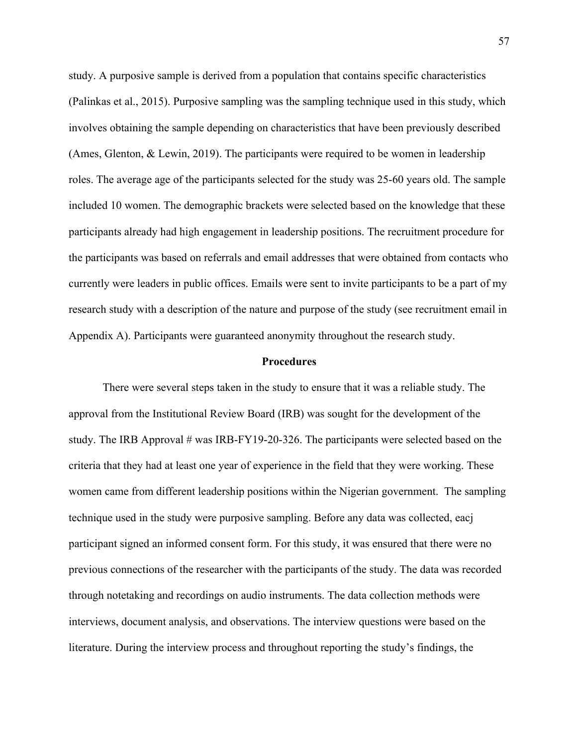study. A purposive sample is derived from a population that contains specific characteristics (Palinkas et al., 2015). Purposive sampling was the sampling technique used in this study, which involves obtaining the sample depending on characteristics that have been previously described (Ames, Glenton, & Lewin, 2019). The participants were required to be women in leadership roles. The average age of the participants selected for the study was 25-60 years old. The sample included 10 women. The demographic brackets were selected based on the knowledge that these participants already had high engagement in leadership positions. The recruitment procedure for the participants was based on referrals and email addresses that were obtained from contacts who currently were leaders in public offices. Emails were sent to invite participants to be a part of my research study with a description of the nature and purpose of the study (see recruitment email in Appendix A). Participants were guaranteed anonymity throughout the research study.

## **Procedures**

There were several steps taken in the study to ensure that it was a reliable study. The approval from the Institutional Review Board (IRB) was sought for the development of the study. The IRB Approval # was IRB-FY19-20-326. The participants were selected based on the criteria that they had at least one year of experience in the field that they were working. These women came from different leadership positions within the Nigerian government. The sampling technique used in the study were purposive sampling. Before any data was collected, eacj participant signed an informed consent form. For this study, it was ensured that there were no previous connections of the researcher with the participants of the study. The data was recorded through notetaking and recordings on audio instruments. The data collection methods were interviews, document analysis, and observations. The interview questions were based on the literature. During the interview process and throughout reporting the study's findings, the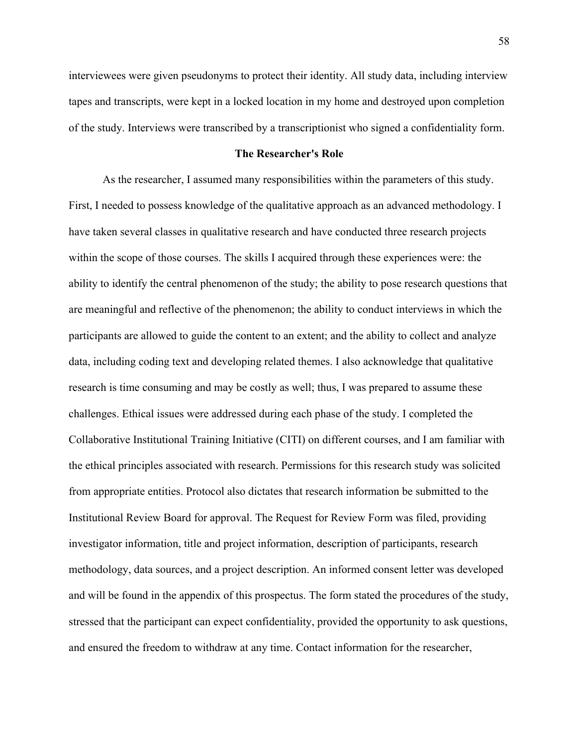interviewees were given pseudonyms to protect their identity. All study data, including interview tapes and transcripts, were kept in a locked location in my home and destroyed upon completion of the study. Interviews were transcribed by a transcriptionist who signed a confidentiality form.

#### **The Researcher's Role**

As the researcher, I assumed many responsibilities within the parameters of this study. First, I needed to possess knowledge of the qualitative approach as an advanced methodology. I have taken several classes in qualitative research and have conducted three research projects within the scope of those courses. The skills I acquired through these experiences were: the ability to identify the central phenomenon of the study; the ability to pose research questions that are meaningful and reflective of the phenomenon; the ability to conduct interviews in which the participants are allowed to guide the content to an extent; and the ability to collect and analyze data, including coding text and developing related themes. I also acknowledge that qualitative research is time consuming and may be costly as well; thus, I was prepared to assume these challenges. Ethical issues were addressed during each phase of the study. I completed the Collaborative Institutional Training Initiative (CITI) on different courses, and I am familiar with the ethical principles associated with research. Permissions for this research study was solicited from appropriate entities. Protocol also dictates that research information be submitted to the Institutional Review Board for approval. The Request for Review Form was filed, providing investigator information, title and project information, description of participants, research methodology, data sources, and a project description. An informed consent letter was developed and will be found in the appendix of this prospectus. The form stated the procedures of the study, stressed that the participant can expect confidentiality, provided the opportunity to ask questions, and ensured the freedom to withdraw at any time. Contact information for the researcher,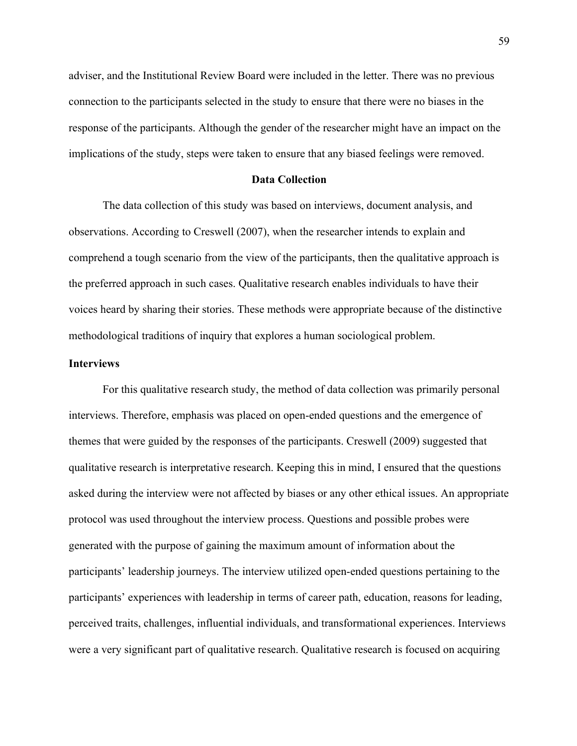adviser, and the Institutional Review Board were included in the letter. There was no previous connection to the participants selected in the study to ensure that there were no biases in the response of the participants. Although the gender of the researcher might have an impact on the implications of the study, steps were taken to ensure that any biased feelings were removed.

## **Data Collection**

The data collection of this study was based on interviews, document analysis, and observations. According to Creswell (2007), when the researcher intends to explain and comprehend a tough scenario from the view of the participants, then the qualitative approach is the preferred approach in such cases. Qualitative research enables individuals to have their voices heard by sharing their stories. These methods were appropriate because of the distinctive methodological traditions of inquiry that explores a human sociological problem.

## **Interviews**

For this qualitative research study, the method of data collection was primarily personal interviews. Therefore, emphasis was placed on open-ended questions and the emergence of themes that were guided by the responses of the participants. Creswell (2009) suggested that qualitative research is interpretative research. Keeping this in mind, I ensured that the questions asked during the interview were not affected by biases or any other ethical issues. An appropriate protocol was used throughout the interview process. Questions and possible probes were generated with the purpose of gaining the maximum amount of information about the participants' leadership journeys. The interview utilized open-ended questions pertaining to the participants' experiences with leadership in terms of career path, education, reasons for leading, perceived traits, challenges, influential individuals, and transformational experiences. Interviews were a very significant part of qualitative research. Qualitative research is focused on acquiring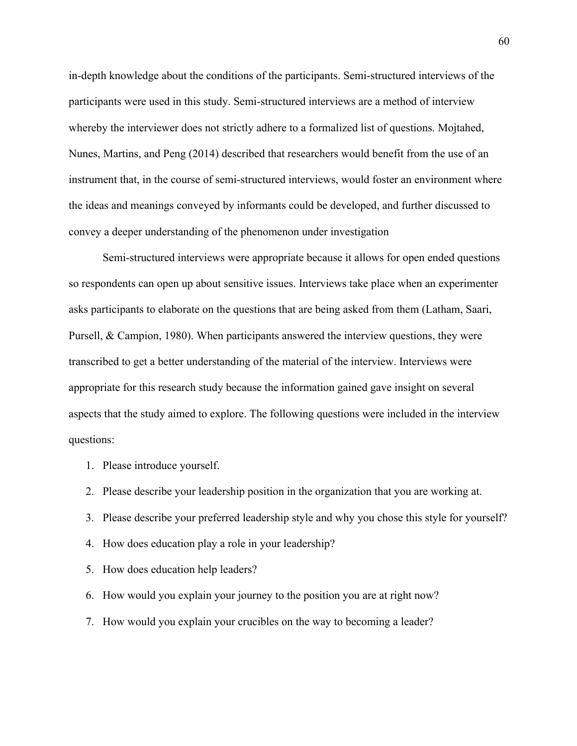in-depth knowledge about the conditions of the participants. Semi-structured interviews of the participants were used in this study. Semi-structured interviews are a method of interview whereby the interviewer does not strictly adhere to a formalized list of questions. Mojtahed, Nunes, Martins, and Peng (2014) described that researchers would benefit from the use of an instrument that, in the course of semi-structured interviews, would foster an environment where the ideas and meanings conveyed by informants could be developed, and further discussed to convey a deeper understanding of the phenomenon under investigation

Semi-structured interviews were appropriate because it allows for open ended questions so respondents can open up about sensitive issues. Interviews take place when an experimenter asks participants to elaborate on the questions that are being asked from them (Latham, Saari, Pursell, & Campion, 1980). When participants answered the interview questions, they were transcribed to get a better understanding of the material of the interview. Interviews were appropriate for this research study because the information gained gave insight on several aspects that the study aimed to explore. The following questions were included in the interview questions:

- 1. Please introduce yourself.
- 2. Please describe your leadership position in the organization that you are working at.
- 3. Please describe your preferred leadership style and why you chose this style for yourself?
- 4. How does education play a role in your leadership?
- 5. How does education help leaders?
- 6. How would you explain your journey to the position you are at right now?
- 7. How would you explain your crucibles on the way to becoming a leader?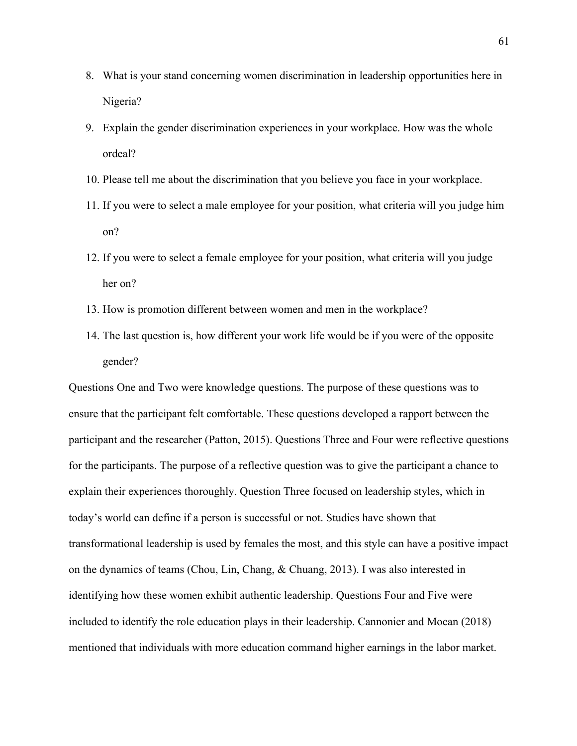- 8. What is your stand concerning women discrimination in leadership opportunities here in Nigeria?
- 9. Explain the gender discrimination experiences in your workplace. How was the whole ordeal?
- 10. Please tell me about the discrimination that you believe you face in your workplace.
- 11. If you were to select a male employee for your position, what criteria will you judge him on?
- 12. If you were to select a female employee for your position, what criteria will you judge her on?
- 13. How is promotion different between women and men in the workplace?
- 14. The last question is, how different your work life would be if you were of the opposite gender?

Questions One and Two were knowledge questions. The purpose of these questions was to ensure that the participant felt comfortable. These questions developed a rapport between the participant and the researcher (Patton, 2015). Questions Three and Four were reflective questions for the participants. The purpose of a reflective question was to give the participant a chance to explain their experiences thoroughly. Question Three focused on leadership styles, which in today's world can define if a person is successful or not. Studies have shown that transformational leadership is used by females the most, and this style can have a positive impact on the dynamics of teams (Chou, Lin, Chang, & Chuang, 2013). I was also interested in identifying how these women exhibit authentic leadership. Questions Four and Five were included to identify the role education plays in their leadership. Cannonier and Mocan (2018) mentioned that individuals with more education command higher earnings in the labor market.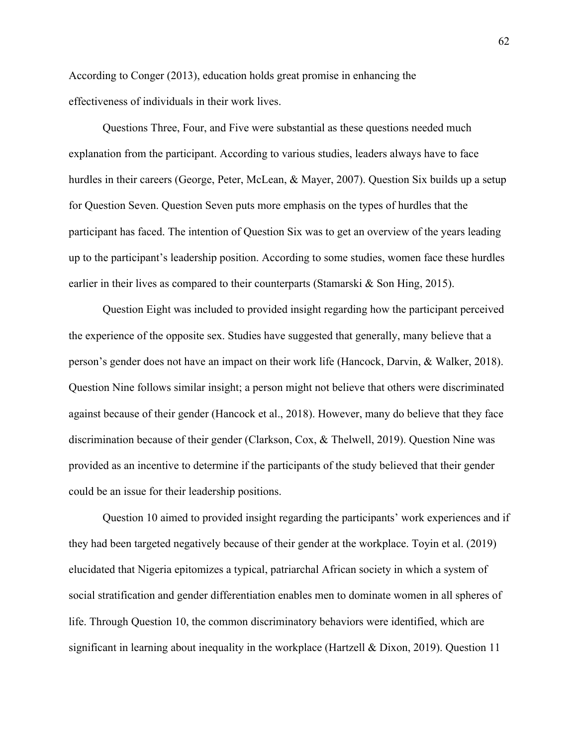According to Conger (2013), education holds great promise in enhancing the effectiveness of individuals in their work lives.

Questions Three, Four, and Five were substantial as these questions needed much explanation from the participant. According to various studies, leaders always have to face hurdles in their careers (George, Peter, McLean, & Mayer, 2007). Question Six builds up a setup for Question Seven. Question Seven puts more emphasis on the types of hurdles that the participant has faced. The intention of Question Six was to get an overview of the years leading up to the participant's leadership position. According to some studies, women face these hurdles earlier in their lives as compared to their counterparts (Stamarski & Son Hing, 2015).

Question Eight was included to provided insight regarding how the participant perceived the experience of the opposite sex. Studies have suggested that generally, many believe that a person's gender does not have an impact on their work life (Hancock, Darvin, & Walker, 2018). Question Nine follows similar insight; a person might not believe that others were discriminated against because of their gender (Hancock et al., 2018). However, many do believe that they face discrimination because of their gender (Clarkson, Cox, & Thelwell, 2019). Question Nine was provided as an incentive to determine if the participants of the study believed that their gender could be an issue for their leadership positions.

Question 10 aimed to provided insight regarding the participants' work experiences and if they had been targeted negatively because of their gender at the workplace. Toyin et al. (2019) elucidated that Nigeria epitomizes a typical, patriarchal African society in which a system of social stratification and gender differentiation enables men to dominate women in all spheres of life. Through Question 10, the common discriminatory behaviors were identified, which are significant in learning about inequality in the workplace (Hartzell & Dixon, 2019). Question 11

62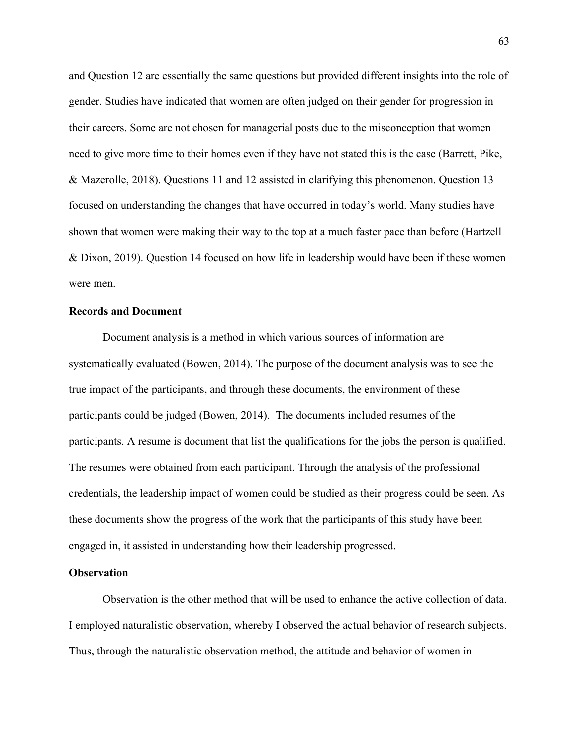and Question 12 are essentially the same questions but provided different insights into the role of gender. Studies have indicated that women are often judged on their gender for progression in their careers. Some are not chosen for managerial posts due to the misconception that women need to give more time to their homes even if they have not stated this is the case (Barrett, Pike, & Mazerolle, 2018). Questions 11 and 12 assisted in clarifying this phenomenon. Question 13 focused on understanding the changes that have occurred in today's world. Many studies have shown that women were making their way to the top at a much faster pace than before (Hartzell & Dixon, 2019). Question 14 focused on how life in leadership would have been if these women were men.

## **Records and Document**

Document analysis is a method in which various sources of information are systematically evaluated (Bowen, 2014). The purpose of the document analysis was to see the true impact of the participants, and through these documents, the environment of these participants could be judged (Bowen, 2014). The documents included resumes of the participants. A resume is document that list the qualifications for the jobs the person is qualified. The resumes were obtained from each participant. Through the analysis of the professional credentials, the leadership impact of women could be studied as their progress could be seen. As these documents show the progress of the work that the participants of this study have been engaged in, it assisted in understanding how their leadership progressed.

#### **Observation**

Observation is the other method that will be used to enhance the active collection of data. I employed naturalistic observation, whereby I observed the actual behavior of research subjects. Thus, through the naturalistic observation method, the attitude and behavior of women in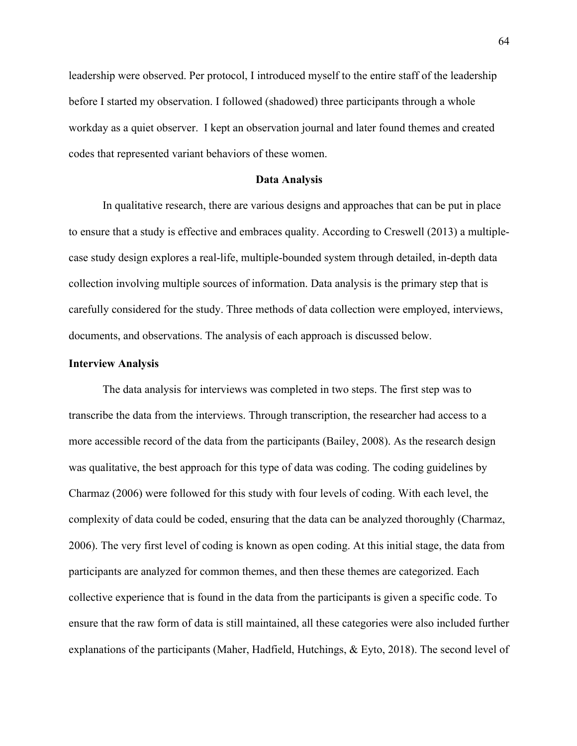leadership were observed. Per protocol, I introduced myself to the entire staff of the leadership before I started my observation. I followed (shadowed) three participants through a whole workday as a quiet observer. I kept an observation journal and later found themes and created codes that represented variant behaviors of these women.

#### **Data Analysis**

In qualitative research, there are various designs and approaches that can be put in place to ensure that a study is effective and embraces quality. According to Creswell (2013) a multiplecase study design explores a real-life, multiple-bounded system through detailed, in-depth data collection involving multiple sources of information. Data analysis is the primary step that is carefully considered for the study. Three methods of data collection were employed, interviews, documents, and observations. The analysis of each approach is discussed below.

## **Interview Analysis**

The data analysis for interviews was completed in two steps. The first step was to transcribe the data from the interviews. Through transcription, the researcher had access to a more accessible record of the data from the participants (Bailey, 2008). As the research design was qualitative, the best approach for this type of data was coding. The coding guidelines by Charmaz (2006) were followed for this study with four levels of coding. With each level, the complexity of data could be coded, ensuring that the data can be analyzed thoroughly (Charmaz, 2006). The very first level of coding is known as open coding. At this initial stage, the data from participants are analyzed for common themes, and then these themes are categorized. Each collective experience that is found in the data from the participants is given a specific code. To ensure that the raw form of data is still maintained, all these categories were also included further explanations of the participants (Maher, Hadfield, Hutchings, & Eyto, 2018). The second level of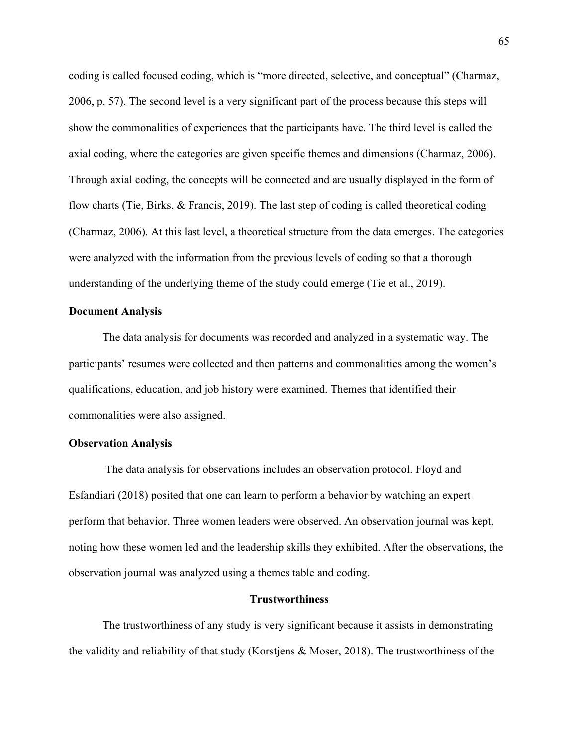coding is called focused coding, which is "more directed, selective, and conceptual" (Charmaz, 2006, p. 57). The second level is a very significant part of the process because this steps will show the commonalities of experiences that the participants have. The third level is called the axial coding, where the categories are given specific themes and dimensions (Charmaz, 2006). Through axial coding, the concepts will be connected and are usually displayed in the form of flow charts (Tie, Birks, & Francis, 2019). The last step of coding is called theoretical coding (Charmaz, 2006). At this last level, a theoretical structure from the data emerges. The categories were analyzed with the information from the previous levels of coding so that a thorough understanding of the underlying theme of the study could emerge (Tie et al., 2019).

## **Document Analysis**

The data analysis for documents was recorded and analyzed in a systematic way. The participants' resumes were collected and then patterns and commonalities among the women's qualifications, education, and job history were examined. Themes that identified their commonalities were also assigned.

## **Observation Analysis**

The data analysis for observations includes an observation protocol. Floyd and Esfandiari (2018) posited that one can learn to perform a behavior by watching an expert perform that behavior. Three women leaders were observed. An observation journal was kept, noting how these women led and the leadership skills they exhibited. After the observations, the observation journal was analyzed using a themes table and coding.

## **Trustworthiness**

The trustworthiness of any study is very significant because it assists in demonstrating the validity and reliability of that study (Korstjens & Moser, 2018). The trustworthiness of the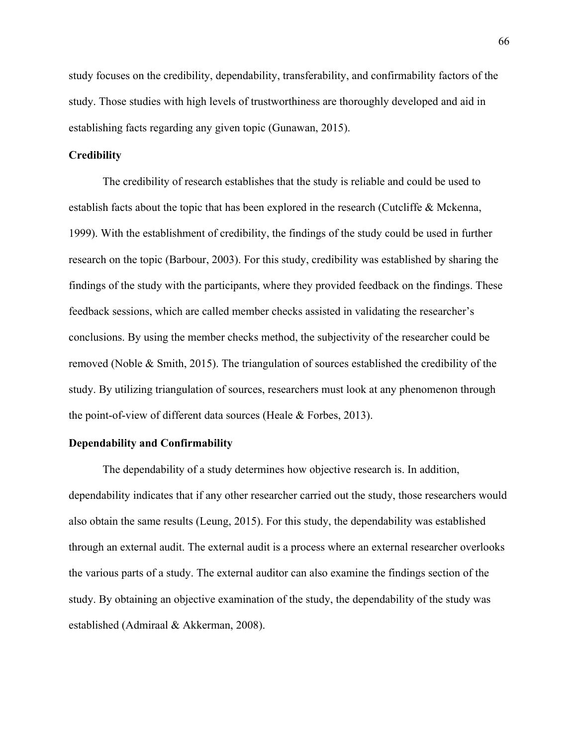study focuses on the credibility, dependability, transferability, and confirmability factors of the study. Those studies with high levels of trustworthiness are thoroughly developed and aid in establishing facts regarding any given topic (Gunawan, 2015).

## **Credibility**

The credibility of research establishes that the study is reliable and could be used to establish facts about the topic that has been explored in the research (Cutcliffe & Mckenna, 1999). With the establishment of credibility, the findings of the study could be used in further research on the topic (Barbour, 2003). For this study, credibility was established by sharing the findings of the study with the participants, where they provided feedback on the findings. These feedback sessions, which are called member checks assisted in validating the researcher's conclusions. By using the member checks method, the subjectivity of the researcher could be removed (Noble & Smith, 2015). The triangulation of sources established the credibility of the study. By utilizing triangulation of sources, researchers must look at any phenomenon through the point-of-view of different data sources (Heale & Forbes, 2013).

## **Dependability and Confirmability**

The dependability of a study determines how objective research is. In addition, dependability indicates that if any other researcher carried out the study, those researchers would also obtain the same results (Leung, 2015). For this study, the dependability was established through an external audit. The external audit is a process where an external researcher overlooks the various parts of a study. The external auditor can also examine the findings section of the study. By obtaining an objective examination of the study, the dependability of the study was established (Admiraal & Akkerman, 2008).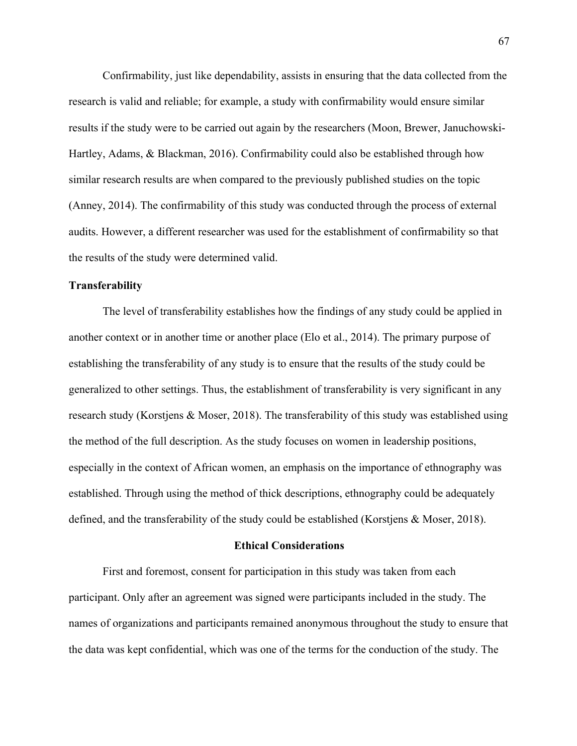Confirmability, just like dependability, assists in ensuring that the data collected from the research is valid and reliable; for example, a study with confirmability would ensure similar results if the study were to be carried out again by the researchers (Moon, Brewer, Januchowski-Hartley, Adams, & Blackman, 2016). Confirmability could also be established through how similar research results are when compared to the previously published studies on the topic (Anney, 2014). The confirmability of this study was conducted through the process of external audits. However, a different researcher was used for the establishment of confirmability so that the results of the study were determined valid.

## **Transferability**

The level of transferability establishes how the findings of any study could be applied in another context or in another time or another place (Elo et al., 2014). The primary purpose of establishing the transferability of any study is to ensure that the results of the study could be generalized to other settings. Thus, the establishment of transferability is very significant in any research study (Korstjens & Moser, 2018). The transferability of this study was established using the method of the full description. As the study focuses on women in leadership positions, especially in the context of African women, an emphasis on the importance of ethnography was established. Through using the method of thick descriptions, ethnography could be adequately defined, and the transferability of the study could be established (Korstjens & Moser, 2018).

## **Ethical Considerations**

First and foremost, consent for participation in this study was taken from each participant. Only after an agreement was signed were participants included in the study. The names of organizations and participants remained anonymous throughout the study to ensure that the data was kept confidential, which was one of the terms for the conduction of the study. The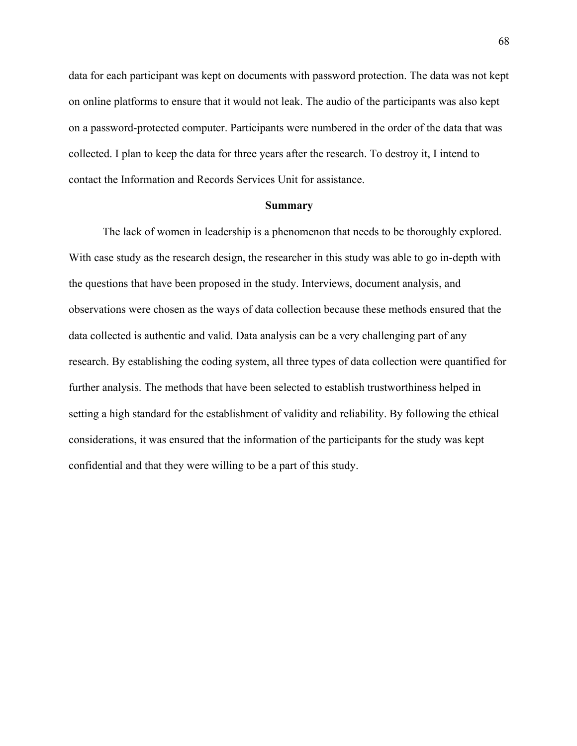data for each participant was kept on documents with password protection. The data was not kept on online platforms to ensure that it would not leak. The audio of the participants was also kept on a password-protected computer. Participants were numbered in the order of the data that was collected. I plan to keep the data for three years after the research. To destroy it, I intend to contact the Information and Records Services Unit for assistance.

#### **Summary**

The lack of women in leadership is a phenomenon that needs to be thoroughly explored. With case study as the research design, the researcher in this study was able to go in-depth with the questions that have been proposed in the study. Interviews, document analysis, and observations were chosen as the ways of data collection because these methods ensured that the data collected is authentic and valid. Data analysis can be a very challenging part of any research. By establishing the coding system, all three types of data collection were quantified for further analysis. The methods that have been selected to establish trustworthiness helped in setting a high standard for the establishment of validity and reliability. By following the ethical considerations, it was ensured that the information of the participants for the study was kept confidential and that they were willing to be a part of this study.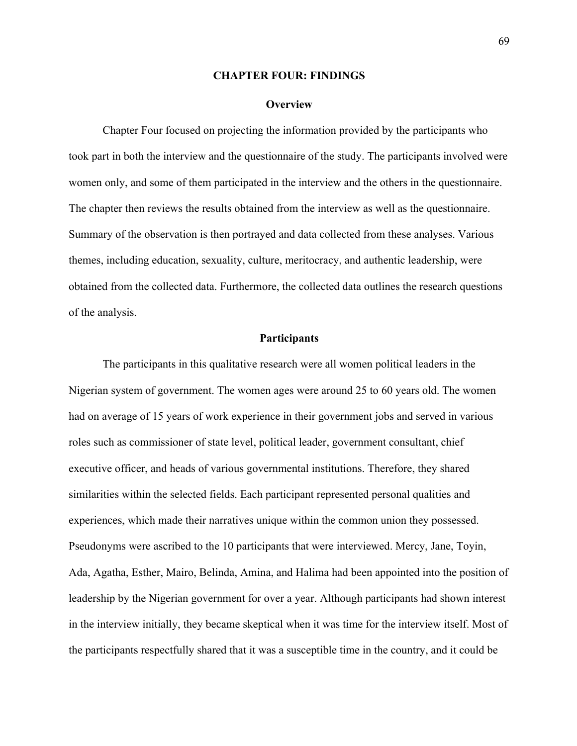## **CHAPTER FOUR: FINDINGS**

#### **Overview**

Chapter Four focused on projecting the information provided by the participants who took part in both the interview and the questionnaire of the study. The participants involved were women only, and some of them participated in the interview and the others in the questionnaire. The chapter then reviews the results obtained from the interview as well as the questionnaire. Summary of the observation is then portrayed and data collected from these analyses. Various themes, including education, sexuality, culture, meritocracy, and authentic leadership, were obtained from the collected data. Furthermore, the collected data outlines the research questions of the analysis.

## **Participants**

The participants in this qualitative research were all women political leaders in the Nigerian system of government. The women ages were around 25 to 60 years old. The women had on average of 15 years of work experience in their government jobs and served in various roles such as commissioner of state level, political leader, government consultant, chief executive officer, and heads of various governmental institutions. Therefore, they shared similarities within the selected fields. Each participant represented personal qualities and experiences, which made their narratives unique within the common union they possessed. Pseudonyms were ascribed to the 10 participants that were interviewed. Mercy, Jane, Toyin, Ada, Agatha, Esther, Mairo, Belinda, Amina, and Halima had been appointed into the position of leadership by the Nigerian government for over a year. Although participants had shown interest in the interview initially, they became skeptical when it was time for the interview itself. Most of the participants respectfully shared that it was a susceptible time in the country, and it could be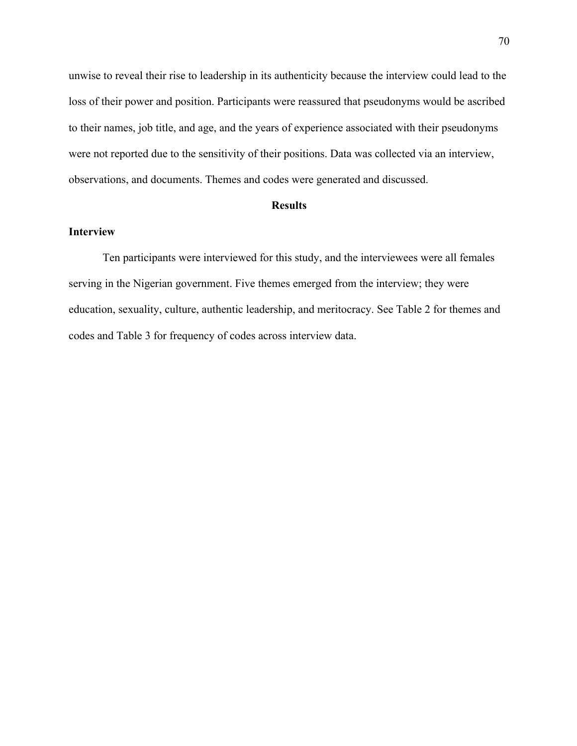unwise to reveal their rise to leadership in its authenticity because the interview could lead to the loss of their power and position. Participants were reassured that pseudonyms would be ascribed to their names, job title, and age, and the years of experience associated with their pseudonyms were not reported due to the sensitivity of their positions. Data was collected via an interview, observations, and documents. Themes and codes were generated and discussed.

## **Results**

## **Interview**

Ten participants were interviewed for this study, and the interviewees were all females serving in the Nigerian government. Five themes emerged from the interview; they were education, sexuality, culture, authentic leadership, and meritocracy. See Table 2 for themes and codes and Table 3 for frequency of codes across interview data.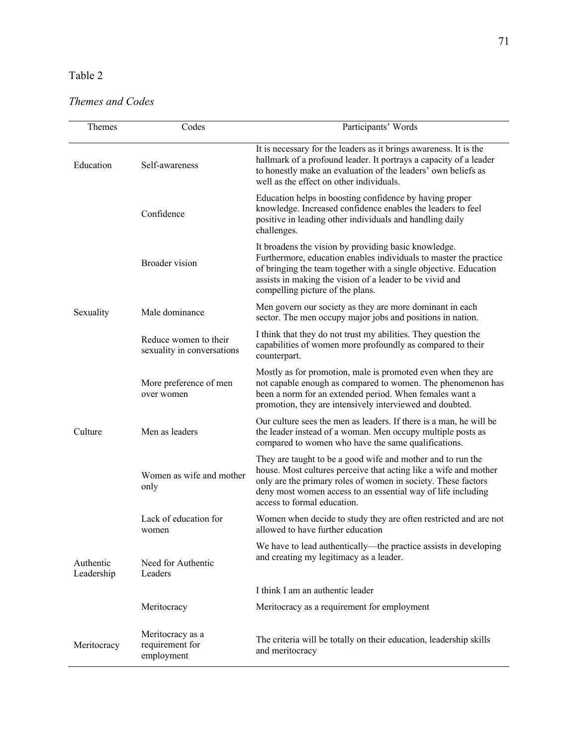## Table 2

## *Themes and Codes*

| Themes                  | Codes                                               | Participants' Words                                                                                                                                                                                                                                                                             |
|-------------------------|-----------------------------------------------------|-------------------------------------------------------------------------------------------------------------------------------------------------------------------------------------------------------------------------------------------------------------------------------------------------|
| Education               | Self-awareness                                      | It is necessary for the leaders as it brings awareness. It is the<br>hallmark of a profound leader. It portrays a capacity of a leader<br>to honestly make an evaluation of the leaders' own beliefs as<br>well as the effect on other individuals.                                             |
|                         | Confidence                                          | Education helps in boosting confidence by having proper<br>knowledge. Increased confidence enables the leaders to feel<br>positive in leading other individuals and handling daily<br>challenges.                                                                                               |
|                         | Broader vision                                      | It broadens the vision by providing basic knowledge.<br>Furthermore, education enables individuals to master the practice<br>of bringing the team together with a single objective. Education<br>assists in making the vision of a leader to be vivid and<br>compelling picture of the plans.   |
| Sexuality               | Male dominance                                      | Men govern our society as they are more dominant in each<br>sector. The men occupy major jobs and positions in nation.                                                                                                                                                                          |
|                         | Reduce women to their<br>sexuality in conversations | I think that they do not trust my abilities. They question the<br>capabilities of women more profoundly as compared to their<br>counterpart.                                                                                                                                                    |
| Culture                 | More preference of men<br>over women                | Mostly as for promotion, male is promoted even when they are<br>not capable enough as compared to women. The phenomenon has<br>been a norm for an extended period. When females want a<br>promotion, they are intensively interviewed and doubted.                                              |
|                         | Men as leaders                                      | Our culture sees the men as leaders. If there is a man, he will be<br>the leader instead of a woman. Men occupy multiple posts as<br>compared to women who have the same qualifications.                                                                                                        |
|                         | Women as wife and mother<br>only                    | They are taught to be a good wife and mother and to run the<br>house. Most cultures perceive that acting like a wife and mother<br>only are the primary roles of women in society. These factors<br>deny most women access to an essential way of life including<br>access to formal education. |
| Authentic<br>Leadership | Lack of education for<br>women                      | Women when decide to study they are often restricted and are not<br>allowed to have further education                                                                                                                                                                                           |
|                         | Need for Authentic<br>Leaders                       | We have to lead authentically—the practice assists in developing<br>and creating my legitimacy as a leader.                                                                                                                                                                                     |
|                         |                                                     | I think I am an authentic leader                                                                                                                                                                                                                                                                |
|                         | Meritocracy                                         | Meritocracy as a requirement for employment                                                                                                                                                                                                                                                     |
| Meritocracy             | Meritocracy as a<br>requirement for<br>employment   | The criteria will be totally on their education, leadership skills<br>and meritocracy                                                                                                                                                                                                           |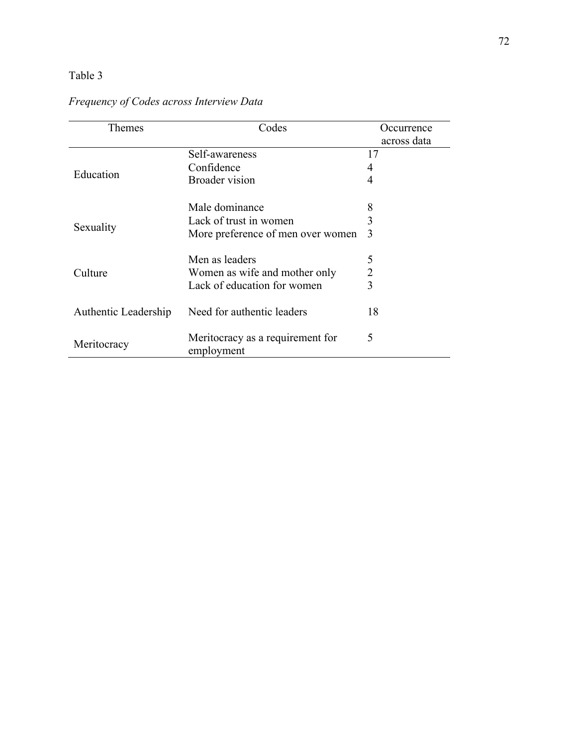# Table 3

| Themes               | Codes                                          | Occurrence     |
|----------------------|------------------------------------------------|----------------|
|                      |                                                | across data    |
|                      | Self-awareness                                 | 17             |
|                      | Confidence                                     | 4              |
| Education            | <b>Broader</b> vision                          | 4              |
|                      | Male dominance                                 | 8              |
|                      | Lack of trust in women                         | 3              |
| Sexuality            | More preference of men over women              | 3              |
|                      | Men as leaders                                 | 5              |
| Culture              | Women as wife and mother only                  | $\overline{2}$ |
|                      | Lack of education for women                    | 3              |
| Authentic Leadership | Need for authentic leaders                     | 18             |
| Meritocracy          | Meritocracy as a requirement for<br>employment | 5              |

# *Frequency of Codes across Interview Data*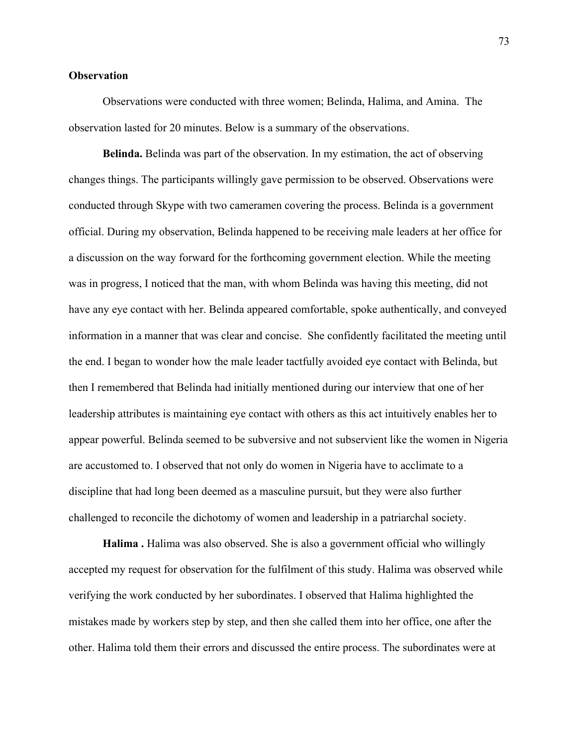## **Observation**

Observations were conducted with three women; Belinda, Halima, and Amina. The observation lasted for 20 minutes. Below is a summary of the observations.

**Belinda.** Belinda was part of the observation. In my estimation, the act of observing changes things. The participants willingly gave permission to be observed. Observations were conducted through Skype with two cameramen covering the process. Belinda is a government official. During my observation, Belinda happened to be receiving male leaders at her office for a discussion on the way forward for the forthcoming government election. While the meeting was in progress, I noticed that the man, with whom Belinda was having this meeting, did not have any eye contact with her. Belinda appeared comfortable, spoke authentically, and conveyed information in a manner that was clear and concise. She confidently facilitated the meeting until the end. I began to wonder how the male leader tactfully avoided eye contact with Belinda, but then I remembered that Belinda had initially mentioned during our interview that one of her leadership attributes is maintaining eye contact with others as this act intuitively enables her to appear powerful. Belinda seemed to be subversive and not subservient like the women in Nigeria are accustomed to. I observed that not only do women in Nigeria have to acclimate to a discipline that had long been deemed as a masculine pursuit, but they were also further challenged to reconcile the dichotomy of women and leadership in a patriarchal society.

**Halima .** Halima was also observed. She is also a government official who willingly accepted my request for observation for the fulfilment of this study. Halima was observed while verifying the work conducted by her subordinates. I observed that Halima highlighted the mistakes made by workers step by step, and then she called them into her office, one after the other. Halima told them their errors and discussed the entire process. The subordinates were at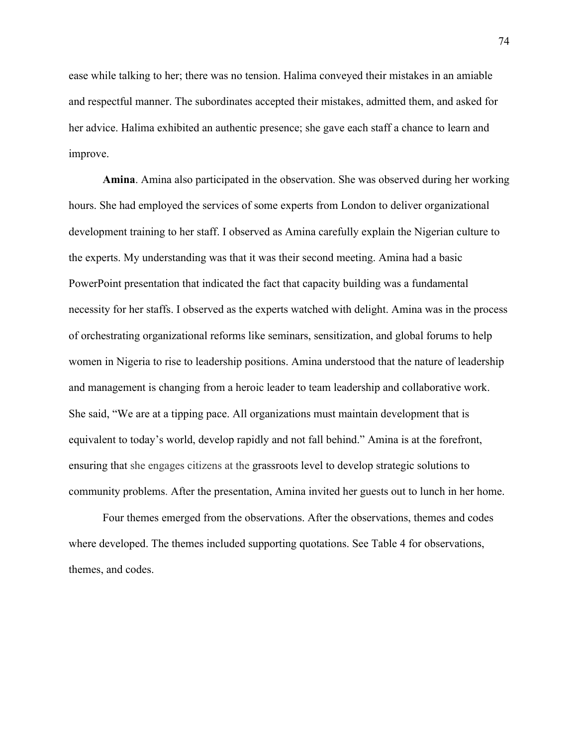ease while talking to her; there was no tension. Halima conveyed their mistakes in an amiable and respectful manner. The subordinates accepted their mistakes, admitted them, and asked for her advice. Halima exhibited an authentic presence; she gave each staff a chance to learn and improve.

**Amina**. Amina also participated in the observation. She was observed during her working hours. She had employed the services of some experts from London to deliver organizational development training to her staff. I observed as Amina carefully explain the Nigerian culture to the experts. My understanding was that it was their second meeting. Amina had a basic PowerPoint presentation that indicated the fact that capacity building was a fundamental necessity for her staffs. I observed as the experts watched with delight. Amina was in the process of orchestrating organizational reforms like seminars, sensitization, and global forums to help women in Nigeria to rise to leadership positions. Amina understood that the nature of leadership and management is changing from a heroic leader to team leadership and collaborative work. She said, "We are at a tipping pace. All organizations must maintain development that is equivalent to today's world, develop rapidly and not fall behind." Amina is at the forefront, ensuring that she engages citizens at the grassroots level to develop strategic solutions to community problems. After the presentation, Amina invited her guests out to lunch in her home.

Four themes emerged from the observations. After the observations, themes and codes where developed. The themes included supporting quotations. See Table 4 for observations, themes, and codes.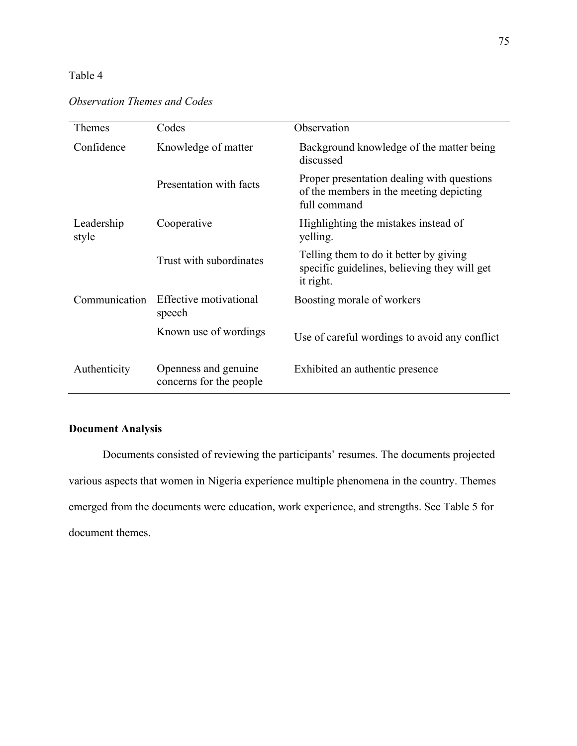# Table 4

| <b>Observation Themes and Codes</b> |  |  |
|-------------------------------------|--|--|
|                                     |  |  |

| <b>Themes</b>       | Codes                                           | Observation                                                                                           |
|---------------------|-------------------------------------------------|-------------------------------------------------------------------------------------------------------|
| Confidence          | Knowledge of matter                             | Background knowledge of the matter being<br>discussed                                                 |
|                     | Presentation with facts                         | Proper presentation dealing with questions<br>of the members in the meeting depicting<br>full command |
| Leadership<br>style | Cooperative                                     | Highlighting the mistakes instead of<br>yelling.                                                      |
|                     | Trust with subordinates                         | Telling them to do it better by giving<br>specific guidelines, believing they will get<br>it right.   |
| Communication       | Effective motivational<br>speech                | Boosting morale of workers                                                                            |
|                     | Known use of wordings                           | Use of careful wordings to avoid any conflict                                                         |
| Authenticity        | Openness and genuine<br>concerns for the people | Exhibited an authentic presence                                                                       |

# **Document Analysis**

Documents consisted of reviewing the participants' resumes. The documents projected various aspects that women in Nigeria experience multiple phenomena in the country. Themes emerged from the documents were education, work experience, and strengths. See Table 5 for document themes.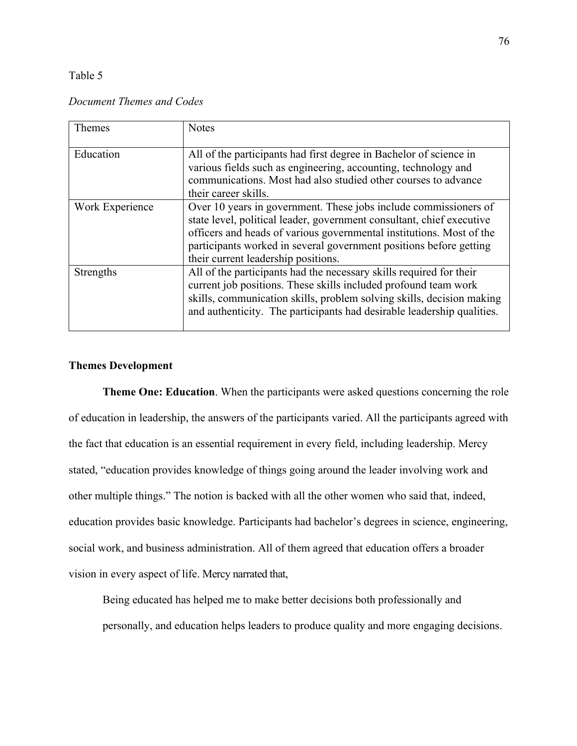### Table 5

## *Document Themes and Codes*

| Themes          | <b>Notes</b>                                                                                                                                                                                                                                                                                                                   |
|-----------------|--------------------------------------------------------------------------------------------------------------------------------------------------------------------------------------------------------------------------------------------------------------------------------------------------------------------------------|
| Education       | All of the participants had first degree in Bachelor of science in<br>various fields such as engineering, accounting, technology and<br>communications. Most had also studied other courses to advance<br>their career skills.                                                                                                 |
| Work Experience | Over 10 years in government. These jobs include commissioners of<br>state level, political leader, government consultant, chief executive<br>officers and heads of various governmental institutions. Most of the<br>participants worked in several government positions before getting<br>their current leadership positions. |
| Strengths       | All of the participants had the necessary skills required for their<br>current job positions. These skills included profound team work<br>skills, communication skills, problem solving skills, decision making<br>and authenticity. The participants had desirable leadership qualities.                                      |

## **Themes Development**

**Theme One: Education**. When the participants were asked questions concerning the role of education in leadership, the answers of the participants varied. All the participants agreed with the fact that education is an essential requirement in every field, including leadership. Mercy stated, "education provides knowledge of things going around the leader involving work and other multiple things." The notion is backed with all the other women who said that, indeed, education provides basic knowledge. Participants had bachelor's degrees in science, engineering, social work, and business administration. All of them agreed that education offers a broader vision in every aspect of life. Mercy narrated that,

Being educated has helped me to make better decisions both professionally and personally, and education helps leaders to produce quality and more engaging decisions.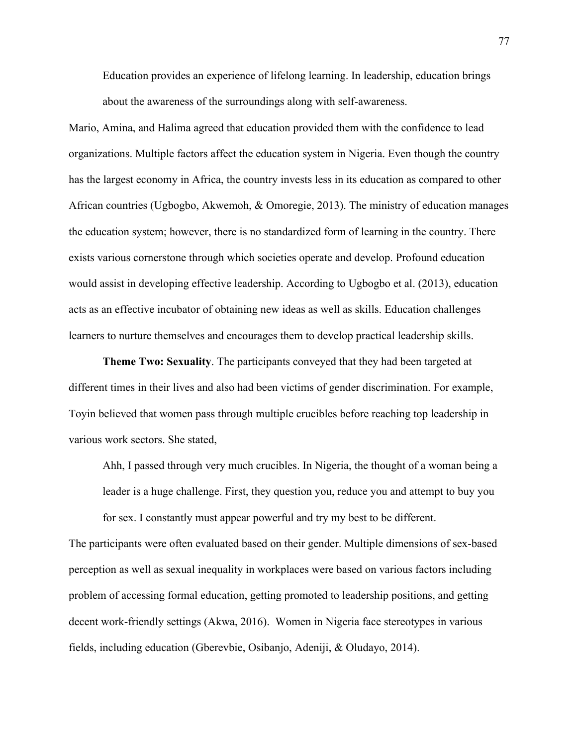Education provides an experience of lifelong learning. In leadership, education brings about the awareness of the surroundings along with self-awareness.

Mario, Amina, and Halima agreed that education provided them with the confidence to lead organizations. Multiple factors affect the education system in Nigeria. Even though the country has the largest economy in Africa, the country invests less in its education as compared to other African countries (Ugbogbo, Akwemoh, & Omoregie, 2013). The ministry of education manages the education system; however, there is no standardized form of learning in the country. There exists various cornerstone through which societies operate and develop. Profound education would assist in developing effective leadership. According to Ugbogbo et al. (2013), education acts as an effective incubator of obtaining new ideas as well as skills. Education challenges learners to nurture themselves and encourages them to develop practical leadership skills.

**Theme Two: Sexuality**. The participants conveyed that they had been targeted at different times in their lives and also had been victims of gender discrimination. For example, Toyin believed that women pass through multiple crucibles before reaching top leadership in various work sectors. She stated,

Ahh, I passed through very much crucibles. In Nigeria, the thought of a woman being a leader is a huge challenge. First, they question you, reduce you and attempt to buy you for sex. I constantly must appear powerful and try my best to be different.

The participants were often evaluated based on their gender. Multiple dimensions of sex-based perception as well as sexual inequality in workplaces were based on various factors including problem of accessing formal education, getting promoted to leadership positions, and getting decent work-friendly settings (Akwa, 2016). Women in Nigeria face stereotypes in various fields, including education (Gberevbie, Osibanjo, Adeniji, & Oludayo, 2014).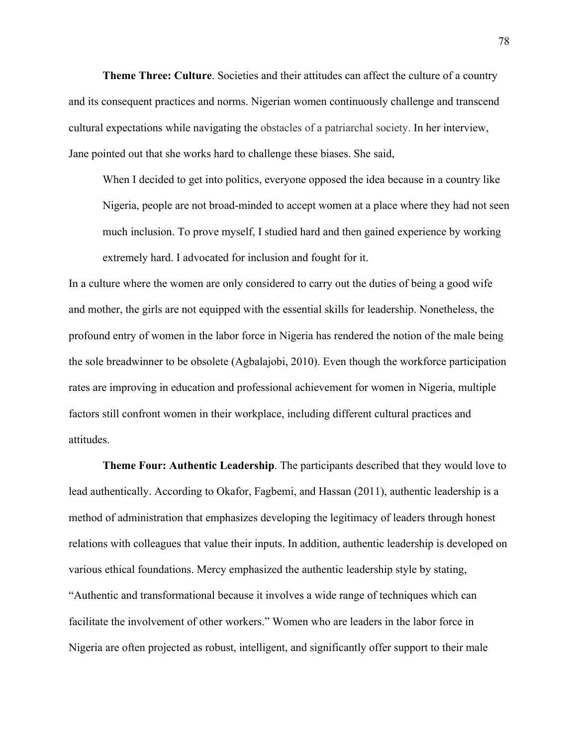**Theme Three: Culture**. Societies and their attitudes can affect the culture of a country and its consequent practices and norms. Nigerian women continuously challenge and transcend cultural expectations while navigating the obstacles of a patriarchal society. In her interview, Jane pointed out that she works hard to challenge these biases. She said,

When I decided to get into politics, everyone opposed the idea because in a country like Nigeria, people are not broad-minded to accept women at a place where they had not seen much inclusion. To prove myself, I studied hard and then gained experience by working extremely hard. I advocated for inclusion and fought for it.

In a culture where the women are only considered to carry out the duties of being a good wife and mother, the girls are not equipped with the essential skills for leadership. Nonetheless, the profound entry of women in the labor force in Nigeria has rendered the notion of the male being the sole breadwinner to be obsolete (Agbalajobi, 2010). Even though the workforce participation rates are improving in education and professional achievement for women in Nigeria, multiple factors still confront women in their workplace, including different cultural practices and attitudes.

**Theme Four: Authentic Leadership**. The participants described that they would love to lead authentically. According to Okafor, Fagbemi, and Hassan (2011), authentic leadership is a method of administration that emphasizes developing the legitimacy of leaders through honest relations with colleagues that value their inputs. In addition, authentic leadership is developed on various ethical foundations. Mercy emphasized the authentic leadership style by stating, "Authentic and transformational because it involves a wide range of techniques which can facilitate the involvement of other workers." Women who are leaders in the labor force in Nigeria are often projected as robust, intelligent, and significantly offer support to their male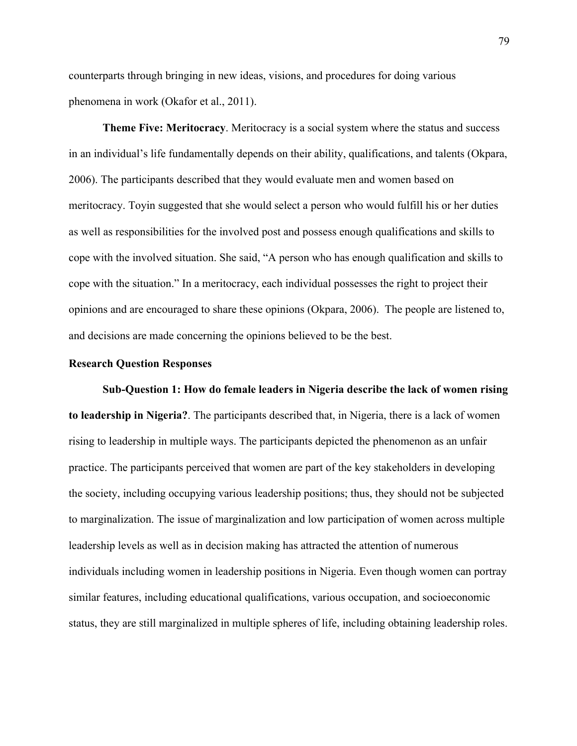counterparts through bringing in new ideas, visions, and procedures for doing various phenomena in work (Okafor et al., 2011).

**Theme Five: Meritocracy**. Meritocracy is a social system where the status and success in an individual's life fundamentally depends on their ability, qualifications, and talents (Okpara, 2006). The participants described that they would evaluate men and women based on meritocracy. Toyin suggested that she would select a person who would fulfill his or her duties as well as responsibilities for the involved post and possess enough qualifications and skills to cope with the involved situation. She said, "A person who has enough qualification and skills to cope with the situation." In a meritocracy, each individual possesses the right to project their opinions and are encouraged to share these opinions (Okpara, 2006). The people are listened to, and decisions are made concerning the opinions believed to be the best.

## **Research Question Responses**

**Sub-Question 1: How do female leaders in Nigeria describe the lack of women rising to leadership in Nigeria?**. The participants described that, in Nigeria, there is a lack of women rising to leadership in multiple ways. The participants depicted the phenomenon as an unfair practice. The participants perceived that women are part of the key stakeholders in developing the society, including occupying various leadership positions; thus, they should not be subjected to marginalization. The issue of marginalization and low participation of women across multiple leadership levels as well as in decision making has attracted the attention of numerous individuals including women in leadership positions in Nigeria. Even though women can portray similar features, including educational qualifications, various occupation, and socioeconomic status, they are still marginalized in multiple spheres of life, including obtaining leadership roles.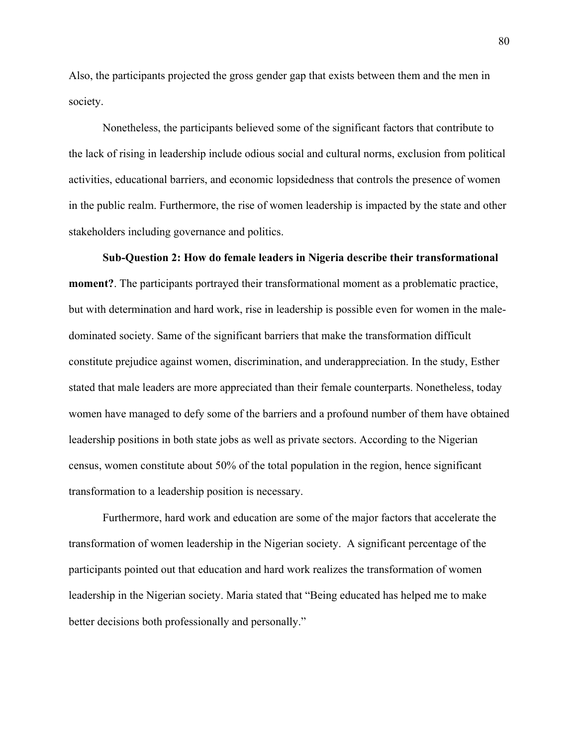Also, the participants projected the gross gender gap that exists between them and the men in society.

Nonetheless, the participants believed some of the significant factors that contribute to the lack of rising in leadership include odious social and cultural norms, exclusion from political activities, educational barriers, and economic lopsidedness that controls the presence of women in the public realm. Furthermore, the rise of women leadership is impacted by the state and other stakeholders including governance and politics.

# **Sub-Question 2: How do female leaders in Nigeria describe their transformational**

**moment?**. The participants portrayed their transformational moment as a problematic practice, but with determination and hard work, rise in leadership is possible even for women in the maledominated society. Same of the significant barriers that make the transformation difficult constitute prejudice against women, discrimination, and underappreciation. In the study, Esther stated that male leaders are more appreciated than their female counterparts. Nonetheless, today women have managed to defy some of the barriers and a profound number of them have obtained leadership positions in both state jobs as well as private sectors. According to the Nigerian census, women constitute about 50% of the total population in the region, hence significant transformation to a leadership position is necessary.

Furthermore, hard work and education are some of the major factors that accelerate the transformation of women leadership in the Nigerian society. A significant percentage of the participants pointed out that education and hard work realizes the transformation of women leadership in the Nigerian society. Maria stated that "Being educated has helped me to make better decisions both professionally and personally."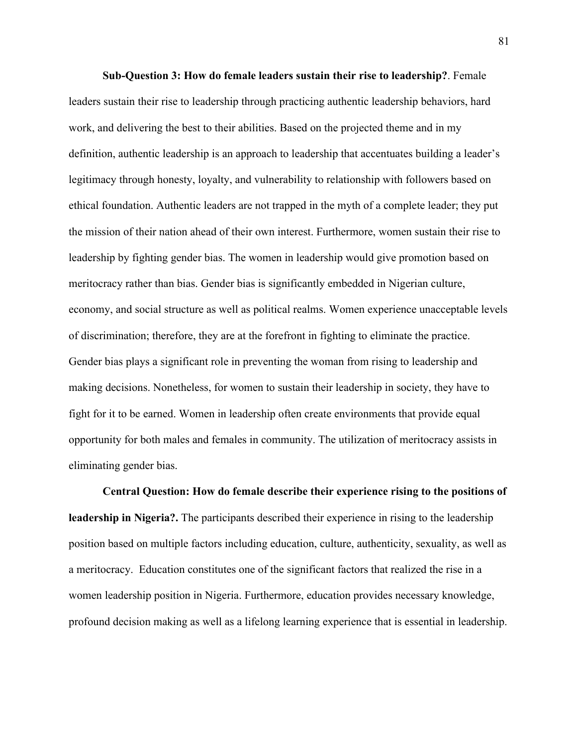**Sub-Question 3: How do female leaders sustain their rise to leadership?**. Female leaders sustain their rise to leadership through practicing authentic leadership behaviors, hard work, and delivering the best to their abilities. Based on the projected theme and in my definition, authentic leadership is an approach to leadership that accentuates building a leader's legitimacy through honesty, loyalty, and vulnerability to relationship with followers based on ethical foundation. Authentic leaders are not trapped in the myth of a complete leader; they put the mission of their nation ahead of their own interest. Furthermore, women sustain their rise to leadership by fighting gender bias. The women in leadership would give promotion based on meritocracy rather than bias. Gender bias is significantly embedded in Nigerian culture, economy, and social structure as well as political realms. Women experience unacceptable levels of discrimination; therefore, they are at the forefront in fighting to eliminate the practice. Gender bias plays a significant role in preventing the woman from rising to leadership and making decisions. Nonetheless, for women to sustain their leadership in society, they have to fight for it to be earned. Women in leadership often create environments that provide equal opportunity for both males and females in community. The utilization of meritocracy assists in eliminating gender bias.

**Central Question: How do female describe their experience rising to the positions of leadership in Nigeria?.** The participants described their experience in rising to the leadership position based on multiple factors including education, culture, authenticity, sexuality, as well as a meritocracy. Education constitutes one of the significant factors that realized the rise in a women leadership position in Nigeria. Furthermore, education provides necessary knowledge, profound decision making as well as a lifelong learning experience that is essential in leadership.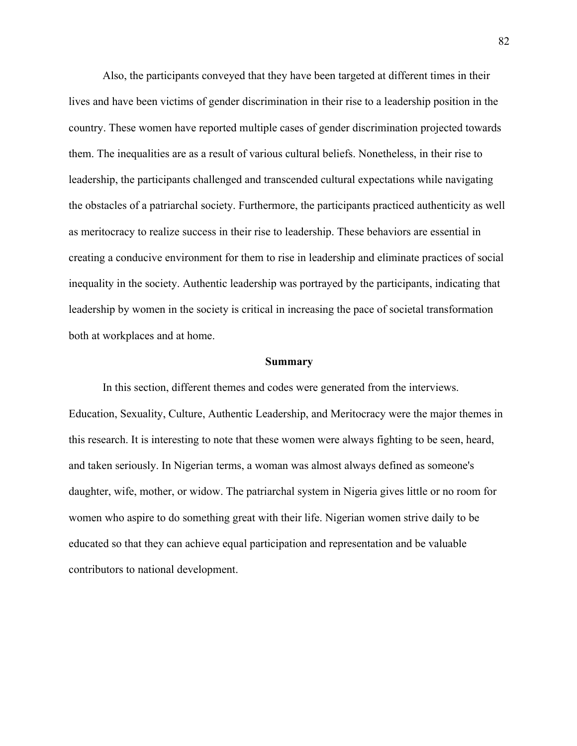Also, the participants conveyed that they have been targeted at different times in their lives and have been victims of gender discrimination in their rise to a leadership position in the country. These women have reported multiple cases of gender discrimination projected towards them. The inequalities are as a result of various cultural beliefs. Nonetheless, in their rise to leadership, the participants challenged and transcended cultural expectations while navigating the obstacles of a patriarchal society. Furthermore, the participants practiced authenticity as well as meritocracy to realize success in their rise to leadership. These behaviors are essential in creating a conducive environment for them to rise in leadership and eliminate practices of social inequality in the society. Authentic leadership was portrayed by the participants, indicating that leadership by women in the society is critical in increasing the pace of societal transformation both at workplaces and at home.

#### **Summary**

In this section, different themes and codes were generated from the interviews. Education, Sexuality, Culture, Authentic Leadership, and Meritocracy were the major themes in this research. It is interesting to note that these women were always fighting to be seen, heard, and taken seriously. In Nigerian terms, a woman was almost always defined as someone's daughter, wife, mother, or widow. The patriarchal system in Nigeria gives little or no room for women who aspire to do something great with their life. Nigerian women strive daily to be educated so that they can achieve equal participation and representation and be valuable contributors to national development.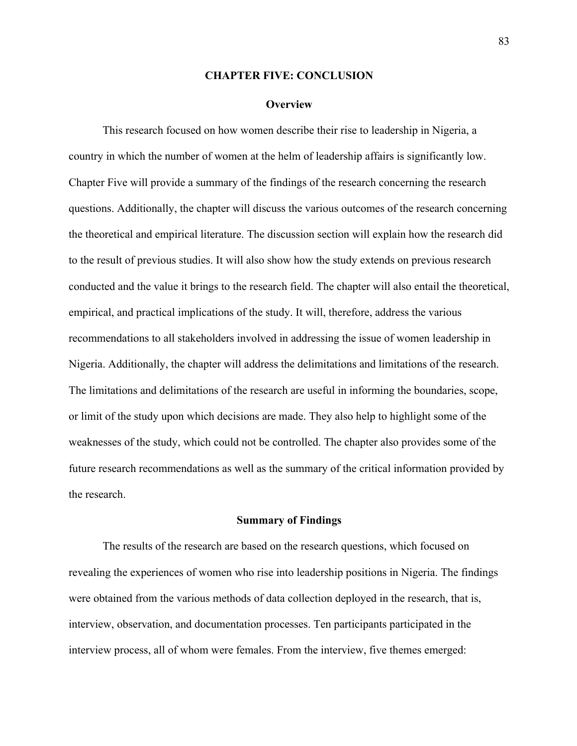#### **CHAPTER FIVE: CONCLUSION**

#### **Overview**

This research focused on how women describe their rise to leadership in Nigeria, a country in which the number of women at the helm of leadership affairs is significantly low. Chapter Five will provide a summary of the findings of the research concerning the research questions. Additionally, the chapter will discuss the various outcomes of the research concerning the theoretical and empirical literature. The discussion section will explain how the research did to the result of previous studies. It will also show how the study extends on previous research conducted and the value it brings to the research field. The chapter will also entail the theoretical, empirical, and practical implications of the study. It will, therefore, address the various recommendations to all stakeholders involved in addressing the issue of women leadership in Nigeria. Additionally, the chapter will address the delimitations and limitations of the research. The limitations and delimitations of the research are useful in informing the boundaries, scope, or limit of the study upon which decisions are made. They also help to highlight some of the weaknesses of the study, which could not be controlled. The chapter also provides some of the future research recommendations as well as the summary of the critical information provided by the research.

## **Summary of Findings**

The results of the research are based on the research questions, which focused on revealing the experiences of women who rise into leadership positions in Nigeria. The findings were obtained from the various methods of data collection deployed in the research, that is, interview, observation, and documentation processes. Ten participants participated in the interview process, all of whom were females. From the interview, five themes emerged: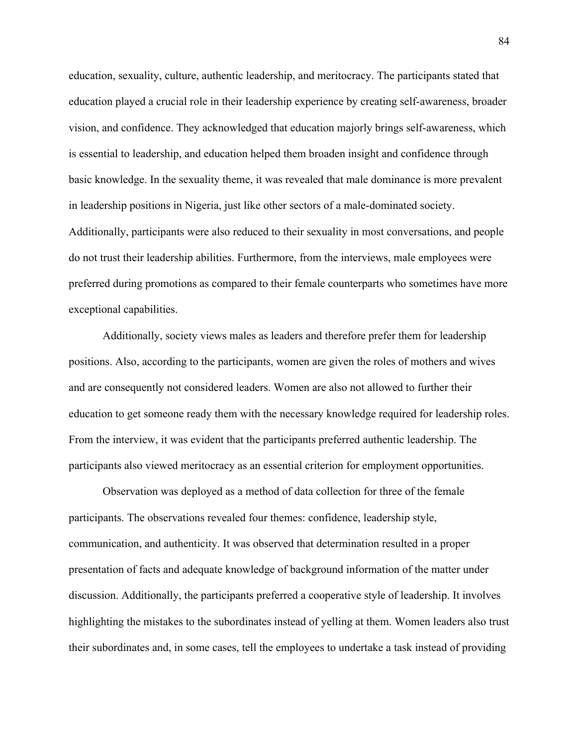education, sexuality, culture, authentic leadership, and meritocracy. The participants stated that education played a crucial role in their leadership experience by creating self-awareness, broader vision, and confidence. They acknowledged that education majorly brings self-awareness, which is essential to leadership, and education helped them broaden insight and confidence through basic knowledge. In the sexuality theme, it was revealed that male dominance is more prevalent in leadership positions in Nigeria, just like other sectors of a male-dominated society. Additionally, participants were also reduced to their sexuality in most conversations, and people do not trust their leadership abilities. Furthermore, from the interviews, male employees were preferred during promotions as compared to their female counterparts who sometimes have more exceptional capabilities.

Additionally, society views males as leaders and therefore prefer them for leadership positions. Also, according to the participants, women are given the roles of mothers and wives and are consequently not considered leaders. Women are also not allowed to further their education to get someone ready them with the necessary knowledge required for leadership roles. From the interview, it was evident that the participants preferred authentic leadership. The participants also viewed meritocracy as an essential criterion for employment opportunities.

Observation was deployed as a method of data collection for three of the female participants. The observations revealed four themes: confidence, leadership style, communication, and authenticity. It was observed that determination resulted in a proper presentation of facts and adequate knowledge of background information of the matter under discussion. Additionally, the participants preferred a cooperative style of leadership. It involves highlighting the mistakes to the subordinates instead of yelling at them. Women leaders also trust their subordinates and, in some cases, tell the employees to undertake a task instead of providing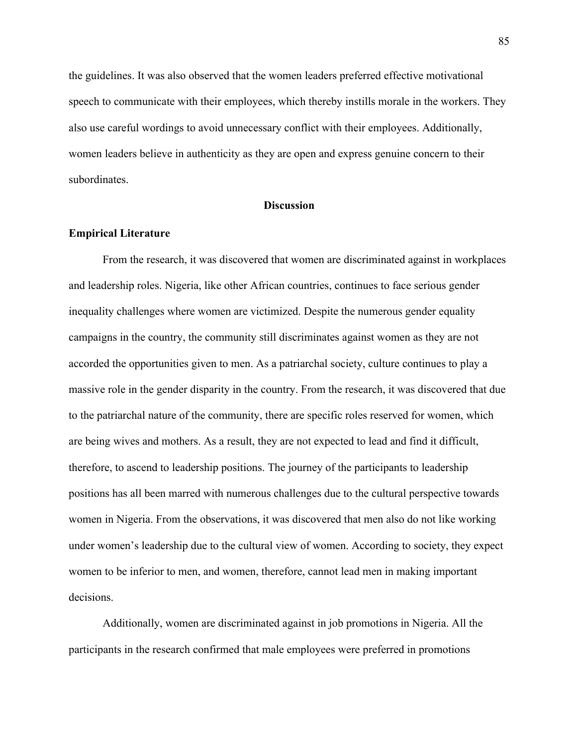the guidelines. It was also observed that the women leaders preferred effective motivational speech to communicate with their employees, which thereby instills morale in the workers. They also use careful wordings to avoid unnecessary conflict with their employees. Additionally, women leaders believe in authenticity as they are open and express genuine concern to their subordinates.

## **Discussion**

## **Empirical Literature**

From the research, it was discovered that women are discriminated against in workplaces and leadership roles. Nigeria, like other African countries, continues to face serious gender inequality challenges where women are victimized. Despite the numerous gender equality campaigns in the country, the community still discriminates against women as they are not accorded the opportunities given to men. As a patriarchal society, culture continues to play a massive role in the gender disparity in the country. From the research, it was discovered that due to the patriarchal nature of the community, there are specific roles reserved for women, which are being wives and mothers. As a result, they are not expected to lead and find it difficult, therefore, to ascend to leadership positions. The journey of the participants to leadership positions has all been marred with numerous challenges due to the cultural perspective towards women in Nigeria. From the observations, it was discovered that men also do not like working under women's leadership due to the cultural view of women. According to society, they expect women to be inferior to men, and women, therefore, cannot lead men in making important decisions.

Additionally, women are discriminated against in job promotions in Nigeria. All the participants in the research confirmed that male employees were preferred in promotions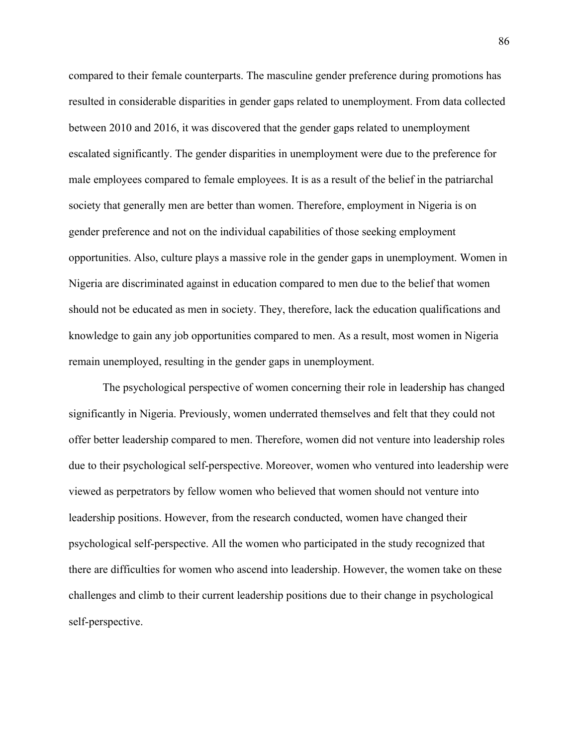compared to their female counterparts. The masculine gender preference during promotions has resulted in considerable disparities in gender gaps related to unemployment. From data collected between 2010 and 2016, it was discovered that the gender gaps related to unemployment escalated significantly. The gender disparities in unemployment were due to the preference for male employees compared to female employees. It is as a result of the belief in the patriarchal society that generally men are better than women. Therefore, employment in Nigeria is on gender preference and not on the individual capabilities of those seeking employment opportunities. Also, culture plays a massive role in the gender gaps in unemployment. Women in Nigeria are discriminated against in education compared to men due to the belief that women should not be educated as men in society. They, therefore, lack the education qualifications and knowledge to gain any job opportunities compared to men. As a result, most women in Nigeria remain unemployed, resulting in the gender gaps in unemployment.

The psychological perspective of women concerning their role in leadership has changed significantly in Nigeria. Previously, women underrated themselves and felt that they could not offer better leadership compared to men. Therefore, women did not venture into leadership roles due to their psychological self-perspective. Moreover, women who ventured into leadership were viewed as perpetrators by fellow women who believed that women should not venture into leadership positions. However, from the research conducted, women have changed their psychological self-perspective. All the women who participated in the study recognized that there are difficulties for women who ascend into leadership. However, the women take on these challenges and climb to their current leadership positions due to their change in psychological self-perspective.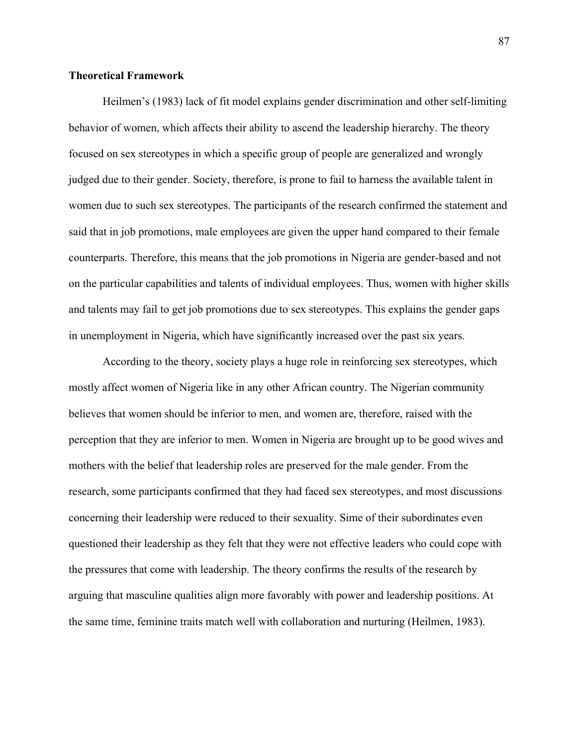## **Theoretical Framework**

Heilmen's (1983) lack of fit model explains gender discrimination and other self-limiting behavior of women, which affects their ability to ascend the leadership hierarchy. The theory focused on sex stereotypes in which a specific group of people are generalized and wrongly judged due to their gender. Society, therefore, is prone to fail to harness the available talent in women due to such sex stereotypes. The participants of the research confirmed the statement and said that in job promotions, male employees are given the upper hand compared to their female counterparts. Therefore, this means that the job promotions in Nigeria are gender-based and not on the particular capabilities and talents of individual employees. Thus, women with higher skills and talents may fail to get job promotions due to sex stereotypes. This explains the gender gaps in unemployment in Nigeria, which have significantly increased over the past six years.

According to the theory, society plays a huge role in reinforcing sex stereotypes, which mostly affect women of Nigeria like in any other African country. The Nigerian community believes that women should be inferior to men, and women are, therefore, raised with the perception that they are inferior to men. Women in Nigeria are brought up to be good wives and mothers with the belief that leadership roles are preserved for the male gender. From the research, some participants confirmed that they had faced sex stereotypes, and most discussions concerning their leadership were reduced to their sexuality. Sime of their subordinates even questioned their leadership as they felt that they were not effective leaders who could cope with the pressures that come with leadership. The theory confirms the results of the research by arguing that masculine qualities align more favorably with power and leadership positions. At the same time, feminine traits match well with collaboration and nurturing (Heilmen, 1983).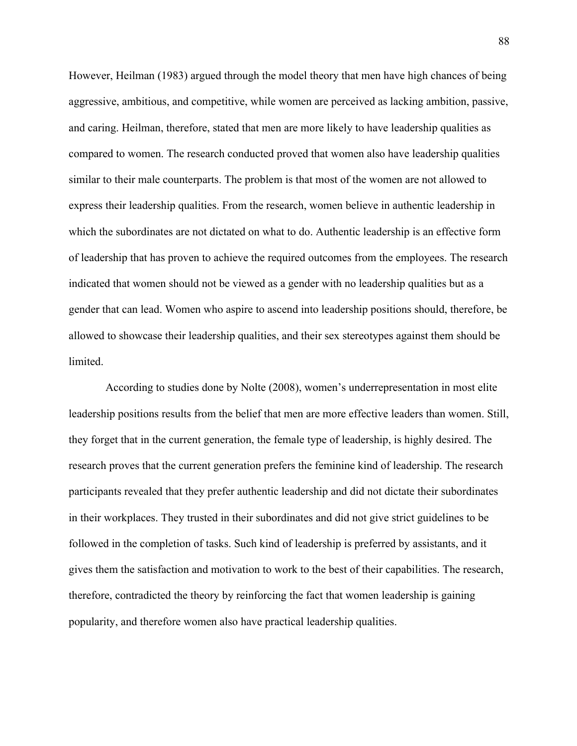However, Heilman (1983) argued through the model theory that men have high chances of being aggressive, ambitious, and competitive, while women are perceived as lacking ambition, passive, and caring. Heilman, therefore, stated that men are more likely to have leadership qualities as compared to women. The research conducted proved that women also have leadership qualities similar to their male counterparts. The problem is that most of the women are not allowed to express their leadership qualities. From the research, women believe in authentic leadership in which the subordinates are not dictated on what to do. Authentic leadership is an effective form of leadership that has proven to achieve the required outcomes from the employees. The research indicated that women should not be viewed as a gender with no leadership qualities but as a gender that can lead. Women who aspire to ascend into leadership positions should, therefore, be allowed to showcase their leadership qualities, and their sex stereotypes against them should be limited.

According to studies done by Nolte (2008), women's underrepresentation in most elite leadership positions results from the belief that men are more effective leaders than women. Still, they forget that in the current generation, the female type of leadership, is highly desired. The research proves that the current generation prefers the feminine kind of leadership. The research participants revealed that they prefer authentic leadership and did not dictate their subordinates in their workplaces. They trusted in their subordinates and did not give strict guidelines to be followed in the completion of tasks. Such kind of leadership is preferred by assistants, and it gives them the satisfaction and motivation to work to the best of their capabilities. The research, therefore, contradicted the theory by reinforcing the fact that women leadership is gaining popularity, and therefore women also have practical leadership qualities.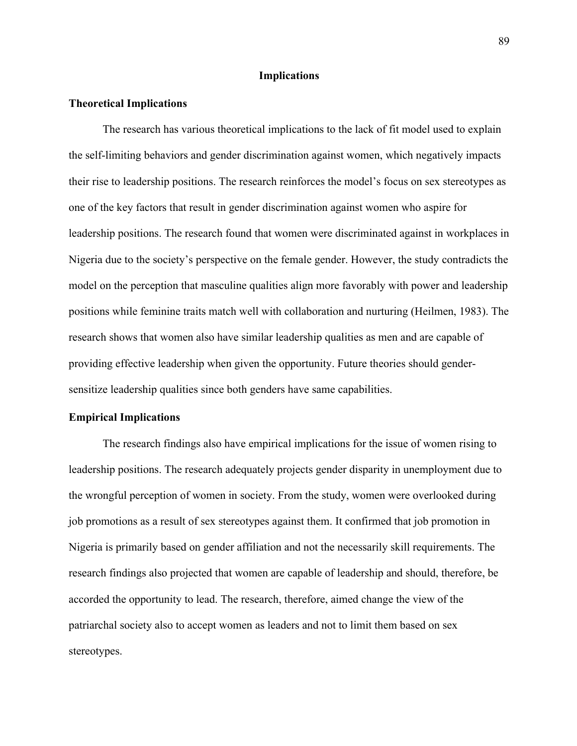### **Implications**

### **Theoretical Implications**

The research has various theoretical implications to the lack of fit model used to explain the self-limiting behaviors and gender discrimination against women, which negatively impacts their rise to leadership positions. The research reinforces the model's focus on sex stereotypes as one of the key factors that result in gender discrimination against women who aspire for leadership positions. The research found that women were discriminated against in workplaces in Nigeria due to the society's perspective on the female gender. However, the study contradicts the model on the perception that masculine qualities align more favorably with power and leadership positions while feminine traits match well with collaboration and nurturing (Heilmen, 1983). The research shows that women also have similar leadership qualities as men and are capable of providing effective leadership when given the opportunity. Future theories should gendersensitize leadership qualities since both genders have same capabilities.

#### **Empirical Implications**

The research findings also have empirical implications for the issue of women rising to leadership positions. The research adequately projects gender disparity in unemployment due to the wrongful perception of women in society. From the study, women were overlooked during job promotions as a result of sex stereotypes against them. It confirmed that job promotion in Nigeria is primarily based on gender affiliation and not the necessarily skill requirements. The research findings also projected that women are capable of leadership and should, therefore, be accorded the opportunity to lead. The research, therefore, aimed change the view of the patriarchal society also to accept women as leaders and not to limit them based on sex stereotypes.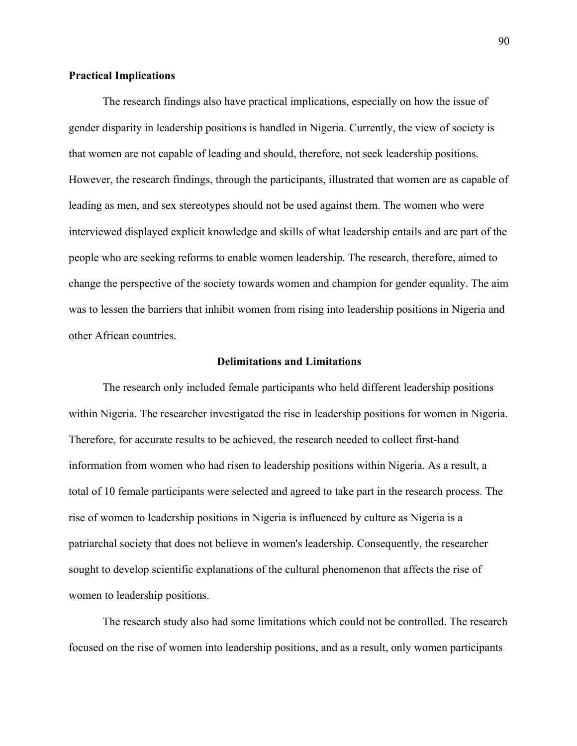## **Practical Implications**

The research findings also have practical implications, especially on how the issue of gender disparity in leadership positions is handled in Nigeria. Currently, the view of society is that women are not capable of leading and should, therefore, not seek leadership positions. However, the research findings, through the participants, illustrated that women are as capable of leading as men, and sex stereotypes should not be used against them. The women who were interviewed displayed explicit knowledge and skills of what leadership entails and are part of the people who are seeking reforms to enable women leadership. The research, therefore, aimed to change the perspective of the society towards women and champion for gender equality. The aim was to lessen the barriers that inhibit women from rising into leadership positions in Nigeria and other African countries.

#### **Delimitations and Limitations**

The research only included female participants who held different leadership positions within Nigeria. The researcher investigated the rise in leadership positions for women in Nigeria. Therefore, for accurate results to be achieved, the research needed to collect first-hand information from women who had risen to leadership positions within Nigeria. As a result, a total of 10 female participants were selected and agreed to take part in the research process. The rise of women to leadership positions in Nigeria is influenced by culture as Nigeria is a patriarchal society that does not believe in women's leadership. Consequently, the researcher sought to develop scientific explanations of the cultural phenomenon that affects the rise of women to leadership positions.

The research study also had some limitations which could not be controlled. The research focused on the rise of women into leadership positions, and as a result, only women participants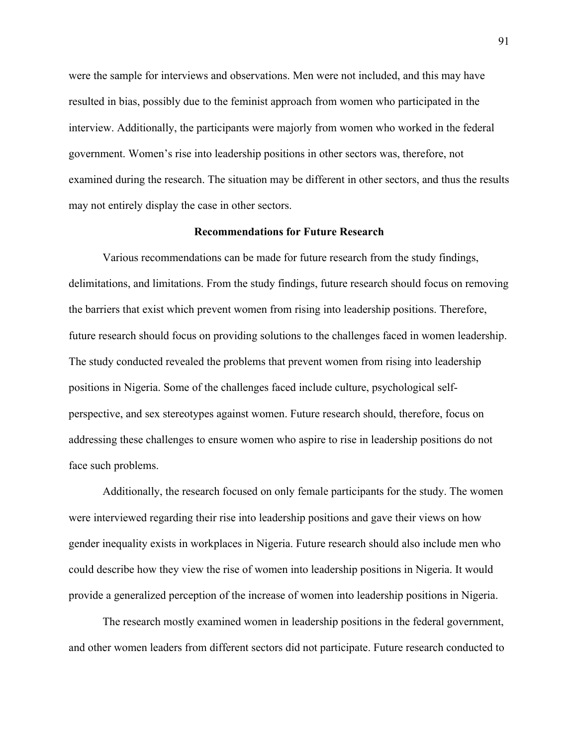were the sample for interviews and observations. Men were not included, and this may have resulted in bias, possibly due to the feminist approach from women who participated in the interview. Additionally, the participants were majorly from women who worked in the federal government. Women's rise into leadership positions in other sectors was, therefore, not examined during the research. The situation may be different in other sectors, and thus the results may not entirely display the case in other sectors.

### **Recommendations for Future Research**

Various recommendations can be made for future research from the study findings, delimitations, and limitations. From the study findings, future research should focus on removing the barriers that exist which prevent women from rising into leadership positions. Therefore, future research should focus on providing solutions to the challenges faced in women leadership. The study conducted revealed the problems that prevent women from rising into leadership positions in Nigeria. Some of the challenges faced include culture, psychological selfperspective, and sex stereotypes against women. Future research should, therefore, focus on addressing these challenges to ensure women who aspire to rise in leadership positions do not face such problems.

Additionally, the research focused on only female participants for the study. The women were interviewed regarding their rise into leadership positions and gave their views on how gender inequality exists in workplaces in Nigeria. Future research should also include men who could describe how they view the rise of women into leadership positions in Nigeria. It would provide a generalized perception of the increase of women into leadership positions in Nigeria.

The research mostly examined women in leadership positions in the federal government, and other women leaders from different sectors did not participate. Future research conducted to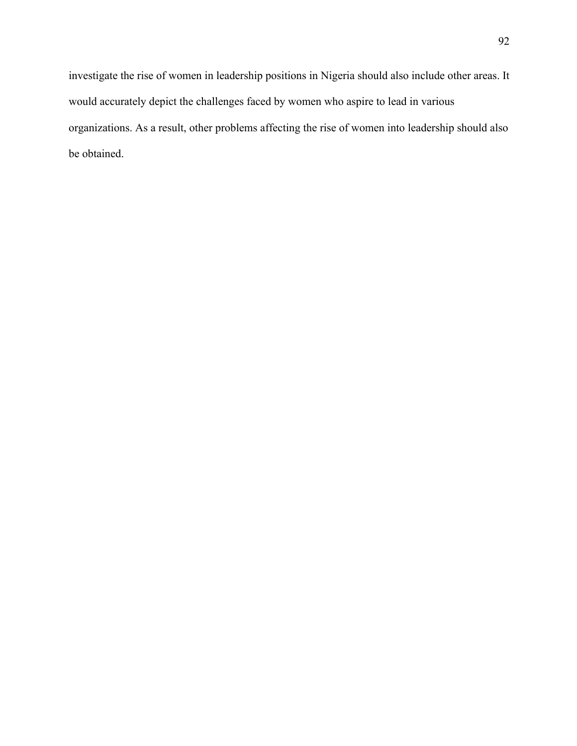investigate the rise of women in leadership positions in Nigeria should also include other areas. It would accurately depict the challenges faced by women who aspire to lead in various organizations. As a result, other problems affecting the rise of women into leadership should also be obtained.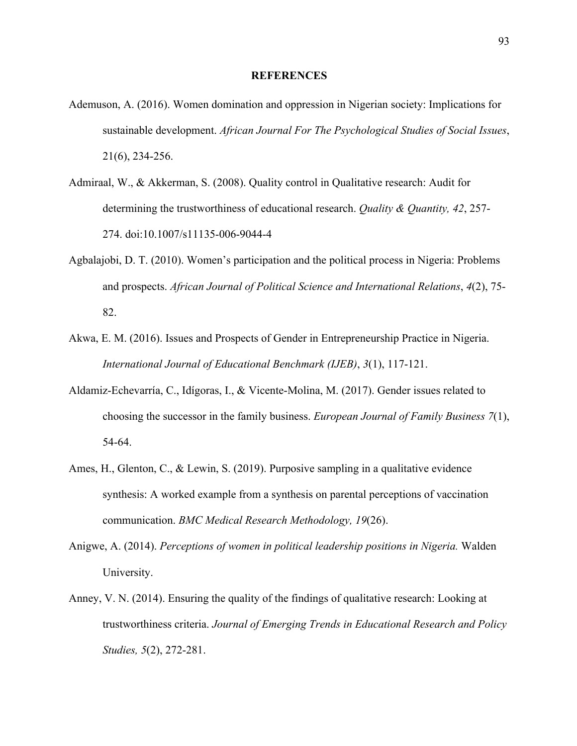#### **REFERENCES**

- Ademuson, A. (2016). Women domination and oppression in Nigerian society: Implications for sustainable development. *African Journal For The Psychological Studies of Social Issues*, 21(6), 234-256.
- Admiraal, W., & Akkerman, S. (2008). Quality control in Qualitative research: Audit for determining the trustworthiness of educational research. *Quality & Quantity, 42*, 257- 274. doi:10.1007/s11135-006-9044-4
- Agbalajobi, D. T. (2010). Women's participation and the political process in Nigeria: Problems and prospects. *African Journal of Political Science and International Relations*, *4*(2), 75- 82.
- Akwa, E. M. (2016). Issues and Prospects of Gender in Entrepreneurship Practice in Nigeria. *International Journal of Educational Benchmark (IJEB)*, *3*(1), 117-121.
- Aldamiz-Echevarría, C., Idígoras, I., & Vicente-Molina, M. (2017). Gender issues related to choosing the successor in the family business. *European Journal of Family Business 7*(1), 54-64.
- Ames, H., Glenton, C., & Lewin, S. (2019). Purposive sampling in a qualitative evidence synthesis: A worked example from a synthesis on parental perceptions of vaccination communication. *BMC Medical Research Methodology, 19*(26).
- Anigwe, A. (2014). *Perceptions of women in political leadership positions in Nigeria.* Walden University.
- Anney, V. N. (2014). Ensuring the quality of the findings of qualitative research: Looking at trustworthiness criteria. *Journal of Emerging Trends in Educational Research and Policy Studies, 5*(2), 272-281.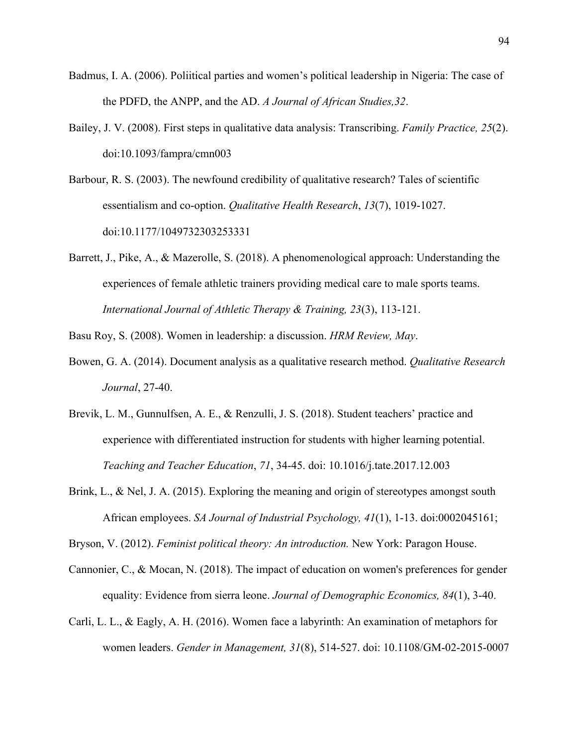- Badmus, I. A. (2006). Poliitical parties and women's political leadership in Nigeria: The case of the PDFD, the ANPP, and the AD. *A Journal of African Studies,32*.
- Bailey, J. V. (2008). First steps in qualitative data analysis: Transcribing. *Family Practice, 25*(2). doi:10.1093/fampra/cmn003
- Barbour, R. S. (2003). The newfound credibility of qualitative research? Tales of scientific essentialism and co-option. *Qualitative Health Research*, *13*(7), 1019-1027. doi:10.1177/1049732303253331
- Barrett, J., Pike, A., & Mazerolle, S. (2018). A phenomenological approach: Understanding the experiences of female athletic trainers providing medical care to male sports teams. *International Journal of Athletic Therapy & Training, 23*(3), 113-121.

Basu Roy, S. (2008). Women in leadership: a discussion. *HRM Review, May*.

- Bowen, G. A. (2014). Document analysis as a qualitative research method. *Qualitative Research Journal*, 27-40.
- Brevik, L. M., Gunnulfsen, A. E., & Renzulli, J. S. (2018). Student teachers' practice and experience with differentiated instruction for students with higher learning potential. *Teaching and Teacher Education*, *71*, 34-45. doi: 10.1016/j.tate.2017.12.003
- Brink, L., & Nel, J. A. (2015). Exploring the meaning and origin of stereotypes amongst south African employees. *SA Journal of Industrial Psychology, 41*(1), 1-13. doi:0002045161;

Bryson, V. (2012). *Feminist political theory: An introduction.* New York: Paragon House.

- Cannonier, C., & Mocan, N. (2018). The impact of education on women's preferences for gender equality: Evidence from sierra leone. *Journal of Demographic Economics, 84*(1), 3-40.
- Carli, L. L., & Eagly, A. H. (2016). Women face a labyrinth: An examination of metaphors for women leaders. *Gender in Management, 31*(8), 514-527. doi: 10.1108/GM-02-2015-0007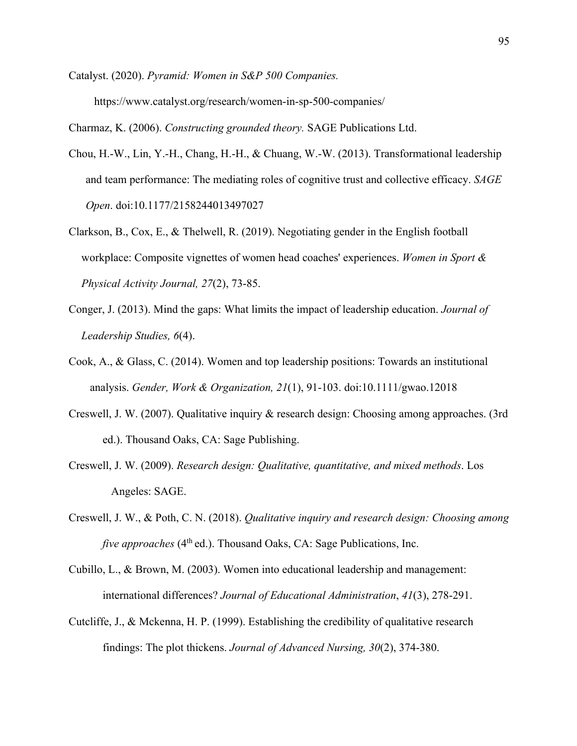Catalyst. (2020). *Pyramid: Women in S&P 500 Companies.* https://www.catalyst.org/research/women-in-sp-500-companies/

Charmaz, K. (2006). *Constructing grounded theory.* SAGE Publications Ltd.

- Chou, H.-W., Lin, Y.-H., Chang, H.-H., & Chuang, W.-W. (2013). Transformational leadership and team performance: The mediating roles of cognitive trust and collective efficacy. *SAGE Open*. doi:10.1177/2158244013497027
- Clarkson, B., Cox, E., & Thelwell, R. (2019). Negotiating gender in the English football workplace: Composite vignettes of women head coaches' experiences. *Women in Sport & Physical Activity Journal, 27*(2), 73-85.
- Conger, J. (2013). Mind the gaps: What limits the impact of leadership education. *Journal of Leadership Studies, 6*(4).
- Cook, A., & Glass, C. (2014). Women and top leadership positions: Towards an institutional analysis. *Gender, Work & Organization, 21*(1), 91-103. doi:10.1111/gwao.12018
- Creswell, J. W. (2007). Qualitative inquiry & research design: Choosing among approaches. (3rd ed.). Thousand Oaks, CA: Sage Publishing.
- Creswell, J. W. (2009). *Research design: Qualitative, quantitative, and mixed methods*. Los Angeles: SAGE.
- Creswell, J. W., & Poth, C. N. (2018). *Qualitative inquiry and research design: Choosing among five approaches* (4<sup>th</sup> ed.). Thousand Oaks, CA: Sage Publications, Inc.
- Cubillo, L., & Brown, M. (2003). Women into educational leadership and management: international differences? *Journal of Educational Administration*, *41*(3), 278-291.
- Cutcliffe, J., & Mckenna, H. P. (1999). Establishing the credibility of qualitative research findings: The plot thickens. *Journal of Advanced Nursing, 30*(2), 374-380.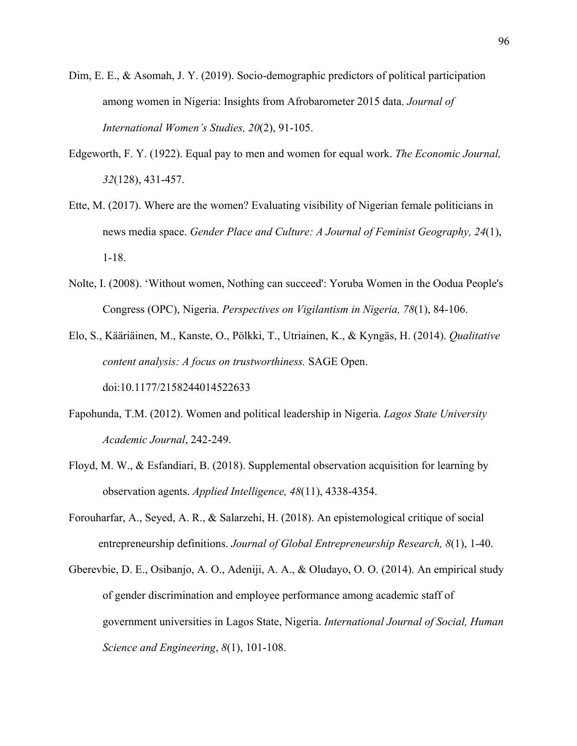- Dim, E. E., & Asomah, J. Y. (2019). Socio-demographic predictors of political participation among women in Nigeria: Insights from Afrobarometer 2015 data. *Journal of International Women's Studies, 20*(2), 91-105.
- Edgeworth, F. Y. (1922). Equal pay to men and women for equal work. *The Economic Journal, 32*(128), 431-457.
- Ette, M. (2017). Where are the women? Evaluating visibility of Nigerian female politicians in news media space. *Gender Place and Culture: A Journal of Feminist Geography, 24*(1), 1-18.
- Nolte, I. (2008). 'Without women, Nothing can succeed': Yoruba Women in the Oodua People's Congress (OPC), Nigeria. *Perspectives on Vigilantism in Nigeria, 78*(1), 84-106.
- Elo, S., Kääriäinen, M., Kanste, O., Pölkki, T., Utriainen, K., & Kyngäs, H. (2014). *Qualitative content analysis: A focus on trustworthiness.* SAGE Open. doi:10.1177/2158244014522633
- Fapohunda, T.M. (2012). Women and political leadership in Nigeria. *Lagos State University Academic Journal*, 242-249.
- Floyd, M. W., & Esfandiari, B. (2018). Supplemental observation acquisition for learning by observation agents. *Applied Intelligence, 48*(11), 4338-4354.
- Forouharfar, A., Seyed, A. R., & Salarzehi, H. (2018). An epistemological critique of social entrepreneurship definitions. *Journal of Global Entrepreneurship Research, 8*(1), 1-40.
- Gberevbie, D. E., Osibanjo, A. O., Adeniji, A. A., & Oludayo, O. O. (2014). An empirical study of gender discrimination and employee performance among academic staff of government universities in Lagos State, Nigeria. *International Journal of Social, Human Science and Engineering*, *8*(1), 101-108.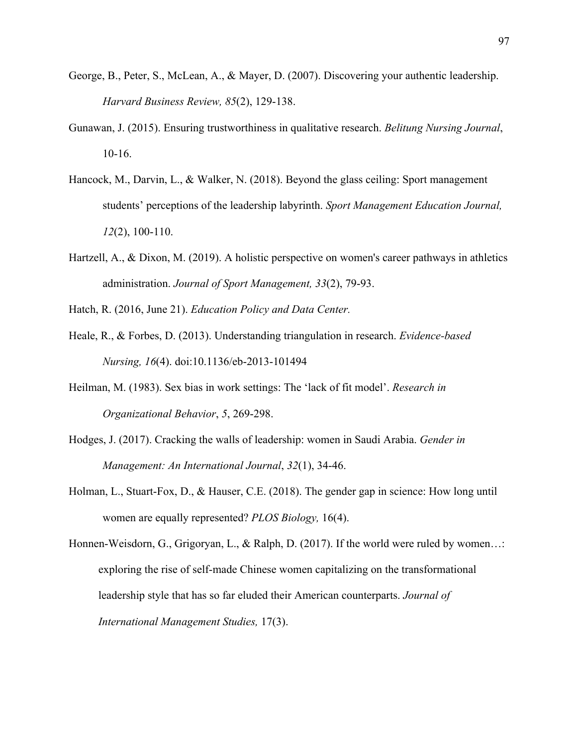- George, B., Peter, S., McLean, A., & Mayer, D. (2007). Discovering your authentic leadership. *Harvard Business Review, 85*(2), 129-138.
- Gunawan, J. (2015). Ensuring trustworthiness in qualitative research. *Belitung Nursing Journal*, 10-16.
- Hancock, M., Darvin, L., & Walker, N. (2018). Beyond the glass ceiling: Sport management students' perceptions of the leadership labyrinth. *Sport Management Education Journal, 12*(2), 100-110.
- Hartzell, A., & Dixon, M. (2019). A holistic perspective on women's career pathways in athletics administration. *Journal of Sport Management, 33*(2), 79-93.
- Hatch, R. (2016, June 21). *Education Policy and Data Center.*
- Heale, R., & Forbes, D. (2013). Understanding triangulation in research. *Evidence-based Nursing, 16*(4). doi:10.1136/eb-2013-101494
- Heilman, M. (1983). Sex bias in work settings: The 'lack of fit model'. *Research in Organizational Behavior*, *5*, 269-298.
- Hodges, J. (2017). Cracking the walls of leadership: women in Saudi Arabia. *Gender in Management: An International Journal*, *32*(1), 34-46.
- Holman, L., Stuart-Fox, D., & Hauser, C.E. (2018). The gender gap in science: How long until women are equally represented? *PLOS Biology,* 16(4).
- Honnen-Weisdorn, G., Grigoryan, L., & Ralph, D. (2017). If the world were ruled by women…: exploring the rise of self-made Chinese women capitalizing on the transformational leadership style that has so far eluded their American counterparts. *Journal of International Management Studies,* 17(3).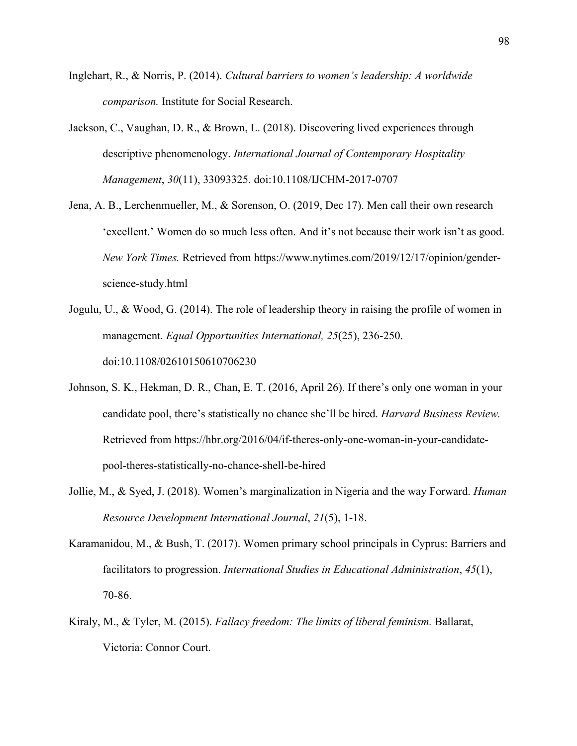- Inglehart, R., & Norris, P. (2014). *Cultural barriers to women's leadership: A worldwide comparison.* Institute for Social Research.
- Jackson, C., Vaughan, D. R., & Brown, L. (2018). Discovering lived experiences through descriptive phenomenology. *International Journal of Contemporary Hospitality Management*, *30*(11), 33093325. doi:10.1108/IJCHM-2017-0707
- Jena, A. B., Lerchenmueller, M., & Sorenson, O. (2019, Dec 17). Men call their own research 'excellent.' Women do so much less often. And it's not because their work isn't as good. *New York Times.* Retrieved from https://www.nytimes.com/2019/12/17/opinion/genderscience-study.html
- Jogulu, U., & Wood, G. (2014). The role of leadership theory in raising the profile of women in management. *Equal Opportunities International, 25*(25), 236-250. doi:10.1108/02610150610706230
- Johnson, S. K., Hekman, D. R., Chan, E. T. (2016, April 26). If there's only one woman in your candidate pool, there's statistically no chance she'll be hired. *Harvard Business Review.*  Retrieved from https://hbr.org/2016/04/if-theres-only-one-woman-in-your-candidatepool-theres-statistically-no-chance-shell-be-hired
- Jollie, M., & Syed, J. (2018). Women's marginalization in Nigeria and the way Forward. *Human Resource Development International Journal*, *21*(5), 1-18.
- Karamanidou, M., & Bush, T. (2017). Women primary school principals in Cyprus: Barriers and facilitators to progression. *International Studies in Educational Administration*, *45*(1), 70-86.
- Kiraly, M., & Tyler, M. (2015). *Fallacy freedom: The limits of liberal feminism.* Ballarat, Victoria: Connor Court.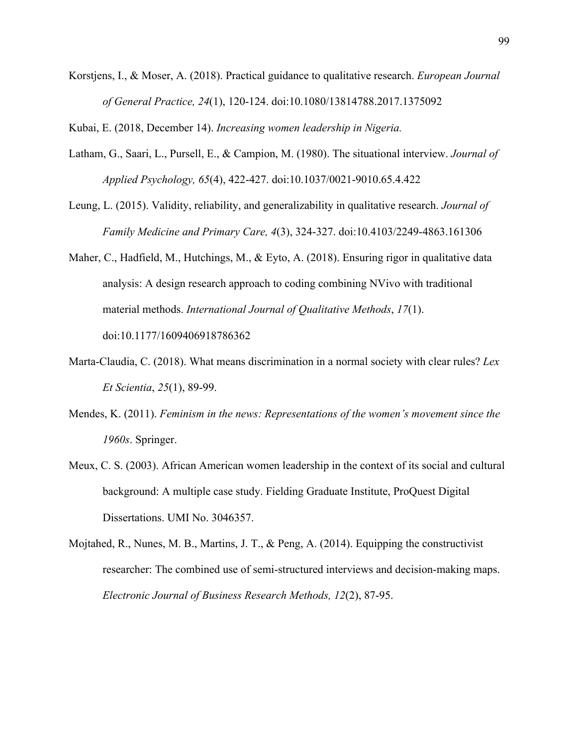Korstjens, I., & Moser, A. (2018). Practical guidance to qualitative research. *European Journal of General Practice, 24*(1), 120-124. doi:10.1080/13814788.2017.1375092

Kubai, E. (2018, December 14). *Increasing women leadership in Nigeria.*

- Latham, G., Saari, L., Pursell, E., & Campion, M. (1980). The situational interview. *Journal of Applied Psychology, 65*(4), 422-427. doi:10.1037/0021-9010.65.4.422
- Leung, L. (2015). Validity, reliability, and generalizability in qualitative research. *Journal of Family Medicine and Primary Care, 4*(3), 324-327. doi:10.4103/2249-4863.161306
- Maher, C., Hadfield, M., Hutchings, M., & Eyto, A. (2018). Ensuring rigor in qualitative data analysis: A design research approach to coding combining NVivo with traditional material methods. *International Journal of Qualitative Methods*, *17*(1). doi:10.1177/1609406918786362
- Marta-Claudia, C. (2018). What means discrimination in a normal society with clear rules? *Lex Et Scientia*, *25*(1), 89-99.
- Mendes, K. (2011). *Feminism in the news: Representations of the women's movement since the 1960s*. Springer.
- Meux, C. S. (2003). African American women leadership in the context of its social and cultural background: A multiple case study. Fielding Graduate Institute, ProQuest Digital Dissertations. UMI No. 3046357.
- Mojtahed, R., Nunes, M. B., Martins, J. T., & Peng, A. (2014). Equipping the constructivist researcher: The combined use of semi-structured interviews and decision-making maps. *Electronic Journal of Business Research Methods, 12*(2), 87-95.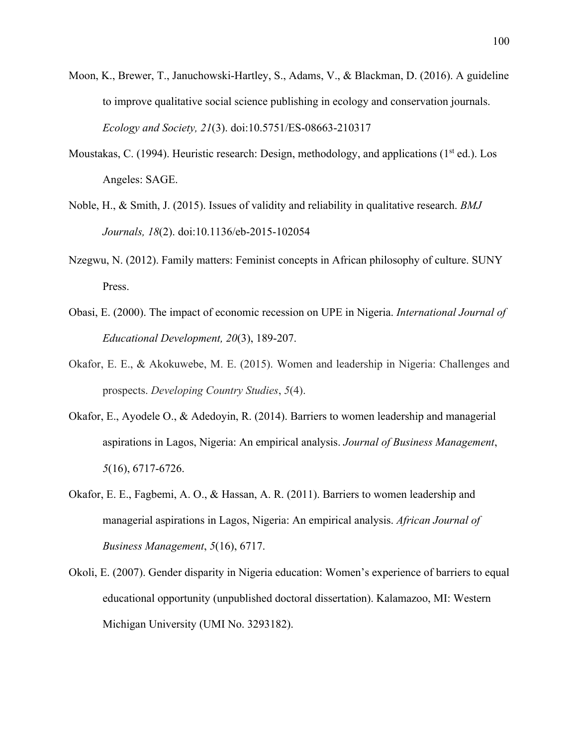- Moon, K., Brewer, T., Januchowski-Hartley, S., Adams, V., & Blackman, D. (2016). A guideline to improve qualitative social science publishing in ecology and conservation journals. *Ecology and Society, 21*(3). doi:10.5751/ES-08663-210317
- Moustakas, C. (1994). Heuristic research: Design, methodology, and applications ( $1<sup>st</sup>$  ed.). Los Angeles: SAGE.
- Noble, H., & Smith, J. (2015). Issues of validity and reliability in qualitative research. *BMJ Journals, 18*(2). doi:10.1136/eb-2015-102054
- Nzegwu, N. (2012). Family matters: Feminist concepts in African philosophy of culture. SUNY Press.
- Obasi, E. (2000). The impact of economic recession on UPE in Nigeria. *International Journal of Educational Development, 20*(3), 189-207.
- Okafor, E. E., & Akokuwebe, M. E. (2015). Women and leadership in Nigeria: Challenges and prospects. *Developing Country Studies*, *5*(4).
- Okafor, E., Ayodele O., & Adedoyin, R. (2014). Barriers to women leadership and managerial aspirations in Lagos, Nigeria: An empirical analysis. *Journal of Business Management*, *5*(16), 6717-6726.
- Okafor, E. E., Fagbemi, A. O., & Hassan, A. R. (2011). Barriers to women leadership and managerial aspirations in Lagos, Nigeria: An empirical analysis. *African Journal of Business Management*, *5*(16), 6717.
- Okoli, E. (2007). Gender disparity in Nigeria education: Women's experience of barriers to equal educational opportunity (unpublished doctoral dissertation). Kalamazoo, MI: Western Michigan University (UMI No. 3293182).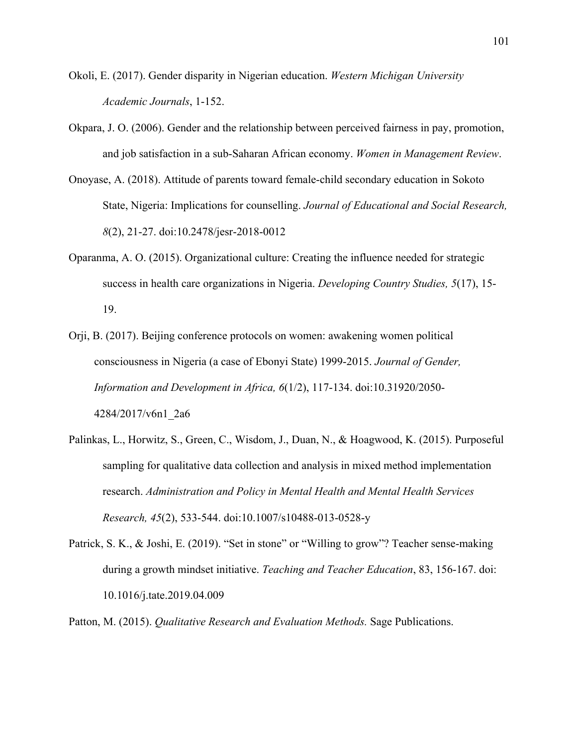- Okoli, E. (2017). Gender disparity in Nigerian education. *Western Michigan University Academic Journals*, 1-152.
- Okpara, J. O. (2006). Gender and the relationship between perceived fairness in pay, promotion, and job satisfaction in a sub-Saharan African economy. *Women in Management Review*.
- Onoyase, A. (2018). Attitude of parents toward female-child secondary education in Sokoto State, Nigeria: Implications for counselling. *Journal of Educational and Social Research, 8*(2), 21-27. doi:10.2478/jesr-2018-0012
- Oparanma, A. O. (2015). Organizational culture: Creating the influence needed for strategic success in health care organizations in Nigeria. *Developing Country Studies, 5*(17), 15- 19.
- Orji, B. (2017). Beijing conference protocols on women: awakening women political consciousness in Nigeria (a case of Ebonyi State) 1999-2015. *Journal of Gender, Information and Development in Africa, 6*(1/2), 117-134. doi:10.31920/2050- 4284/2017/v6n1\_2a6
- Palinkas, L., Horwitz, S., Green, C., Wisdom, J., Duan, N., & Hoagwood, K. (2015). Purposeful sampling for qualitative data collection and analysis in mixed method implementation research. *Administration and Policy in Mental Health and Mental Health Services Research, 45*(2), 533-544. doi:10.1007/s10488-013-0528-y
- Patrick, S. K., & Joshi, E. (2019). "Set in stone" or "Willing to grow"? Teacher sense-making during a growth mindset initiative. *Teaching and Teacher Education*, 83, 156-167. doi: 10.1016/j.tate.2019.04.009
- Patton, M. (2015). *Qualitative Research and Evaluation Methods.* Sage Publications.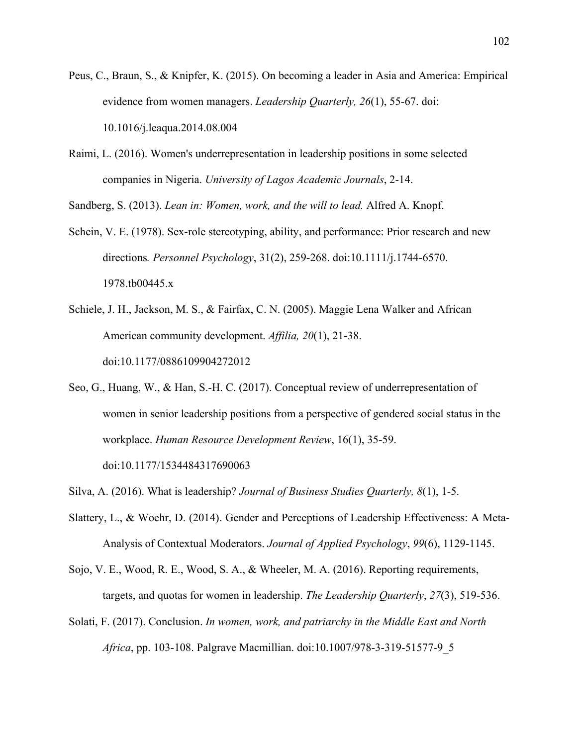- Peus, C., Braun, S., & Knipfer, K. (2015). On becoming a leader in Asia and America: Empirical evidence from women managers. *Leadership Quarterly, 26*(1), 55-67. doi: 10.1016/j.leaqua.2014.08.004
- Raimi, L. (2016). Women's underrepresentation in leadership positions in some selected companies in Nigeria. *University of Lagos Academic Journals*, 2-14.

Sandberg, S. (2013). *Lean in: Women, work, and the will to lead.* Alfred A. Knopf.

- Schein, V. E. (1978). Sex-role stereotyping, ability, and performance: Prior research and new directions*. Personnel Psychology*, 31(2), 259-268. doi:10.1111/j.1744-6570. 1978.tb00445.x
- Schiele, J. H., Jackson, M. S., & Fairfax, C. N. (2005). Maggie Lena Walker and African American community development. *Affilia, 20*(1), 21-38. doi:10.1177/0886109904272012
- Seo, G., Huang, W., & Han, S.-H. C. (2017). Conceptual review of underrepresentation of women in senior leadership positions from a perspective of gendered social status in the workplace. *Human Resource Development Review*, 16(1), 35-59. doi:10.1177/1534484317690063
- Silva, A. (2016). What is leadership? *Journal of Business Studies Quarterly, 8*(1), 1-5.
- Slattery, L., & Woehr, D. (2014). Gender and Perceptions of Leadership Effectiveness: A Meta-Analysis of Contextual Moderators. *Journal of Applied Psychology*, *99*(6), 1129-1145.
- Sojo, V. E., Wood, R. E., Wood, S. A., & Wheeler, M. A. (2016). Reporting requirements, targets, and quotas for women in leadership. *The Leadership Quarterly*, *27*(3), 519-536.
- Solati, F. (2017). Conclusion. *In women, work, and patriarchy in the Middle East and North Africa*, pp. 103-108. Palgrave Macmillian. doi:10.1007/978-3-319-51577-9\_5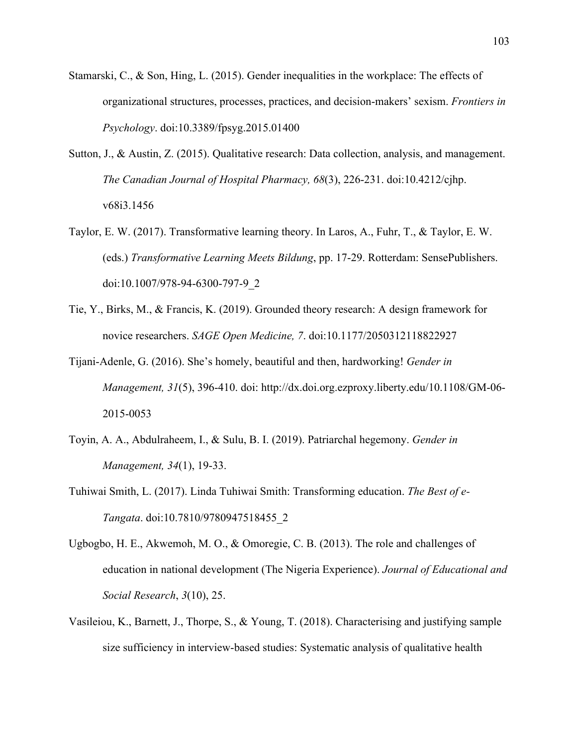- Stamarski, C., & Son, Hing, L. (2015). Gender inequalities in the workplace: The effects of organizational structures, processes, practices, and decision-makers' sexism. *Frontiers in Psychology*. doi:10.3389/fpsyg.2015.01400
- Sutton, J., & Austin, Z. (2015). Qualitative research: Data collection, analysis, and management. *The Canadian Journal of Hospital Pharmacy, 68*(3), 226-231. doi:10.4212/cjhp. v68i3.1456
- Taylor, E. W. (2017). Transformative learning theory. In Laros, A., Fuhr, T., & Taylor, E. W. (eds.) *Transformative Learning Meets Bildung*, pp. 17-29. Rotterdam: SensePublishers. doi:10.1007/978-94-6300-797-9\_2
- Tie, Y., Birks, M., & Francis, K. (2019). Grounded theory research: A design framework for novice researchers. *SAGE Open Medicine, 7*. doi:10.1177/2050312118822927
- Tijani-Adenle, G. (2016). She's homely, beautiful and then, hardworking! *Gender in Management, 31*(5), 396-410. doi: http://dx.doi.org.ezproxy.liberty.edu/10.1108/GM-06- 2015-0053
- Toyin, A. A., Abdulraheem, I., & Sulu, B. I. (2019). Patriarchal hegemony. *Gender in Management, 34*(1), 19-33.
- Tuhiwai Smith, L. (2017). Linda Tuhiwai Smith: Transforming education. *The Best of e-Tangata*. doi:10.7810/9780947518455\_2
- Ugbogbo, H. E., Akwemoh, M. O., & Omoregie, C. B. (2013). The role and challenges of education in national development (The Nigeria Experience). *Journal of Educational and Social Research*, *3*(10), 25.
- Vasileiou, K., Barnett, J., Thorpe, S., & Young, T. (2018). Characterising and justifying sample size sufficiency in interview-based studies: Systematic analysis of qualitative health